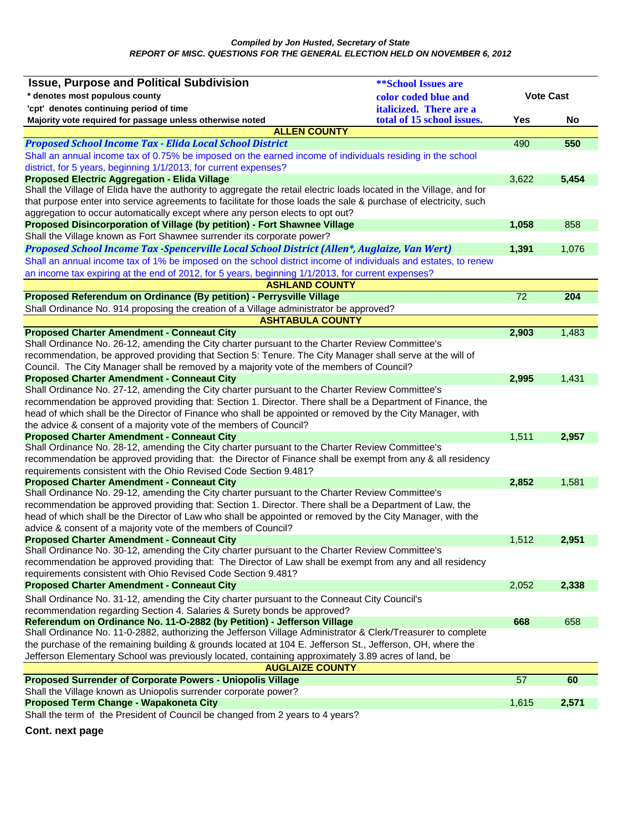| * denotes most populous county<br><b>Vote Cast</b><br>color coded blue and<br>'cpt' denotes continuing period of time<br><i>italicized.</i> There are a<br>total of 15 school issues.<br>Majority vote required for passage unless otherwise noted<br>Yes<br>No<br><b>ALLEN COUNTY</b><br><b>Proposed School Income Tax - Elida Local School District</b><br>550<br>490<br>Shall an annual income tax of 0.75% be imposed on the earned income of individuals residing in the school<br>district, for 5 years, beginning 1/1/2013, for current expenses?<br><b>Proposed Electric Aggregation - Elida Village</b><br>5,454<br>3,622<br>Shall the Village of Elida have the authority to aggregate the retail electric loads located in the Village, and for<br>that purpose enter into service agreements to facilitate for those loads the sale & purchase of electricity, such<br>aggregation to occur automatically except where any person elects to opt out?<br>Proposed Disincorporation of Village (by petition) - Fort Shawnee Village<br>1,058<br>858<br>Shall the Village known as Fort Shawnee surrender its corporate power?<br>Proposed School Income Tax -Spencerville Local School District (Allen*, Auglaize, Van Wert)<br>1,391<br>1,076<br>Shall an annual income tax of 1% be imposed on the school district income of individuals and estates, to renew<br>an income tax expiring at the end of 2012, for 5 years, beginning 1/1/2013, for current expenses?<br><b>ASHLAND COUNTY</b><br>$\overline{72}$<br>Proposed Referendum on Ordinance (By petition) - Perrysville Village<br>204<br>Shall Ordinance No. 914 proposing the creation of a Village administrator be approved?<br><b>ASHTABULA COUNTY</b><br>1,483<br><b>Proposed Charter Amendment - Conneaut City</b><br>2,903<br>Shall Ordinance No. 26-12, amending the City charter pursuant to the Charter Review Committee's<br>recommendation, be approved providing that Section 5: Tenure. The City Manager shall serve at the will of<br>Council. The City Manager shall be removed by a majority vote of the members of Council?<br><b>Proposed Charter Amendment - Conneaut City</b><br>2,995<br>1,431<br>Shall Ordinance No. 27-12, amending the City charter pursuant to the Charter Review Committee's<br>recommendation be approved providing that: Section 1. Director. There shall be a Department of Finance, the<br>head of which shall be the Director of Finance who shall be appointed or removed by the City Manager, with<br>the advice & consent of a majority vote of the members of Council?<br><b>Proposed Charter Amendment - Conneaut City</b><br>1,511<br>2,957<br>Shall Ordinance No. 28-12, amending the City charter pursuant to the Charter Review Committee's<br>recommendation be approved providing that: the Director of Finance shall be exempt from any & all residency<br>requirements consistent with the Ohio Revised Code Section 9.481?<br><b>Proposed Charter Amendment - Conneaut City</b><br>2,852<br>1,581<br>Shall Ordinance No. 29-12, amending the City charter pursuant to the Charter Review Committee's<br>recommendation be approved providing that: Section 1. Director. There shall be a Department of Law, the<br>head of which shall be the Director of Law who shall be appointed or removed by the City Manager, with the<br>advice & consent of a majority vote of the members of Council?<br><b>Proposed Charter Amendment - Conneaut City</b><br>1,512<br>2,951<br>Shall Ordinance No. 30-12, amending the City charter pursuant to the Charter Review Committee's<br>recommendation be approved providing that: The Director of Law shall be exempt from any and all residency<br>requirements consistent with Ohio Revised Code Section 9.481?<br><b>Proposed Charter Amendment - Conneaut City</b><br>2,052<br>2,338<br>Shall Ordinance No. 31-12, amending the City charter pursuant to the Conneaut City Council's<br>recommendation regarding Section 4. Salaries & Surety bonds be approved?<br>Referendum on Ordinance No. 11-O-2882 (by Petition) - Jefferson Village<br>668<br>658<br>Shall Ordinance No. 11-0-2882, authorizing the Jefferson Village Administrator & Clerk/Treasurer to complete<br>the purchase of the remaining building & grounds located at 104 E. Jefferson St., Jefferson, OH, where the<br>Jefferson Elementary School was previously located, containing approximately 3.89 acres of land, be<br><b>AUGLAIZE COUNTY</b><br>57<br><b>Proposed Surrender of Corporate Powers - Uniopolis Village</b><br>60<br>Shall the Village known as Uniopolis surrender corporate power?<br>Proposed Term Change - Wapakoneta City<br>2,571<br>1,615 | <b>Issue, Purpose and Political Subdivision</b>                                | <b>**School Issues are</b> |  |
|-----------------------------------------------------------------------------------------------------------------------------------------------------------------------------------------------------------------------------------------------------------------------------------------------------------------------------------------------------------------------------------------------------------------------------------------------------------------------------------------------------------------------------------------------------------------------------------------------------------------------------------------------------------------------------------------------------------------------------------------------------------------------------------------------------------------------------------------------------------------------------------------------------------------------------------------------------------------------------------------------------------------------------------------------------------------------------------------------------------------------------------------------------------------------------------------------------------------------------------------------------------------------------------------------------------------------------------------------------------------------------------------------------------------------------------------------------------------------------------------------------------------------------------------------------------------------------------------------------------------------------------------------------------------------------------------------------------------------------------------------------------------------------------------------------------------------------------------------------------------------------------------------------------------------------------------------------------------------------------------------------------------------------------------------------------------------------------------------------------------------------------------------------------------------------------------------------------------------------------------------------------------------------------------------------------------------------------------------------------------------------------------------------------------------------------------------------------------------------------------------------------------------------------------------------------------------------------------------------------------------------------------------------------------------------------------------------------------------------------------------------------------------------------------------------------------------------------------------------------------------------------------------------------------------------------------------------------------------------------------------------------------------------------------------------------------------------------------------------------------------------------------------------------------------------------------------------------------------------------------------------------------------------------------------------------------------------------------------------------------------------------------------------------------------------------------------------------------------------------------------------------------------------------------------------------------------------------------------------------------------------------------------------------------------------------------------------------------------------------------------------------------------------------------------------------------------------------------------------------------------------------------------------------------------------------------------------------------------------------------------------------------------------------------------------------------------------------------------------------------------------------------------------------------------------------------------------------------------------------------------------------------------------------------------------------------------------------------------------------------------------------------------------------------------------------------------------------------------------------------------------------------------------------------------------------------------------------------------------------------------------------------------------------------------------------------------------------------------|--------------------------------------------------------------------------------|----------------------------|--|
|                                                                                                                                                                                                                                                                                                                                                                                                                                                                                                                                                                                                                                                                                                                                                                                                                                                                                                                                                                                                                                                                                                                                                                                                                                                                                                                                                                                                                                                                                                                                                                                                                                                                                                                                                                                                                                                                                                                                                                                                                                                                                                                                                                                                                                                                                                                                                                                                                                                                                                                                                                                                                                                                                                                                                                                                                                                                                                                                                                                                                                                                                                                                                                                                                                                                                                                                                                                                                                                                                                                                                                                                                                                                                                                                                                                                                                                                                                                                                                                                                                                                                                                                                                                                                                                                                                                                                                                                                                                                                                                                                                                                                                                                                                                       |                                                                                |                            |  |
|                                                                                                                                                                                                                                                                                                                                                                                                                                                                                                                                                                                                                                                                                                                                                                                                                                                                                                                                                                                                                                                                                                                                                                                                                                                                                                                                                                                                                                                                                                                                                                                                                                                                                                                                                                                                                                                                                                                                                                                                                                                                                                                                                                                                                                                                                                                                                                                                                                                                                                                                                                                                                                                                                                                                                                                                                                                                                                                                                                                                                                                                                                                                                                                                                                                                                                                                                                                                                                                                                                                                                                                                                                                                                                                                                                                                                                                                                                                                                                                                                                                                                                                                                                                                                                                                                                                                                                                                                                                                                                                                                                                                                                                                                                                       |                                                                                |                            |  |
|                                                                                                                                                                                                                                                                                                                                                                                                                                                                                                                                                                                                                                                                                                                                                                                                                                                                                                                                                                                                                                                                                                                                                                                                                                                                                                                                                                                                                                                                                                                                                                                                                                                                                                                                                                                                                                                                                                                                                                                                                                                                                                                                                                                                                                                                                                                                                                                                                                                                                                                                                                                                                                                                                                                                                                                                                                                                                                                                                                                                                                                                                                                                                                                                                                                                                                                                                                                                                                                                                                                                                                                                                                                                                                                                                                                                                                                                                                                                                                                                                                                                                                                                                                                                                                                                                                                                                                                                                                                                                                                                                                                                                                                                                                                       |                                                                                |                            |  |
|                                                                                                                                                                                                                                                                                                                                                                                                                                                                                                                                                                                                                                                                                                                                                                                                                                                                                                                                                                                                                                                                                                                                                                                                                                                                                                                                                                                                                                                                                                                                                                                                                                                                                                                                                                                                                                                                                                                                                                                                                                                                                                                                                                                                                                                                                                                                                                                                                                                                                                                                                                                                                                                                                                                                                                                                                                                                                                                                                                                                                                                                                                                                                                                                                                                                                                                                                                                                                                                                                                                                                                                                                                                                                                                                                                                                                                                                                                                                                                                                                                                                                                                                                                                                                                                                                                                                                                                                                                                                                                                                                                                                                                                                                                                       |                                                                                |                            |  |
|                                                                                                                                                                                                                                                                                                                                                                                                                                                                                                                                                                                                                                                                                                                                                                                                                                                                                                                                                                                                                                                                                                                                                                                                                                                                                                                                                                                                                                                                                                                                                                                                                                                                                                                                                                                                                                                                                                                                                                                                                                                                                                                                                                                                                                                                                                                                                                                                                                                                                                                                                                                                                                                                                                                                                                                                                                                                                                                                                                                                                                                                                                                                                                                                                                                                                                                                                                                                                                                                                                                                                                                                                                                                                                                                                                                                                                                                                                                                                                                                                                                                                                                                                                                                                                                                                                                                                                                                                                                                                                                                                                                                                                                                                                                       |                                                                                |                            |  |
|                                                                                                                                                                                                                                                                                                                                                                                                                                                                                                                                                                                                                                                                                                                                                                                                                                                                                                                                                                                                                                                                                                                                                                                                                                                                                                                                                                                                                                                                                                                                                                                                                                                                                                                                                                                                                                                                                                                                                                                                                                                                                                                                                                                                                                                                                                                                                                                                                                                                                                                                                                                                                                                                                                                                                                                                                                                                                                                                                                                                                                                                                                                                                                                                                                                                                                                                                                                                                                                                                                                                                                                                                                                                                                                                                                                                                                                                                                                                                                                                                                                                                                                                                                                                                                                                                                                                                                                                                                                                                                                                                                                                                                                                                                                       |                                                                                |                            |  |
|                                                                                                                                                                                                                                                                                                                                                                                                                                                                                                                                                                                                                                                                                                                                                                                                                                                                                                                                                                                                                                                                                                                                                                                                                                                                                                                                                                                                                                                                                                                                                                                                                                                                                                                                                                                                                                                                                                                                                                                                                                                                                                                                                                                                                                                                                                                                                                                                                                                                                                                                                                                                                                                                                                                                                                                                                                                                                                                                                                                                                                                                                                                                                                                                                                                                                                                                                                                                                                                                                                                                                                                                                                                                                                                                                                                                                                                                                                                                                                                                                                                                                                                                                                                                                                                                                                                                                                                                                                                                                                                                                                                                                                                                                                                       |                                                                                |                            |  |
|                                                                                                                                                                                                                                                                                                                                                                                                                                                                                                                                                                                                                                                                                                                                                                                                                                                                                                                                                                                                                                                                                                                                                                                                                                                                                                                                                                                                                                                                                                                                                                                                                                                                                                                                                                                                                                                                                                                                                                                                                                                                                                                                                                                                                                                                                                                                                                                                                                                                                                                                                                                                                                                                                                                                                                                                                                                                                                                                                                                                                                                                                                                                                                                                                                                                                                                                                                                                                                                                                                                                                                                                                                                                                                                                                                                                                                                                                                                                                                                                                                                                                                                                                                                                                                                                                                                                                                                                                                                                                                                                                                                                                                                                                                                       |                                                                                |                            |  |
|                                                                                                                                                                                                                                                                                                                                                                                                                                                                                                                                                                                                                                                                                                                                                                                                                                                                                                                                                                                                                                                                                                                                                                                                                                                                                                                                                                                                                                                                                                                                                                                                                                                                                                                                                                                                                                                                                                                                                                                                                                                                                                                                                                                                                                                                                                                                                                                                                                                                                                                                                                                                                                                                                                                                                                                                                                                                                                                                                                                                                                                                                                                                                                                                                                                                                                                                                                                                                                                                                                                                                                                                                                                                                                                                                                                                                                                                                                                                                                                                                                                                                                                                                                                                                                                                                                                                                                                                                                                                                                                                                                                                                                                                                                                       |                                                                                |                            |  |
|                                                                                                                                                                                                                                                                                                                                                                                                                                                                                                                                                                                                                                                                                                                                                                                                                                                                                                                                                                                                                                                                                                                                                                                                                                                                                                                                                                                                                                                                                                                                                                                                                                                                                                                                                                                                                                                                                                                                                                                                                                                                                                                                                                                                                                                                                                                                                                                                                                                                                                                                                                                                                                                                                                                                                                                                                                                                                                                                                                                                                                                                                                                                                                                                                                                                                                                                                                                                                                                                                                                                                                                                                                                                                                                                                                                                                                                                                                                                                                                                                                                                                                                                                                                                                                                                                                                                                                                                                                                                                                                                                                                                                                                                                                                       |                                                                                |                            |  |
|                                                                                                                                                                                                                                                                                                                                                                                                                                                                                                                                                                                                                                                                                                                                                                                                                                                                                                                                                                                                                                                                                                                                                                                                                                                                                                                                                                                                                                                                                                                                                                                                                                                                                                                                                                                                                                                                                                                                                                                                                                                                                                                                                                                                                                                                                                                                                                                                                                                                                                                                                                                                                                                                                                                                                                                                                                                                                                                                                                                                                                                                                                                                                                                                                                                                                                                                                                                                                                                                                                                                                                                                                                                                                                                                                                                                                                                                                                                                                                                                                                                                                                                                                                                                                                                                                                                                                                                                                                                                                                                                                                                                                                                                                                                       |                                                                                |                            |  |
|                                                                                                                                                                                                                                                                                                                                                                                                                                                                                                                                                                                                                                                                                                                                                                                                                                                                                                                                                                                                                                                                                                                                                                                                                                                                                                                                                                                                                                                                                                                                                                                                                                                                                                                                                                                                                                                                                                                                                                                                                                                                                                                                                                                                                                                                                                                                                                                                                                                                                                                                                                                                                                                                                                                                                                                                                                                                                                                                                                                                                                                                                                                                                                                                                                                                                                                                                                                                                                                                                                                                                                                                                                                                                                                                                                                                                                                                                                                                                                                                                                                                                                                                                                                                                                                                                                                                                                                                                                                                                                                                                                                                                                                                                                                       |                                                                                |                            |  |
|                                                                                                                                                                                                                                                                                                                                                                                                                                                                                                                                                                                                                                                                                                                                                                                                                                                                                                                                                                                                                                                                                                                                                                                                                                                                                                                                                                                                                                                                                                                                                                                                                                                                                                                                                                                                                                                                                                                                                                                                                                                                                                                                                                                                                                                                                                                                                                                                                                                                                                                                                                                                                                                                                                                                                                                                                                                                                                                                                                                                                                                                                                                                                                                                                                                                                                                                                                                                                                                                                                                                                                                                                                                                                                                                                                                                                                                                                                                                                                                                                                                                                                                                                                                                                                                                                                                                                                                                                                                                                                                                                                                                                                                                                                                       |                                                                                |                            |  |
|                                                                                                                                                                                                                                                                                                                                                                                                                                                                                                                                                                                                                                                                                                                                                                                                                                                                                                                                                                                                                                                                                                                                                                                                                                                                                                                                                                                                                                                                                                                                                                                                                                                                                                                                                                                                                                                                                                                                                                                                                                                                                                                                                                                                                                                                                                                                                                                                                                                                                                                                                                                                                                                                                                                                                                                                                                                                                                                                                                                                                                                                                                                                                                                                                                                                                                                                                                                                                                                                                                                                                                                                                                                                                                                                                                                                                                                                                                                                                                                                                                                                                                                                                                                                                                                                                                                                                                                                                                                                                                                                                                                                                                                                                                                       |                                                                                |                            |  |
|                                                                                                                                                                                                                                                                                                                                                                                                                                                                                                                                                                                                                                                                                                                                                                                                                                                                                                                                                                                                                                                                                                                                                                                                                                                                                                                                                                                                                                                                                                                                                                                                                                                                                                                                                                                                                                                                                                                                                                                                                                                                                                                                                                                                                                                                                                                                                                                                                                                                                                                                                                                                                                                                                                                                                                                                                                                                                                                                                                                                                                                                                                                                                                                                                                                                                                                                                                                                                                                                                                                                                                                                                                                                                                                                                                                                                                                                                                                                                                                                                                                                                                                                                                                                                                                                                                                                                                                                                                                                                                                                                                                                                                                                                                                       |                                                                                |                            |  |
|                                                                                                                                                                                                                                                                                                                                                                                                                                                                                                                                                                                                                                                                                                                                                                                                                                                                                                                                                                                                                                                                                                                                                                                                                                                                                                                                                                                                                                                                                                                                                                                                                                                                                                                                                                                                                                                                                                                                                                                                                                                                                                                                                                                                                                                                                                                                                                                                                                                                                                                                                                                                                                                                                                                                                                                                                                                                                                                                                                                                                                                                                                                                                                                                                                                                                                                                                                                                                                                                                                                                                                                                                                                                                                                                                                                                                                                                                                                                                                                                                                                                                                                                                                                                                                                                                                                                                                                                                                                                                                                                                                                                                                                                                                                       |                                                                                |                            |  |
|                                                                                                                                                                                                                                                                                                                                                                                                                                                                                                                                                                                                                                                                                                                                                                                                                                                                                                                                                                                                                                                                                                                                                                                                                                                                                                                                                                                                                                                                                                                                                                                                                                                                                                                                                                                                                                                                                                                                                                                                                                                                                                                                                                                                                                                                                                                                                                                                                                                                                                                                                                                                                                                                                                                                                                                                                                                                                                                                                                                                                                                                                                                                                                                                                                                                                                                                                                                                                                                                                                                                                                                                                                                                                                                                                                                                                                                                                                                                                                                                                                                                                                                                                                                                                                                                                                                                                                                                                                                                                                                                                                                                                                                                                                                       |                                                                                |                            |  |
|                                                                                                                                                                                                                                                                                                                                                                                                                                                                                                                                                                                                                                                                                                                                                                                                                                                                                                                                                                                                                                                                                                                                                                                                                                                                                                                                                                                                                                                                                                                                                                                                                                                                                                                                                                                                                                                                                                                                                                                                                                                                                                                                                                                                                                                                                                                                                                                                                                                                                                                                                                                                                                                                                                                                                                                                                                                                                                                                                                                                                                                                                                                                                                                                                                                                                                                                                                                                                                                                                                                                                                                                                                                                                                                                                                                                                                                                                                                                                                                                                                                                                                                                                                                                                                                                                                                                                                                                                                                                                                                                                                                                                                                                                                                       |                                                                                |                            |  |
|                                                                                                                                                                                                                                                                                                                                                                                                                                                                                                                                                                                                                                                                                                                                                                                                                                                                                                                                                                                                                                                                                                                                                                                                                                                                                                                                                                                                                                                                                                                                                                                                                                                                                                                                                                                                                                                                                                                                                                                                                                                                                                                                                                                                                                                                                                                                                                                                                                                                                                                                                                                                                                                                                                                                                                                                                                                                                                                                                                                                                                                                                                                                                                                                                                                                                                                                                                                                                                                                                                                                                                                                                                                                                                                                                                                                                                                                                                                                                                                                                                                                                                                                                                                                                                                                                                                                                                                                                                                                                                                                                                                                                                                                                                                       |                                                                                |                            |  |
|                                                                                                                                                                                                                                                                                                                                                                                                                                                                                                                                                                                                                                                                                                                                                                                                                                                                                                                                                                                                                                                                                                                                                                                                                                                                                                                                                                                                                                                                                                                                                                                                                                                                                                                                                                                                                                                                                                                                                                                                                                                                                                                                                                                                                                                                                                                                                                                                                                                                                                                                                                                                                                                                                                                                                                                                                                                                                                                                                                                                                                                                                                                                                                                                                                                                                                                                                                                                                                                                                                                                                                                                                                                                                                                                                                                                                                                                                                                                                                                                                                                                                                                                                                                                                                                                                                                                                                                                                                                                                                                                                                                                                                                                                                                       |                                                                                |                            |  |
|                                                                                                                                                                                                                                                                                                                                                                                                                                                                                                                                                                                                                                                                                                                                                                                                                                                                                                                                                                                                                                                                                                                                                                                                                                                                                                                                                                                                                                                                                                                                                                                                                                                                                                                                                                                                                                                                                                                                                                                                                                                                                                                                                                                                                                                                                                                                                                                                                                                                                                                                                                                                                                                                                                                                                                                                                                                                                                                                                                                                                                                                                                                                                                                                                                                                                                                                                                                                                                                                                                                                                                                                                                                                                                                                                                                                                                                                                                                                                                                                                                                                                                                                                                                                                                                                                                                                                                                                                                                                                                                                                                                                                                                                                                                       |                                                                                |                            |  |
|                                                                                                                                                                                                                                                                                                                                                                                                                                                                                                                                                                                                                                                                                                                                                                                                                                                                                                                                                                                                                                                                                                                                                                                                                                                                                                                                                                                                                                                                                                                                                                                                                                                                                                                                                                                                                                                                                                                                                                                                                                                                                                                                                                                                                                                                                                                                                                                                                                                                                                                                                                                                                                                                                                                                                                                                                                                                                                                                                                                                                                                                                                                                                                                                                                                                                                                                                                                                                                                                                                                                                                                                                                                                                                                                                                                                                                                                                                                                                                                                                                                                                                                                                                                                                                                                                                                                                                                                                                                                                                                                                                                                                                                                                                                       |                                                                                |                            |  |
|                                                                                                                                                                                                                                                                                                                                                                                                                                                                                                                                                                                                                                                                                                                                                                                                                                                                                                                                                                                                                                                                                                                                                                                                                                                                                                                                                                                                                                                                                                                                                                                                                                                                                                                                                                                                                                                                                                                                                                                                                                                                                                                                                                                                                                                                                                                                                                                                                                                                                                                                                                                                                                                                                                                                                                                                                                                                                                                                                                                                                                                                                                                                                                                                                                                                                                                                                                                                                                                                                                                                                                                                                                                                                                                                                                                                                                                                                                                                                                                                                                                                                                                                                                                                                                                                                                                                                                                                                                                                                                                                                                                                                                                                                                                       |                                                                                |                            |  |
|                                                                                                                                                                                                                                                                                                                                                                                                                                                                                                                                                                                                                                                                                                                                                                                                                                                                                                                                                                                                                                                                                                                                                                                                                                                                                                                                                                                                                                                                                                                                                                                                                                                                                                                                                                                                                                                                                                                                                                                                                                                                                                                                                                                                                                                                                                                                                                                                                                                                                                                                                                                                                                                                                                                                                                                                                                                                                                                                                                                                                                                                                                                                                                                                                                                                                                                                                                                                                                                                                                                                                                                                                                                                                                                                                                                                                                                                                                                                                                                                                                                                                                                                                                                                                                                                                                                                                                                                                                                                                                                                                                                                                                                                                                                       |                                                                                |                            |  |
|                                                                                                                                                                                                                                                                                                                                                                                                                                                                                                                                                                                                                                                                                                                                                                                                                                                                                                                                                                                                                                                                                                                                                                                                                                                                                                                                                                                                                                                                                                                                                                                                                                                                                                                                                                                                                                                                                                                                                                                                                                                                                                                                                                                                                                                                                                                                                                                                                                                                                                                                                                                                                                                                                                                                                                                                                                                                                                                                                                                                                                                                                                                                                                                                                                                                                                                                                                                                                                                                                                                                                                                                                                                                                                                                                                                                                                                                                                                                                                                                                                                                                                                                                                                                                                                                                                                                                                                                                                                                                                                                                                                                                                                                                                                       |                                                                                |                            |  |
|                                                                                                                                                                                                                                                                                                                                                                                                                                                                                                                                                                                                                                                                                                                                                                                                                                                                                                                                                                                                                                                                                                                                                                                                                                                                                                                                                                                                                                                                                                                                                                                                                                                                                                                                                                                                                                                                                                                                                                                                                                                                                                                                                                                                                                                                                                                                                                                                                                                                                                                                                                                                                                                                                                                                                                                                                                                                                                                                                                                                                                                                                                                                                                                                                                                                                                                                                                                                                                                                                                                                                                                                                                                                                                                                                                                                                                                                                                                                                                                                                                                                                                                                                                                                                                                                                                                                                                                                                                                                                                                                                                                                                                                                                                                       |                                                                                |                            |  |
|                                                                                                                                                                                                                                                                                                                                                                                                                                                                                                                                                                                                                                                                                                                                                                                                                                                                                                                                                                                                                                                                                                                                                                                                                                                                                                                                                                                                                                                                                                                                                                                                                                                                                                                                                                                                                                                                                                                                                                                                                                                                                                                                                                                                                                                                                                                                                                                                                                                                                                                                                                                                                                                                                                                                                                                                                                                                                                                                                                                                                                                                                                                                                                                                                                                                                                                                                                                                                                                                                                                                                                                                                                                                                                                                                                                                                                                                                                                                                                                                                                                                                                                                                                                                                                                                                                                                                                                                                                                                                                                                                                                                                                                                                                                       |                                                                                |                            |  |
|                                                                                                                                                                                                                                                                                                                                                                                                                                                                                                                                                                                                                                                                                                                                                                                                                                                                                                                                                                                                                                                                                                                                                                                                                                                                                                                                                                                                                                                                                                                                                                                                                                                                                                                                                                                                                                                                                                                                                                                                                                                                                                                                                                                                                                                                                                                                                                                                                                                                                                                                                                                                                                                                                                                                                                                                                                                                                                                                                                                                                                                                                                                                                                                                                                                                                                                                                                                                                                                                                                                                                                                                                                                                                                                                                                                                                                                                                                                                                                                                                                                                                                                                                                                                                                                                                                                                                                                                                                                                                                                                                                                                                                                                                                                       |                                                                                |                            |  |
|                                                                                                                                                                                                                                                                                                                                                                                                                                                                                                                                                                                                                                                                                                                                                                                                                                                                                                                                                                                                                                                                                                                                                                                                                                                                                                                                                                                                                                                                                                                                                                                                                                                                                                                                                                                                                                                                                                                                                                                                                                                                                                                                                                                                                                                                                                                                                                                                                                                                                                                                                                                                                                                                                                                                                                                                                                                                                                                                                                                                                                                                                                                                                                                                                                                                                                                                                                                                                                                                                                                                                                                                                                                                                                                                                                                                                                                                                                                                                                                                                                                                                                                                                                                                                                                                                                                                                                                                                                                                                                                                                                                                                                                                                                                       |                                                                                |                            |  |
|                                                                                                                                                                                                                                                                                                                                                                                                                                                                                                                                                                                                                                                                                                                                                                                                                                                                                                                                                                                                                                                                                                                                                                                                                                                                                                                                                                                                                                                                                                                                                                                                                                                                                                                                                                                                                                                                                                                                                                                                                                                                                                                                                                                                                                                                                                                                                                                                                                                                                                                                                                                                                                                                                                                                                                                                                                                                                                                                                                                                                                                                                                                                                                                                                                                                                                                                                                                                                                                                                                                                                                                                                                                                                                                                                                                                                                                                                                                                                                                                                                                                                                                                                                                                                                                                                                                                                                                                                                                                                                                                                                                                                                                                                                                       |                                                                                |                            |  |
|                                                                                                                                                                                                                                                                                                                                                                                                                                                                                                                                                                                                                                                                                                                                                                                                                                                                                                                                                                                                                                                                                                                                                                                                                                                                                                                                                                                                                                                                                                                                                                                                                                                                                                                                                                                                                                                                                                                                                                                                                                                                                                                                                                                                                                                                                                                                                                                                                                                                                                                                                                                                                                                                                                                                                                                                                                                                                                                                                                                                                                                                                                                                                                                                                                                                                                                                                                                                                                                                                                                                                                                                                                                                                                                                                                                                                                                                                                                                                                                                                                                                                                                                                                                                                                                                                                                                                                                                                                                                                                                                                                                                                                                                                                                       |                                                                                |                            |  |
|                                                                                                                                                                                                                                                                                                                                                                                                                                                                                                                                                                                                                                                                                                                                                                                                                                                                                                                                                                                                                                                                                                                                                                                                                                                                                                                                                                                                                                                                                                                                                                                                                                                                                                                                                                                                                                                                                                                                                                                                                                                                                                                                                                                                                                                                                                                                                                                                                                                                                                                                                                                                                                                                                                                                                                                                                                                                                                                                                                                                                                                                                                                                                                                                                                                                                                                                                                                                                                                                                                                                                                                                                                                                                                                                                                                                                                                                                                                                                                                                                                                                                                                                                                                                                                                                                                                                                                                                                                                                                                                                                                                                                                                                                                                       |                                                                                |                            |  |
|                                                                                                                                                                                                                                                                                                                                                                                                                                                                                                                                                                                                                                                                                                                                                                                                                                                                                                                                                                                                                                                                                                                                                                                                                                                                                                                                                                                                                                                                                                                                                                                                                                                                                                                                                                                                                                                                                                                                                                                                                                                                                                                                                                                                                                                                                                                                                                                                                                                                                                                                                                                                                                                                                                                                                                                                                                                                                                                                                                                                                                                                                                                                                                                                                                                                                                                                                                                                                                                                                                                                                                                                                                                                                                                                                                                                                                                                                                                                                                                                                                                                                                                                                                                                                                                                                                                                                                                                                                                                                                                                                                                                                                                                                                                       |                                                                                |                            |  |
|                                                                                                                                                                                                                                                                                                                                                                                                                                                                                                                                                                                                                                                                                                                                                                                                                                                                                                                                                                                                                                                                                                                                                                                                                                                                                                                                                                                                                                                                                                                                                                                                                                                                                                                                                                                                                                                                                                                                                                                                                                                                                                                                                                                                                                                                                                                                                                                                                                                                                                                                                                                                                                                                                                                                                                                                                                                                                                                                                                                                                                                                                                                                                                                                                                                                                                                                                                                                                                                                                                                                                                                                                                                                                                                                                                                                                                                                                                                                                                                                                                                                                                                                                                                                                                                                                                                                                                                                                                                                                                                                                                                                                                                                                                                       |                                                                                |                            |  |
|                                                                                                                                                                                                                                                                                                                                                                                                                                                                                                                                                                                                                                                                                                                                                                                                                                                                                                                                                                                                                                                                                                                                                                                                                                                                                                                                                                                                                                                                                                                                                                                                                                                                                                                                                                                                                                                                                                                                                                                                                                                                                                                                                                                                                                                                                                                                                                                                                                                                                                                                                                                                                                                                                                                                                                                                                                                                                                                                                                                                                                                                                                                                                                                                                                                                                                                                                                                                                                                                                                                                                                                                                                                                                                                                                                                                                                                                                                                                                                                                                                                                                                                                                                                                                                                                                                                                                                                                                                                                                                                                                                                                                                                                                                                       |                                                                                |                            |  |
|                                                                                                                                                                                                                                                                                                                                                                                                                                                                                                                                                                                                                                                                                                                                                                                                                                                                                                                                                                                                                                                                                                                                                                                                                                                                                                                                                                                                                                                                                                                                                                                                                                                                                                                                                                                                                                                                                                                                                                                                                                                                                                                                                                                                                                                                                                                                                                                                                                                                                                                                                                                                                                                                                                                                                                                                                                                                                                                                                                                                                                                                                                                                                                                                                                                                                                                                                                                                                                                                                                                                                                                                                                                                                                                                                                                                                                                                                                                                                                                                                                                                                                                                                                                                                                                                                                                                                                                                                                                                                                                                                                                                                                                                                                                       |                                                                                |                            |  |
|                                                                                                                                                                                                                                                                                                                                                                                                                                                                                                                                                                                                                                                                                                                                                                                                                                                                                                                                                                                                                                                                                                                                                                                                                                                                                                                                                                                                                                                                                                                                                                                                                                                                                                                                                                                                                                                                                                                                                                                                                                                                                                                                                                                                                                                                                                                                                                                                                                                                                                                                                                                                                                                                                                                                                                                                                                                                                                                                                                                                                                                                                                                                                                                                                                                                                                                                                                                                                                                                                                                                                                                                                                                                                                                                                                                                                                                                                                                                                                                                                                                                                                                                                                                                                                                                                                                                                                                                                                                                                                                                                                                                                                                                                                                       |                                                                                |                            |  |
|                                                                                                                                                                                                                                                                                                                                                                                                                                                                                                                                                                                                                                                                                                                                                                                                                                                                                                                                                                                                                                                                                                                                                                                                                                                                                                                                                                                                                                                                                                                                                                                                                                                                                                                                                                                                                                                                                                                                                                                                                                                                                                                                                                                                                                                                                                                                                                                                                                                                                                                                                                                                                                                                                                                                                                                                                                                                                                                                                                                                                                                                                                                                                                                                                                                                                                                                                                                                                                                                                                                                                                                                                                                                                                                                                                                                                                                                                                                                                                                                                                                                                                                                                                                                                                                                                                                                                                                                                                                                                                                                                                                                                                                                                                                       |                                                                                |                            |  |
|                                                                                                                                                                                                                                                                                                                                                                                                                                                                                                                                                                                                                                                                                                                                                                                                                                                                                                                                                                                                                                                                                                                                                                                                                                                                                                                                                                                                                                                                                                                                                                                                                                                                                                                                                                                                                                                                                                                                                                                                                                                                                                                                                                                                                                                                                                                                                                                                                                                                                                                                                                                                                                                                                                                                                                                                                                                                                                                                                                                                                                                                                                                                                                                                                                                                                                                                                                                                                                                                                                                                                                                                                                                                                                                                                                                                                                                                                                                                                                                                                                                                                                                                                                                                                                                                                                                                                                                                                                                                                                                                                                                                                                                                                                                       |                                                                                |                            |  |
|                                                                                                                                                                                                                                                                                                                                                                                                                                                                                                                                                                                                                                                                                                                                                                                                                                                                                                                                                                                                                                                                                                                                                                                                                                                                                                                                                                                                                                                                                                                                                                                                                                                                                                                                                                                                                                                                                                                                                                                                                                                                                                                                                                                                                                                                                                                                                                                                                                                                                                                                                                                                                                                                                                                                                                                                                                                                                                                                                                                                                                                                                                                                                                                                                                                                                                                                                                                                                                                                                                                                                                                                                                                                                                                                                                                                                                                                                                                                                                                                                                                                                                                                                                                                                                                                                                                                                                                                                                                                                                                                                                                                                                                                                                                       |                                                                                |                            |  |
|                                                                                                                                                                                                                                                                                                                                                                                                                                                                                                                                                                                                                                                                                                                                                                                                                                                                                                                                                                                                                                                                                                                                                                                                                                                                                                                                                                                                                                                                                                                                                                                                                                                                                                                                                                                                                                                                                                                                                                                                                                                                                                                                                                                                                                                                                                                                                                                                                                                                                                                                                                                                                                                                                                                                                                                                                                                                                                                                                                                                                                                                                                                                                                                                                                                                                                                                                                                                                                                                                                                                                                                                                                                                                                                                                                                                                                                                                                                                                                                                                                                                                                                                                                                                                                                                                                                                                                                                                                                                                                                                                                                                                                                                                                                       |                                                                                |                            |  |
|                                                                                                                                                                                                                                                                                                                                                                                                                                                                                                                                                                                                                                                                                                                                                                                                                                                                                                                                                                                                                                                                                                                                                                                                                                                                                                                                                                                                                                                                                                                                                                                                                                                                                                                                                                                                                                                                                                                                                                                                                                                                                                                                                                                                                                                                                                                                                                                                                                                                                                                                                                                                                                                                                                                                                                                                                                                                                                                                                                                                                                                                                                                                                                                                                                                                                                                                                                                                                                                                                                                                                                                                                                                                                                                                                                                                                                                                                                                                                                                                                                                                                                                                                                                                                                                                                                                                                                                                                                                                                                                                                                                                                                                                                                                       |                                                                                |                            |  |
|                                                                                                                                                                                                                                                                                                                                                                                                                                                                                                                                                                                                                                                                                                                                                                                                                                                                                                                                                                                                                                                                                                                                                                                                                                                                                                                                                                                                                                                                                                                                                                                                                                                                                                                                                                                                                                                                                                                                                                                                                                                                                                                                                                                                                                                                                                                                                                                                                                                                                                                                                                                                                                                                                                                                                                                                                                                                                                                                                                                                                                                                                                                                                                                                                                                                                                                                                                                                                                                                                                                                                                                                                                                                                                                                                                                                                                                                                                                                                                                                                                                                                                                                                                                                                                                                                                                                                                                                                                                                                                                                                                                                                                                                                                                       |                                                                                |                            |  |
|                                                                                                                                                                                                                                                                                                                                                                                                                                                                                                                                                                                                                                                                                                                                                                                                                                                                                                                                                                                                                                                                                                                                                                                                                                                                                                                                                                                                                                                                                                                                                                                                                                                                                                                                                                                                                                                                                                                                                                                                                                                                                                                                                                                                                                                                                                                                                                                                                                                                                                                                                                                                                                                                                                                                                                                                                                                                                                                                                                                                                                                                                                                                                                                                                                                                                                                                                                                                                                                                                                                                                                                                                                                                                                                                                                                                                                                                                                                                                                                                                                                                                                                                                                                                                                                                                                                                                                                                                                                                                                                                                                                                                                                                                                                       |                                                                                |                            |  |
|                                                                                                                                                                                                                                                                                                                                                                                                                                                                                                                                                                                                                                                                                                                                                                                                                                                                                                                                                                                                                                                                                                                                                                                                                                                                                                                                                                                                                                                                                                                                                                                                                                                                                                                                                                                                                                                                                                                                                                                                                                                                                                                                                                                                                                                                                                                                                                                                                                                                                                                                                                                                                                                                                                                                                                                                                                                                                                                                                                                                                                                                                                                                                                                                                                                                                                                                                                                                                                                                                                                                                                                                                                                                                                                                                                                                                                                                                                                                                                                                                                                                                                                                                                                                                                                                                                                                                                                                                                                                                                                                                                                                                                                                                                                       |                                                                                |                            |  |
|                                                                                                                                                                                                                                                                                                                                                                                                                                                                                                                                                                                                                                                                                                                                                                                                                                                                                                                                                                                                                                                                                                                                                                                                                                                                                                                                                                                                                                                                                                                                                                                                                                                                                                                                                                                                                                                                                                                                                                                                                                                                                                                                                                                                                                                                                                                                                                                                                                                                                                                                                                                                                                                                                                                                                                                                                                                                                                                                                                                                                                                                                                                                                                                                                                                                                                                                                                                                                                                                                                                                                                                                                                                                                                                                                                                                                                                                                                                                                                                                                                                                                                                                                                                                                                                                                                                                                                                                                                                                                                                                                                                                                                                                                                                       |                                                                                |                            |  |
|                                                                                                                                                                                                                                                                                                                                                                                                                                                                                                                                                                                                                                                                                                                                                                                                                                                                                                                                                                                                                                                                                                                                                                                                                                                                                                                                                                                                                                                                                                                                                                                                                                                                                                                                                                                                                                                                                                                                                                                                                                                                                                                                                                                                                                                                                                                                                                                                                                                                                                                                                                                                                                                                                                                                                                                                                                                                                                                                                                                                                                                                                                                                                                                                                                                                                                                                                                                                                                                                                                                                                                                                                                                                                                                                                                                                                                                                                                                                                                                                                                                                                                                                                                                                                                                                                                                                                                                                                                                                                                                                                                                                                                                                                                                       |                                                                                |                            |  |
|                                                                                                                                                                                                                                                                                                                                                                                                                                                                                                                                                                                                                                                                                                                                                                                                                                                                                                                                                                                                                                                                                                                                                                                                                                                                                                                                                                                                                                                                                                                                                                                                                                                                                                                                                                                                                                                                                                                                                                                                                                                                                                                                                                                                                                                                                                                                                                                                                                                                                                                                                                                                                                                                                                                                                                                                                                                                                                                                                                                                                                                                                                                                                                                                                                                                                                                                                                                                                                                                                                                                                                                                                                                                                                                                                                                                                                                                                                                                                                                                                                                                                                                                                                                                                                                                                                                                                                                                                                                                                                                                                                                                                                                                                                                       |                                                                                |                            |  |
|                                                                                                                                                                                                                                                                                                                                                                                                                                                                                                                                                                                                                                                                                                                                                                                                                                                                                                                                                                                                                                                                                                                                                                                                                                                                                                                                                                                                                                                                                                                                                                                                                                                                                                                                                                                                                                                                                                                                                                                                                                                                                                                                                                                                                                                                                                                                                                                                                                                                                                                                                                                                                                                                                                                                                                                                                                                                                                                                                                                                                                                                                                                                                                                                                                                                                                                                                                                                                                                                                                                                                                                                                                                                                                                                                                                                                                                                                                                                                                                                                                                                                                                                                                                                                                                                                                                                                                                                                                                                                                                                                                                                                                                                                                                       |                                                                                |                            |  |
|                                                                                                                                                                                                                                                                                                                                                                                                                                                                                                                                                                                                                                                                                                                                                                                                                                                                                                                                                                                                                                                                                                                                                                                                                                                                                                                                                                                                                                                                                                                                                                                                                                                                                                                                                                                                                                                                                                                                                                                                                                                                                                                                                                                                                                                                                                                                                                                                                                                                                                                                                                                                                                                                                                                                                                                                                                                                                                                                                                                                                                                                                                                                                                                                                                                                                                                                                                                                                                                                                                                                                                                                                                                                                                                                                                                                                                                                                                                                                                                                                                                                                                                                                                                                                                                                                                                                                                                                                                                                                                                                                                                                                                                                                                                       |                                                                                |                            |  |
|                                                                                                                                                                                                                                                                                                                                                                                                                                                                                                                                                                                                                                                                                                                                                                                                                                                                                                                                                                                                                                                                                                                                                                                                                                                                                                                                                                                                                                                                                                                                                                                                                                                                                                                                                                                                                                                                                                                                                                                                                                                                                                                                                                                                                                                                                                                                                                                                                                                                                                                                                                                                                                                                                                                                                                                                                                                                                                                                                                                                                                                                                                                                                                                                                                                                                                                                                                                                                                                                                                                                                                                                                                                                                                                                                                                                                                                                                                                                                                                                                                                                                                                                                                                                                                                                                                                                                                                                                                                                                                                                                                                                                                                                                                                       |                                                                                |                            |  |
|                                                                                                                                                                                                                                                                                                                                                                                                                                                                                                                                                                                                                                                                                                                                                                                                                                                                                                                                                                                                                                                                                                                                                                                                                                                                                                                                                                                                                                                                                                                                                                                                                                                                                                                                                                                                                                                                                                                                                                                                                                                                                                                                                                                                                                                                                                                                                                                                                                                                                                                                                                                                                                                                                                                                                                                                                                                                                                                                                                                                                                                                                                                                                                                                                                                                                                                                                                                                                                                                                                                                                                                                                                                                                                                                                                                                                                                                                                                                                                                                                                                                                                                                                                                                                                                                                                                                                                                                                                                                                                                                                                                                                                                                                                                       |                                                                                |                            |  |
|                                                                                                                                                                                                                                                                                                                                                                                                                                                                                                                                                                                                                                                                                                                                                                                                                                                                                                                                                                                                                                                                                                                                                                                                                                                                                                                                                                                                                                                                                                                                                                                                                                                                                                                                                                                                                                                                                                                                                                                                                                                                                                                                                                                                                                                                                                                                                                                                                                                                                                                                                                                                                                                                                                                                                                                                                                                                                                                                                                                                                                                                                                                                                                                                                                                                                                                                                                                                                                                                                                                                                                                                                                                                                                                                                                                                                                                                                                                                                                                                                                                                                                                                                                                                                                                                                                                                                                                                                                                                                                                                                                                                                                                                                                                       | Shall the term of the President of Council be changed from 2 years to 4 years? |                            |  |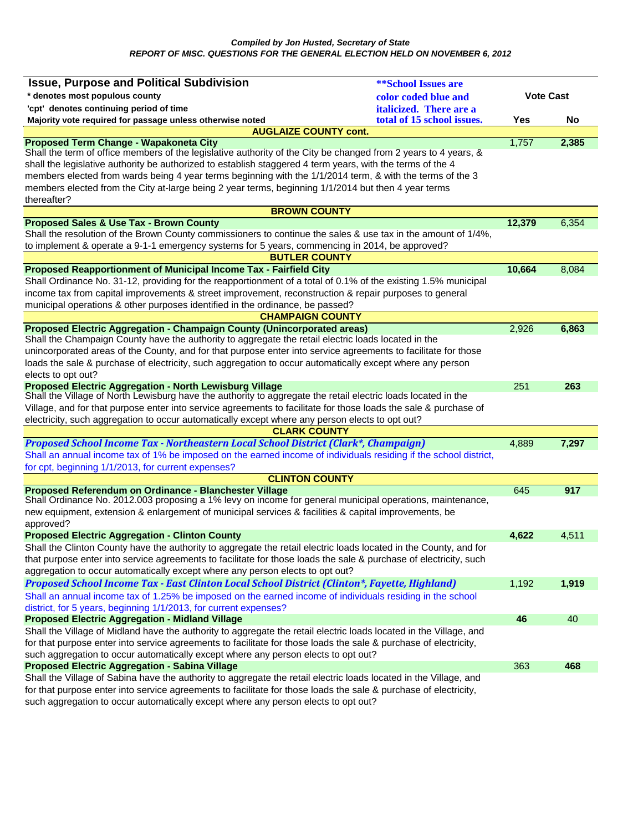| <b>Issue, Purpose and Political Subdivision</b>                                                                                                                                                                               | <b><i>**School Issues are</i></b> |                  |       |
|-------------------------------------------------------------------------------------------------------------------------------------------------------------------------------------------------------------------------------|-----------------------------------|------------------|-------|
| * denotes most populous county                                                                                                                                                                                                | color coded blue and              | <b>Vote Cast</b> |       |
| 'cpt' denotes continuing period of time                                                                                                                                                                                       | <i>italicized.</i> There are a    |                  |       |
| Majority vote required for passage unless otherwise noted                                                                                                                                                                     | total of 15 school issues.        | Yes              | No    |
| <b>AUGLAIZE COUNTY cont.</b>                                                                                                                                                                                                  |                                   |                  |       |
| Proposed Term Change - Wapakoneta City                                                                                                                                                                                        |                                   | 1,757            | 2,385 |
| Shall the term of office members of the legislative authority of the City be changed from 2 years to 4 years, &<br>shall the legislative authority be authorized to establish staggered 4 term years, with the terms of the 4 |                                   |                  |       |
| members elected from wards being 4 year terms beginning with the 1/1/2014 term, & with the terms of the 3                                                                                                                     |                                   |                  |       |
| members elected from the City at-large being 2 year terms, beginning 1/1/2014 but then 4 year terms                                                                                                                           |                                   |                  |       |
| thereafter?                                                                                                                                                                                                                   |                                   |                  |       |
| <b>BROWN COUNTY</b>                                                                                                                                                                                                           |                                   |                  |       |
| <b>Proposed Sales &amp; Use Tax - Brown County</b>                                                                                                                                                                            |                                   | 12,379           | 6,354 |
| Shall the resolution of the Brown County commissioners to continue the sales & use tax in the amount of 1/4%,                                                                                                                 |                                   |                  |       |
| to implement & operate a 9-1-1 emergency systems for 5 years, commencing in 2014, be approved?                                                                                                                                |                                   |                  |       |
| <b>BUTLER COUNTY</b>                                                                                                                                                                                                          |                                   |                  |       |
| <b>Proposed Reapportionment of Municipal Income Tax - Fairfield City</b>                                                                                                                                                      |                                   | 10,664           | 8,084 |
| Shall Ordinance No. 31-12, providing for the reapportionment of a total of 0.1% of the existing 1.5% municipal                                                                                                                |                                   |                  |       |
| income tax from capital improvements & street improvement, reconstruction & repair purposes to general                                                                                                                        |                                   |                  |       |
| municipal operations & other purposes identified in the ordinance, be passed?                                                                                                                                                 |                                   |                  |       |
| <b>CHAMPAIGN COUNTY</b>                                                                                                                                                                                                       |                                   |                  |       |
| Proposed Electric Aggregation - Champaign County (Unincorporated areas)<br>Shall the Champaign County have the authority to aggregate the retail electric loads located in the                                                |                                   | 2,926            | 6,863 |
| unincorporated areas of the County, and for that purpose enter into service agreements to facilitate for those                                                                                                                |                                   |                  |       |
| loads the sale & purchase of electricity, such aggregation to occur automatically except where any person                                                                                                                     |                                   |                  |       |
| elects to opt out?                                                                                                                                                                                                            |                                   |                  |       |
| <b>Proposed Electric Aggregation - North Lewisburg Village</b>                                                                                                                                                                |                                   | 251              | 263   |
| Shall the Village of North Lewisburg have the authority to aggregate the retail electric loads located in the                                                                                                                 |                                   |                  |       |
| Village, and for that purpose enter into service agreements to facilitate for those loads the sale & purchase of                                                                                                              |                                   |                  |       |
| electricity, such aggregation to occur automatically except where any person elects to opt out?                                                                                                                               |                                   |                  |       |
| <b>CLARK COUNTY</b>                                                                                                                                                                                                           |                                   |                  |       |
| Proposed School Income Tax - Northeastern Local School District (Clark*, Champaign)                                                                                                                                           |                                   | 4,889            | 7,297 |
| Shall an annual income tax of 1% be imposed on the earned income of individuals residing if the school district,                                                                                                              |                                   |                  |       |
| for cpt, beginning 1/1/2013, for current expenses?                                                                                                                                                                            |                                   |                  |       |
| <b>CLINTON COUNTY</b>                                                                                                                                                                                                         |                                   |                  |       |
| Proposed Referendum on Ordinance - Blanchester Village<br>Shall Ordinance No. 2012.003 proposing a 1% levy on income for general municipal operations, maintenance,                                                           |                                   | 645              | 917   |
| new equipment, extension & enlargement of municipal services & facilities & capital improvements, be                                                                                                                          |                                   |                  |       |
| approved?                                                                                                                                                                                                                     |                                   |                  |       |
| <b>Proposed Electric Aggregation - Clinton County</b>                                                                                                                                                                         |                                   | 4,622            | 4,511 |
| Shall the Clinton County have the authority to aggregate the retail electric loads located in the County, and for                                                                                                             |                                   |                  |       |
| that purpose enter into service agreements to facilitate for those loads the sale & purchase of electricity, such                                                                                                             |                                   |                  |       |
| aggregation to occur automatically except where any person elects to opt out?                                                                                                                                                 |                                   |                  |       |
| Proposed School Income Tax - East Clinton Local School District (Clinton*, Fayette, Highland)                                                                                                                                 |                                   | 1,192            | 1,919 |
| Shall an annual income tax of 1.25% be imposed on the earned income of individuals residing in the school                                                                                                                     |                                   |                  |       |
| district, for 5 years, beginning 1/1/2013, for current expenses?                                                                                                                                                              |                                   |                  |       |
| <b>Proposed Electric Aggregation - Midland Village</b>                                                                                                                                                                        |                                   | 46               | 40    |
| Shall the Village of Midland have the authority to aggregate the retail electric loads located in the Village, and                                                                                                            |                                   |                  |       |
| for that purpose enter into service agreements to facilitate for those loads the sale & purchase of electricity,                                                                                                              |                                   |                  |       |
| such aggregation to occur automatically except where any person elects to opt out?                                                                                                                                            |                                   |                  |       |
| <b>Proposed Electric Aggregation - Sabina Village</b>                                                                                                                                                                         |                                   | 363              | 468   |
| Shall the Village of Sabina have the authority to aggregate the retail electric loads located in the Village, and                                                                                                             |                                   |                  |       |
| for that purpose enter into service agreements to facilitate for those loads the sale & purchase of electricity,                                                                                                              |                                   |                  |       |
| such aggregation to occur automatically except where any person elects to opt out?                                                                                                                                            |                                   |                  |       |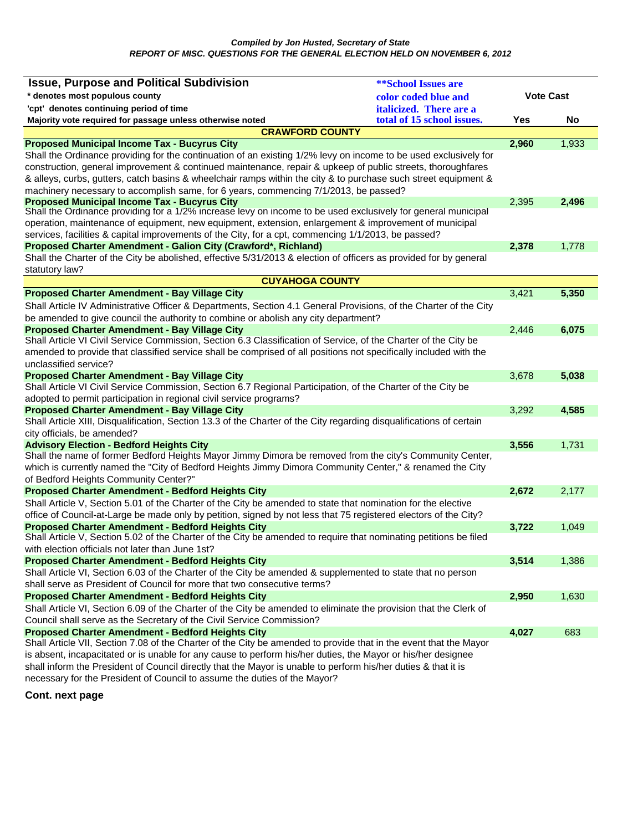| <b>Issue, Purpose and Political Subdivision</b>                                                                                                                                            | <b><i>**School Issues are</i></b> |                  |       |
|--------------------------------------------------------------------------------------------------------------------------------------------------------------------------------------------|-----------------------------------|------------------|-------|
| * denotes most populous county                                                                                                                                                             | color coded blue and              | <b>Vote Cast</b> |       |
| 'cpt' denotes continuing period of time                                                                                                                                                    | <i>italicized.</i> There are a    |                  |       |
| Majority vote required for passage unless otherwise noted                                                                                                                                  | total of 15 school issues.        | Yes              | No    |
| <b>CRAWFORD COUNTY</b>                                                                                                                                                                     |                                   |                  |       |
| <b>Proposed Municipal Income Tax - Bucyrus City</b>                                                                                                                                        |                                   | 2,960            | 1,933 |
| Shall the Ordinance providing for the continuation of an existing 1/2% levy on income to be used exclusively for                                                                           |                                   |                  |       |
| construction, general improvement & continued maintenance, repair & upkeep of public streets, thoroughfares                                                                                |                                   |                  |       |
| & alleys, curbs, gutters, catch basins & wheelchair ramps within the city & to purchase such street equipment &                                                                            |                                   |                  |       |
| machinery necessary to accomplish same, for 6 years, commencing 7/1/2013, be passed?                                                                                                       |                                   |                  |       |
| <b>Proposed Municipal Income Tax - Bucyrus City</b>                                                                                                                                        |                                   | 2,395            | 2,496 |
| Shall the Ordinance providing for a 1/2% increase levy on income to be used exclusively for general municipal                                                                              |                                   |                  |       |
| operation, maintenance of equipment, new equipment, extension, enlargement & improvement of municipal                                                                                      |                                   |                  |       |
| services, facilities & capital improvements of the City, for a cpt, commencing 1/1/2013, be passed?                                                                                        |                                   |                  |       |
| Proposed Charter Amendment - Galion City (Crawford*, Richland)                                                                                                                             |                                   | 2,378            | 1,778 |
| Shall the Charter of the City be abolished, effective 5/31/2013 & election of officers as provided for by general                                                                          |                                   |                  |       |
| statutory law?                                                                                                                                                                             |                                   |                  |       |
| <b>CUYAHOGA COUNTY</b>                                                                                                                                                                     |                                   |                  |       |
| <b>Proposed Charter Amendment - Bay Village City</b>                                                                                                                                       |                                   | 3,421            | 5,350 |
| Shall Article IV Administrative Officer & Departments, Section 4.1 General Provisions, of the Charter of the City                                                                          |                                   |                  |       |
| be amended to give council the authority to combine or abolish any city department?                                                                                                        |                                   |                  |       |
| <b>Proposed Charter Amendment - Bay Village City</b><br>Shall Article VI Civil Service Commission, Section 6.3 Classification of Service, of the Charter of the City be                    |                                   | 2,446            | 6,075 |
| amended to provide that classified service shall be comprised of all positions not specifically included with the                                                                          |                                   |                  |       |
| unclassified service?                                                                                                                                                                      |                                   |                  |       |
| <b>Proposed Charter Amendment - Bay Village City</b>                                                                                                                                       |                                   | 3,678            | 5,038 |
| Shall Article VI Civil Service Commission, Section 6.7 Regional Participation, of the Charter of the City be                                                                               |                                   |                  |       |
| adopted to permit participation in regional civil service programs?                                                                                                                        |                                   |                  |       |
| <b>Proposed Charter Amendment - Bay Village City</b>                                                                                                                                       |                                   | 3,292            | 4,585 |
| Shall Article XIII, Disqualification, Section 13.3 of the Charter of the City regarding disqualifications of certain                                                                       |                                   |                  |       |
| city officials, be amended?                                                                                                                                                                |                                   |                  |       |
| <b>Advisory Election - Bedford Heights City</b>                                                                                                                                            |                                   | 3,556            | 1,731 |
| Shall the name of former Bedford Heights Mayor Jimmy Dimora be removed from the city's Community Center,                                                                                   |                                   |                  |       |
| which is currently named the "City of Bedford Heights Jimmy Dimora Community Center," & renamed the City                                                                                   |                                   |                  |       |
| of Bedford Heights Community Center?"                                                                                                                                                      |                                   |                  |       |
| <b>Proposed Charter Amendment - Bedford Heights City</b>                                                                                                                                   |                                   | 2,672            | 2,177 |
| Shall Article V, Section 5.01 of the Charter of the City be amended to state that nomination for the elective                                                                              |                                   |                  |       |
| office of Council-at-Large be made only by petition, signed by not less that 75 registered electors of the City?                                                                           |                                   |                  |       |
| <b>Proposed Charter Amendment - Bedford Heights City</b>                                                                                                                                   |                                   | 3,722            | 1,049 |
| Shall Article V, Section 5.02 of the Charter of the City be amended to require that nominating petitions be filed                                                                          |                                   |                  |       |
| with election officials not later than June 1st?                                                                                                                                           |                                   |                  |       |
| <b>Proposed Charter Amendment - Bedford Heights City</b>                                                                                                                                   |                                   | 3,514            | 1,386 |
| Shall Article VI, Section 6.03 of the Charter of the City be amended & supplemented to state that no person                                                                                |                                   |                  |       |
| shall serve as President of Council for more that two consecutive terms?                                                                                                                   |                                   |                  |       |
| <b>Proposed Charter Amendment - Bedford Heights City</b>                                                                                                                                   |                                   | 2,950            | 1,630 |
| Shall Article VI, Section 6.09 of the Charter of the City be amended to eliminate the provision that the Clerk of<br>Council shall serve as the Secretary of the Civil Service Commission? |                                   |                  |       |
|                                                                                                                                                                                            |                                   | 4,027            | 683   |
| <b>Proposed Charter Amendment - Bedford Heights City</b><br>Shall Article VII, Section 7.08 of the Charter of the City be amended to provide that in the event that the Mayor              |                                   |                  |       |
| is absent, incapacitated or is unable for any cause to perform his/her duties, the Mayor or his/her designee                                                                               |                                   |                  |       |
| shall inform the President of Council directly that the Mayor is unable to perform his/her duties & that it is                                                                             |                                   |                  |       |
| necessary for the President of Council to assume the duties of the Mayor?                                                                                                                  |                                   |                  |       |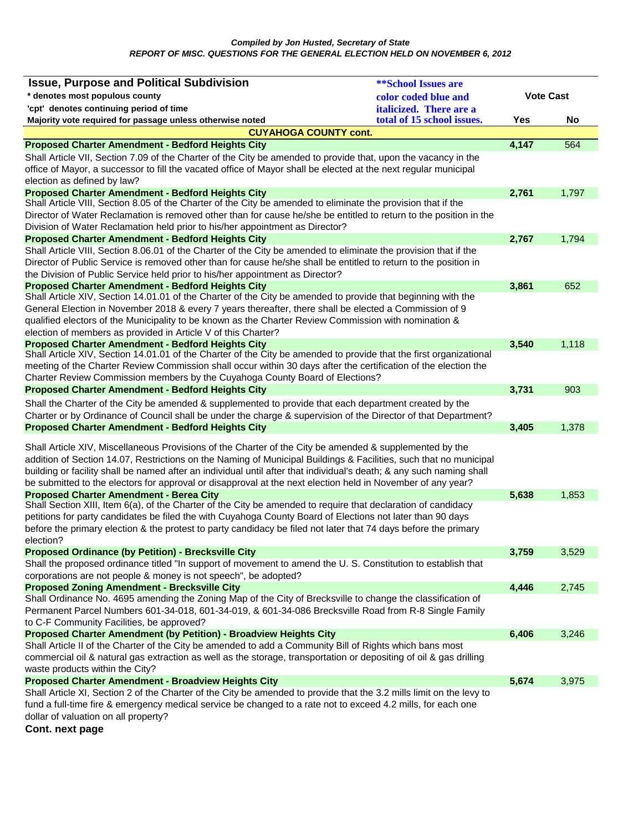| <b>Issue, Purpose and Political Subdivision</b>                                                                                                                                                                                                                                                                                                                                                                                                                     | <b>**School Issues are</b> |                  |       |
|---------------------------------------------------------------------------------------------------------------------------------------------------------------------------------------------------------------------------------------------------------------------------------------------------------------------------------------------------------------------------------------------------------------------------------------------------------------------|----------------------------|------------------|-------|
| * denotes most populous county                                                                                                                                                                                                                                                                                                                                                                                                                                      | color coded blue and       | <b>Vote Cast</b> |       |
| 'cpt' denotes continuing period of time                                                                                                                                                                                                                                                                                                                                                                                                                             | italicized. There are a    |                  |       |
| Majority vote required for passage unless otherwise noted                                                                                                                                                                                                                                                                                                                                                                                                           | total of 15 school issues. | Yes              | No    |
| <b>CUYAHOGA COUNTY cont.</b>                                                                                                                                                                                                                                                                                                                                                                                                                                        |                            |                  |       |
| <b>Proposed Charter Amendment - Bedford Heights City</b>                                                                                                                                                                                                                                                                                                                                                                                                            |                            | 4,147            | 564   |
| Shall Article VII, Section 7.09 of the Charter of the City be amended to provide that, upon the vacancy in the                                                                                                                                                                                                                                                                                                                                                      |                            |                  |       |
| office of Mayor, a successor to fill the vacated office of Mayor shall be elected at the next regular municipal                                                                                                                                                                                                                                                                                                                                                     |                            |                  |       |
| election as defined by law?                                                                                                                                                                                                                                                                                                                                                                                                                                         |                            |                  |       |
| <b>Proposed Charter Amendment - Bedford Heights City</b><br>Shall Article VIII, Section 8.05 of the Charter of the City be amended to eliminate the provision that if the                                                                                                                                                                                                                                                                                           |                            | 2,761            | 1,797 |
| Director of Water Reclamation is removed other than for cause he/she be entitled to return to the position in the                                                                                                                                                                                                                                                                                                                                                   |                            |                  |       |
| Division of Water Reclamation held prior to his/her appointment as Director?                                                                                                                                                                                                                                                                                                                                                                                        |                            |                  |       |
| <b>Proposed Charter Amendment - Bedford Heights City</b>                                                                                                                                                                                                                                                                                                                                                                                                            |                            | 2,767            | 1,794 |
| Shall Article VIII, Section 8.06.01 of the Charter of the City be amended to eliminate the provision that if the                                                                                                                                                                                                                                                                                                                                                    |                            |                  |       |
| Director of Public Service is removed other than for cause he/she shall be entitled to return to the position in                                                                                                                                                                                                                                                                                                                                                    |                            |                  |       |
| the Division of Public Service held prior to his/her appointment as Director?                                                                                                                                                                                                                                                                                                                                                                                       |                            |                  |       |
| <b>Proposed Charter Amendment - Bedford Heights City</b>                                                                                                                                                                                                                                                                                                                                                                                                            |                            | 3,861            | 652   |
| Shall Article XIV, Section 14.01.01 of the Charter of the City be amended to provide that beginning with the<br>General Election in November 2018 & every 7 years thereafter, there shall be elected a Commission of 9                                                                                                                                                                                                                                              |                            |                  |       |
| qualified electors of the Municipality to be known as the Charter Review Commission with nomination &                                                                                                                                                                                                                                                                                                                                                               |                            |                  |       |
| election of members as provided in Article V of this Charter?                                                                                                                                                                                                                                                                                                                                                                                                       |                            |                  |       |
| <b>Proposed Charter Amendment - Bedford Heights City</b>                                                                                                                                                                                                                                                                                                                                                                                                            |                            | 3,540            | 1,118 |
| Shall Article XIV, Section 14.01.01 of the Charter of the City be amended to provide that the first organizational<br>meeting of the Charter Review Commission shall occur within 30 days after the certification of the election the                                                                                                                                                                                                                               |                            |                  |       |
| Charter Review Commission members by the Cuyahoga County Board of Elections?                                                                                                                                                                                                                                                                                                                                                                                        |                            |                  |       |
| <b>Proposed Charter Amendment - Bedford Heights City</b>                                                                                                                                                                                                                                                                                                                                                                                                            |                            | 3,731            | 903   |
|                                                                                                                                                                                                                                                                                                                                                                                                                                                                     |                            |                  |       |
| Shall the Charter of the City be amended & supplemented to provide that each department created by the<br>Charter or by Ordinance of Council shall be under the charge & supervision of the Director of that Department?                                                                                                                                                                                                                                            |                            |                  |       |
| <b>Proposed Charter Amendment - Bedford Heights City</b>                                                                                                                                                                                                                                                                                                                                                                                                            |                            | 3,405            | 1,378 |
|                                                                                                                                                                                                                                                                                                                                                                                                                                                                     |                            |                  |       |
| Shall Article XIV, Miscellaneous Provisions of the Charter of the City be amended & supplemented by the<br>addition of Section 14.07, Restrictions on the Naming of Municipal Buildings & Facilities, such that no municipal<br>building or facility shall be named after an individual until after that individual's death; & any such naming shall<br>be submitted to the electors for approval or disapproval at the next election held in November of any year? |                            |                  |       |
| <b>Proposed Charter Amendment - Berea City</b>                                                                                                                                                                                                                                                                                                                                                                                                                      |                            | 5,638            | 1,853 |
| Shall Section XIII, Item 6(a), of the Charter of the City be amended to require that declaration of candidacy                                                                                                                                                                                                                                                                                                                                                       |                            |                  |       |
| petitions for party candidates be filed the with Cuyahoga County Board of Elections not later than 90 days                                                                                                                                                                                                                                                                                                                                                          |                            |                  |       |
| before the primary election & the protest to party candidacy be filed not later that 74 days before the primary                                                                                                                                                                                                                                                                                                                                                     |                            |                  |       |
| election?                                                                                                                                                                                                                                                                                                                                                                                                                                                           |                            |                  |       |
| <b>Proposed Ordinance (by Petition) - Brecksville City</b><br>Shall the proposed ordinance titled "In support of movement to amend the U. S. Constitution to establish that                                                                                                                                                                                                                                                                                         |                            | 3,759            | 3,529 |
| corporations are not people & money is not speech", be adopted?                                                                                                                                                                                                                                                                                                                                                                                                     |                            |                  |       |
| <b>Proposed Zoning Amendment - Brecksville City</b>                                                                                                                                                                                                                                                                                                                                                                                                                 |                            | 4,446            | 2,745 |
| Shall Ordinance No. 4695 amending the Zoning Map of the City of Brecksville to change the classification of                                                                                                                                                                                                                                                                                                                                                         |                            |                  |       |
| Permanent Parcel Numbers 601-34-018, 601-34-019, & 601-34-086 Brecksville Road from R-8 Single Family                                                                                                                                                                                                                                                                                                                                                               |                            |                  |       |
| to C-F Community Facilities, be approved?                                                                                                                                                                                                                                                                                                                                                                                                                           |                            |                  |       |
| Proposed Charter Amendment (by Petition) - Broadview Heights City                                                                                                                                                                                                                                                                                                                                                                                                   |                            | 6,406            | 3,246 |
| Shall Article II of the Charter of the City be amended to add a Community Bill of Rights which bans most                                                                                                                                                                                                                                                                                                                                                            |                            |                  |       |
| commercial oil & natural gas extraction as well as the storage, transportation or depositing of oil & gas drilling                                                                                                                                                                                                                                                                                                                                                  |                            |                  |       |
| waste products within the City?                                                                                                                                                                                                                                                                                                                                                                                                                                     |                            |                  |       |
| <b>Proposed Charter Amendment - Broadview Heights City</b>                                                                                                                                                                                                                                                                                                                                                                                                          |                            | 5,674            | 3,975 |
| Shall Article XI, Section 2 of the Charter of the City be amended to provide that the 3.2 mills limit on the levy to                                                                                                                                                                                                                                                                                                                                                |                            |                  |       |
| fund a full-time fire & emergency medical service be changed to a rate not to exceed 4.2 mills, for each one<br>dollar of valuation on all property?                                                                                                                                                                                                                                                                                                                |                            |                  |       |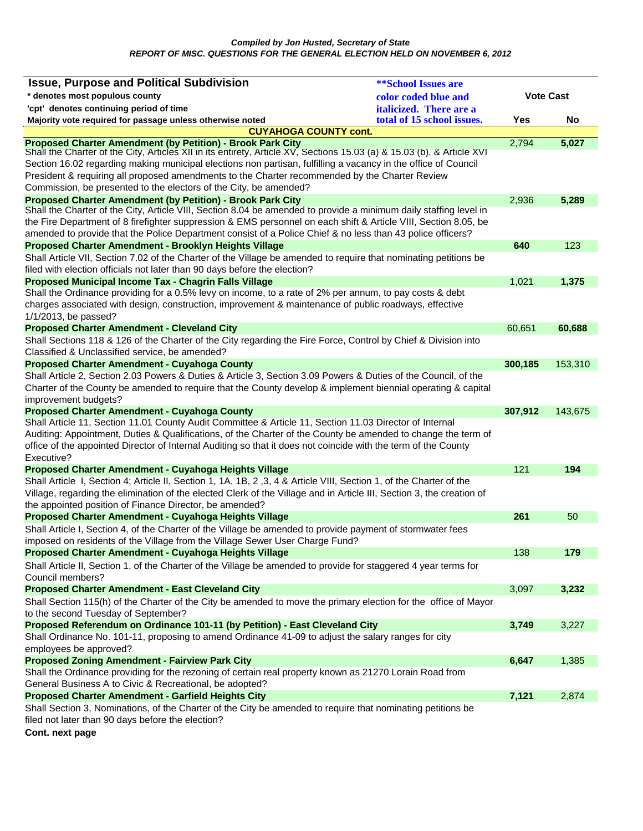| * denotes most populous county<br><b>Vote Cast</b><br>color coded blue and<br>'cpt' denotes continuing period of time<br>italicized. There are a<br>total of 15 school issues.<br>Majority vote required for passage unless otherwise noted<br>Yes<br>No<br><b>CUYAHOGA COUNTY cont.</b><br><b>Proposed Charter Amendment (by Petition) - Brook Park City</b><br>2,794<br>5,027<br>Shall the Charter of the City, Articles XII in its entirety, Article XV, Sections 15.03 (a) & 15.03 (b), & Article XVI<br>Section 16.02 regarding making municipal elections non partisan, fulfilling a vacancy in the office of Council<br>President & requiring all proposed amendments to the Charter recommended by the Charter Review<br>Commission, be presented to the electors of the City, be amended?<br><b>Proposed Charter Amendment (by Petition) - Brook Park City</b><br>5,289<br>2,936<br>Shall the Charter of the City, Article VIII, Section 8.04 be amended to provide a minimum daily staffing level in<br>the Fire Department of 8 firefighter suppression & EMS personnel on each shift & Article VIII, Section 8.05, be<br>amended to provide that the Police Department consist of a Police Chief & no less than 43 police officers?<br>Proposed Charter Amendment - Brooklyn Heights Village<br>640<br>123<br>Shall Article VII, Section 7.02 of the Charter of the Village be amended to require that nominating petitions be<br>filed with election officials not later than 90 days before the election?<br>Proposed Municipal Income Tax - Chagrin Falls Village<br>1,021<br>1,375<br>Shall the Ordinance providing for a 0.5% levy on income, to a rate of 2% per annum, to pay costs & debt<br>charges associated with design, construction, improvement & maintenance of public roadways, effective<br>60,651<br>60,688<br>Shall Sections 118 & 126 of the Charter of the City regarding the Fire Force, Control by Chief & Division into<br>300,185<br>153,310<br>Shall Article 2, Section 2.03 Powers & Duties & Article 3, Section 3.09 Powers & Duties of the Council, of the<br>Charter of the County be amended to require that the County develop & implement biennial operating & capital<br>improvement budgets?<br><b>Proposed Charter Amendment - Cuyahoga County</b><br>307,912<br>143,675<br>Shall Article 11, Section 11.01 County Audit Committee & Article 11, Section 11.03 Director of Internal<br>Auditing: Appointment, Duties & Qualifications, of the Charter of the County be amended to change the term of<br>office of the appointed Director of Internal Auditing so that it does not coincide with the term of the County<br>Executive?<br>121<br>194<br>Proposed Charter Amendment - Cuyahoga Heights Village<br>Shall Article I, Section 4; Article II, Section 1, 1A, 1B, 2, 3, 4 & Article VIII, Section 1, of the Charter of the<br>Village, regarding the elimination of the elected Clerk of the Village and in Article III, Section 3, the creation of<br>the appointed position of Finance Director, be amended?<br>Proposed Charter Amendment - Cuyahoga Heights Village<br>261<br>50<br>Shall Article I, Section 4, of the Charter of the Village be amended to provide payment of stormwater fees<br>imposed on residents of the Village from the Village Sewer User Charge Fund?<br>179<br>138<br>Shall Article II, Section 1, of the Charter of the Village be amended to provide for staggered 4 year terms for<br>3,232<br>3,097<br>Shall Section 115(h) of the Charter of the City be amended to move the primary election for the office of Mayor<br>Proposed Referendum on Ordinance 101-11 (by Petition) - East Cleveland City<br>3,749<br>3,227<br>Shall Ordinance No. 101-11, proposing to amend Ordinance 41-09 to adjust the salary ranges for city<br>employees be approved?<br><b>Proposed Zoning Amendment - Fairview Park City</b><br>1,385<br>6,647<br>Shall the Ordinance providing for the rezoning of certain real property known as 21270 Lorain Road from<br>General Business A to Civic & Recreational, be adopted?<br><b>Proposed Charter Amendment - Garfield Heights City</b><br>7,121<br>2,874<br>Shall Section 3, Nominations, of the Charter of the City be amended to require that nominating petitions be<br>filed not later than 90 days before the election? | <b>Issue, Purpose and Political Subdivision</b>         | <b>**School Issues are</b> |  |
|---------------------------------------------------------------------------------------------------------------------------------------------------------------------------------------------------------------------------------------------------------------------------------------------------------------------------------------------------------------------------------------------------------------------------------------------------------------------------------------------------------------------------------------------------------------------------------------------------------------------------------------------------------------------------------------------------------------------------------------------------------------------------------------------------------------------------------------------------------------------------------------------------------------------------------------------------------------------------------------------------------------------------------------------------------------------------------------------------------------------------------------------------------------------------------------------------------------------------------------------------------------------------------------------------------------------------------------------------------------------------------------------------------------------------------------------------------------------------------------------------------------------------------------------------------------------------------------------------------------------------------------------------------------------------------------------------------------------------------------------------------------------------------------------------------------------------------------------------------------------------------------------------------------------------------------------------------------------------------------------------------------------------------------------------------------------------------------------------------------------------------------------------------------------------------------------------------------------------------------------------------------------------------------------------------------------------------------------------------------------------------------------------------------------------------------------------------------------------------------------------------------------------------------------------------------------------------------------------------------------------------------------------------------------------------------------------------------------------------------------------------------------------------------------------------------------------------------------------------------------------------------------------------------------------------------------------------------------------------------------------------------------------------------------------------------------------------------------------------------------------------------------------------------------------------------------------------------------------------------------------------------------------------------------------------------------------------------------------------------------------------------------------------------------------------------------------------------------------------------------------------------------------------------------------------------------------------------------------------------------------------------------------------------------------------------------------------------------------------------------------------------------------------------------------------------------------------------------------------------------------------------------------------------------------------------------------------------------------------------------------------------------------------------------------------------------------------------------------------------------------------------------------------------------------------------------------------------------------------------------------------------------------------------------------------------------------------------------------------|---------------------------------------------------------|----------------------------|--|
|                                                                                                                                                                                                                                                                                                                                                                                                                                                                                                                                                                                                                                                                                                                                                                                                                                                                                                                                                                                                                                                                                                                                                                                                                                                                                                                                                                                                                                                                                                                                                                                                                                                                                                                                                                                                                                                                                                                                                                                                                                                                                                                                                                                                                                                                                                                                                                                                                                                                                                                                                                                                                                                                                                                                                                                                                                                                                                                                                                                                                                                                                                                                                                                                                                                                                                                                                                                                                                                                                                                                                                                                                                                                                                                                                                                                                                                                                                                                                                                                                                                                                                                                                                                                                                                                                                                                                         |                                                         |                            |  |
|                                                                                                                                                                                                                                                                                                                                                                                                                                                                                                                                                                                                                                                                                                                                                                                                                                                                                                                                                                                                                                                                                                                                                                                                                                                                                                                                                                                                                                                                                                                                                                                                                                                                                                                                                                                                                                                                                                                                                                                                                                                                                                                                                                                                                                                                                                                                                                                                                                                                                                                                                                                                                                                                                                                                                                                                                                                                                                                                                                                                                                                                                                                                                                                                                                                                                                                                                                                                                                                                                                                                                                                                                                                                                                                                                                                                                                                                                                                                                                                                                                                                                                                                                                                                                                                                                                                                                         |                                                         |                            |  |
|                                                                                                                                                                                                                                                                                                                                                                                                                                                                                                                                                                                                                                                                                                                                                                                                                                                                                                                                                                                                                                                                                                                                                                                                                                                                                                                                                                                                                                                                                                                                                                                                                                                                                                                                                                                                                                                                                                                                                                                                                                                                                                                                                                                                                                                                                                                                                                                                                                                                                                                                                                                                                                                                                                                                                                                                                                                                                                                                                                                                                                                                                                                                                                                                                                                                                                                                                                                                                                                                                                                                                                                                                                                                                                                                                                                                                                                                                                                                                                                                                                                                                                                                                                                                                                                                                                                                                         |                                                         |                            |  |
|                                                                                                                                                                                                                                                                                                                                                                                                                                                                                                                                                                                                                                                                                                                                                                                                                                                                                                                                                                                                                                                                                                                                                                                                                                                                                                                                                                                                                                                                                                                                                                                                                                                                                                                                                                                                                                                                                                                                                                                                                                                                                                                                                                                                                                                                                                                                                                                                                                                                                                                                                                                                                                                                                                                                                                                                                                                                                                                                                                                                                                                                                                                                                                                                                                                                                                                                                                                                                                                                                                                                                                                                                                                                                                                                                                                                                                                                                                                                                                                                                                                                                                                                                                                                                                                                                                                                                         |                                                         |                            |  |
|                                                                                                                                                                                                                                                                                                                                                                                                                                                                                                                                                                                                                                                                                                                                                                                                                                                                                                                                                                                                                                                                                                                                                                                                                                                                                                                                                                                                                                                                                                                                                                                                                                                                                                                                                                                                                                                                                                                                                                                                                                                                                                                                                                                                                                                                                                                                                                                                                                                                                                                                                                                                                                                                                                                                                                                                                                                                                                                                                                                                                                                                                                                                                                                                                                                                                                                                                                                                                                                                                                                                                                                                                                                                                                                                                                                                                                                                                                                                                                                                                                                                                                                                                                                                                                                                                                                                                         |                                                         |                            |  |
|                                                                                                                                                                                                                                                                                                                                                                                                                                                                                                                                                                                                                                                                                                                                                                                                                                                                                                                                                                                                                                                                                                                                                                                                                                                                                                                                                                                                                                                                                                                                                                                                                                                                                                                                                                                                                                                                                                                                                                                                                                                                                                                                                                                                                                                                                                                                                                                                                                                                                                                                                                                                                                                                                                                                                                                                                                                                                                                                                                                                                                                                                                                                                                                                                                                                                                                                                                                                                                                                                                                                                                                                                                                                                                                                                                                                                                                                                                                                                                                                                                                                                                                                                                                                                                                                                                                                                         |                                                         |                            |  |
|                                                                                                                                                                                                                                                                                                                                                                                                                                                                                                                                                                                                                                                                                                                                                                                                                                                                                                                                                                                                                                                                                                                                                                                                                                                                                                                                                                                                                                                                                                                                                                                                                                                                                                                                                                                                                                                                                                                                                                                                                                                                                                                                                                                                                                                                                                                                                                                                                                                                                                                                                                                                                                                                                                                                                                                                                                                                                                                                                                                                                                                                                                                                                                                                                                                                                                                                                                                                                                                                                                                                                                                                                                                                                                                                                                                                                                                                                                                                                                                                                                                                                                                                                                                                                                                                                                                                                         |                                                         |                            |  |
|                                                                                                                                                                                                                                                                                                                                                                                                                                                                                                                                                                                                                                                                                                                                                                                                                                                                                                                                                                                                                                                                                                                                                                                                                                                                                                                                                                                                                                                                                                                                                                                                                                                                                                                                                                                                                                                                                                                                                                                                                                                                                                                                                                                                                                                                                                                                                                                                                                                                                                                                                                                                                                                                                                                                                                                                                                                                                                                                                                                                                                                                                                                                                                                                                                                                                                                                                                                                                                                                                                                                                                                                                                                                                                                                                                                                                                                                                                                                                                                                                                                                                                                                                                                                                                                                                                                                                         |                                                         |                            |  |
|                                                                                                                                                                                                                                                                                                                                                                                                                                                                                                                                                                                                                                                                                                                                                                                                                                                                                                                                                                                                                                                                                                                                                                                                                                                                                                                                                                                                                                                                                                                                                                                                                                                                                                                                                                                                                                                                                                                                                                                                                                                                                                                                                                                                                                                                                                                                                                                                                                                                                                                                                                                                                                                                                                                                                                                                                                                                                                                                                                                                                                                                                                                                                                                                                                                                                                                                                                                                                                                                                                                                                                                                                                                                                                                                                                                                                                                                                                                                                                                                                                                                                                                                                                                                                                                                                                                                                         |                                                         |                            |  |
|                                                                                                                                                                                                                                                                                                                                                                                                                                                                                                                                                                                                                                                                                                                                                                                                                                                                                                                                                                                                                                                                                                                                                                                                                                                                                                                                                                                                                                                                                                                                                                                                                                                                                                                                                                                                                                                                                                                                                                                                                                                                                                                                                                                                                                                                                                                                                                                                                                                                                                                                                                                                                                                                                                                                                                                                                                                                                                                                                                                                                                                                                                                                                                                                                                                                                                                                                                                                                                                                                                                                                                                                                                                                                                                                                                                                                                                                                                                                                                                                                                                                                                                                                                                                                                                                                                                                                         |                                                         |                            |  |
|                                                                                                                                                                                                                                                                                                                                                                                                                                                                                                                                                                                                                                                                                                                                                                                                                                                                                                                                                                                                                                                                                                                                                                                                                                                                                                                                                                                                                                                                                                                                                                                                                                                                                                                                                                                                                                                                                                                                                                                                                                                                                                                                                                                                                                                                                                                                                                                                                                                                                                                                                                                                                                                                                                                                                                                                                                                                                                                                                                                                                                                                                                                                                                                                                                                                                                                                                                                                                                                                                                                                                                                                                                                                                                                                                                                                                                                                                                                                                                                                                                                                                                                                                                                                                                                                                                                                                         |                                                         |                            |  |
|                                                                                                                                                                                                                                                                                                                                                                                                                                                                                                                                                                                                                                                                                                                                                                                                                                                                                                                                                                                                                                                                                                                                                                                                                                                                                                                                                                                                                                                                                                                                                                                                                                                                                                                                                                                                                                                                                                                                                                                                                                                                                                                                                                                                                                                                                                                                                                                                                                                                                                                                                                                                                                                                                                                                                                                                                                                                                                                                                                                                                                                                                                                                                                                                                                                                                                                                                                                                                                                                                                                                                                                                                                                                                                                                                                                                                                                                                                                                                                                                                                                                                                                                                                                                                                                                                                                                                         |                                                         |                            |  |
|                                                                                                                                                                                                                                                                                                                                                                                                                                                                                                                                                                                                                                                                                                                                                                                                                                                                                                                                                                                                                                                                                                                                                                                                                                                                                                                                                                                                                                                                                                                                                                                                                                                                                                                                                                                                                                                                                                                                                                                                                                                                                                                                                                                                                                                                                                                                                                                                                                                                                                                                                                                                                                                                                                                                                                                                                                                                                                                                                                                                                                                                                                                                                                                                                                                                                                                                                                                                                                                                                                                                                                                                                                                                                                                                                                                                                                                                                                                                                                                                                                                                                                                                                                                                                                                                                                                                                         |                                                         |                            |  |
|                                                                                                                                                                                                                                                                                                                                                                                                                                                                                                                                                                                                                                                                                                                                                                                                                                                                                                                                                                                                                                                                                                                                                                                                                                                                                                                                                                                                                                                                                                                                                                                                                                                                                                                                                                                                                                                                                                                                                                                                                                                                                                                                                                                                                                                                                                                                                                                                                                                                                                                                                                                                                                                                                                                                                                                                                                                                                                                                                                                                                                                                                                                                                                                                                                                                                                                                                                                                                                                                                                                                                                                                                                                                                                                                                                                                                                                                                                                                                                                                                                                                                                                                                                                                                                                                                                                                                         |                                                         |                            |  |
|                                                                                                                                                                                                                                                                                                                                                                                                                                                                                                                                                                                                                                                                                                                                                                                                                                                                                                                                                                                                                                                                                                                                                                                                                                                                                                                                                                                                                                                                                                                                                                                                                                                                                                                                                                                                                                                                                                                                                                                                                                                                                                                                                                                                                                                                                                                                                                                                                                                                                                                                                                                                                                                                                                                                                                                                                                                                                                                                                                                                                                                                                                                                                                                                                                                                                                                                                                                                                                                                                                                                                                                                                                                                                                                                                                                                                                                                                                                                                                                                                                                                                                                                                                                                                                                                                                                                                         |                                                         |                            |  |
|                                                                                                                                                                                                                                                                                                                                                                                                                                                                                                                                                                                                                                                                                                                                                                                                                                                                                                                                                                                                                                                                                                                                                                                                                                                                                                                                                                                                                                                                                                                                                                                                                                                                                                                                                                                                                                                                                                                                                                                                                                                                                                                                                                                                                                                                                                                                                                                                                                                                                                                                                                                                                                                                                                                                                                                                                                                                                                                                                                                                                                                                                                                                                                                                                                                                                                                                                                                                                                                                                                                                                                                                                                                                                                                                                                                                                                                                                                                                                                                                                                                                                                                                                                                                                                                                                                                                                         |                                                         |                            |  |
|                                                                                                                                                                                                                                                                                                                                                                                                                                                                                                                                                                                                                                                                                                                                                                                                                                                                                                                                                                                                                                                                                                                                                                                                                                                                                                                                                                                                                                                                                                                                                                                                                                                                                                                                                                                                                                                                                                                                                                                                                                                                                                                                                                                                                                                                                                                                                                                                                                                                                                                                                                                                                                                                                                                                                                                                                                                                                                                                                                                                                                                                                                                                                                                                                                                                                                                                                                                                                                                                                                                                                                                                                                                                                                                                                                                                                                                                                                                                                                                                                                                                                                                                                                                                                                                                                                                                                         |                                                         |                            |  |
|                                                                                                                                                                                                                                                                                                                                                                                                                                                                                                                                                                                                                                                                                                                                                                                                                                                                                                                                                                                                                                                                                                                                                                                                                                                                                                                                                                                                                                                                                                                                                                                                                                                                                                                                                                                                                                                                                                                                                                                                                                                                                                                                                                                                                                                                                                                                                                                                                                                                                                                                                                                                                                                                                                                                                                                                                                                                                                                                                                                                                                                                                                                                                                                                                                                                                                                                                                                                                                                                                                                                                                                                                                                                                                                                                                                                                                                                                                                                                                                                                                                                                                                                                                                                                                                                                                                                                         |                                                         |                            |  |
|                                                                                                                                                                                                                                                                                                                                                                                                                                                                                                                                                                                                                                                                                                                                                                                                                                                                                                                                                                                                                                                                                                                                                                                                                                                                                                                                                                                                                                                                                                                                                                                                                                                                                                                                                                                                                                                                                                                                                                                                                                                                                                                                                                                                                                                                                                                                                                                                                                                                                                                                                                                                                                                                                                                                                                                                                                                                                                                                                                                                                                                                                                                                                                                                                                                                                                                                                                                                                                                                                                                                                                                                                                                                                                                                                                                                                                                                                                                                                                                                                                                                                                                                                                                                                                                                                                                                                         | 1/1/2013, be passed?                                    |                            |  |
|                                                                                                                                                                                                                                                                                                                                                                                                                                                                                                                                                                                                                                                                                                                                                                                                                                                                                                                                                                                                                                                                                                                                                                                                                                                                                                                                                                                                                                                                                                                                                                                                                                                                                                                                                                                                                                                                                                                                                                                                                                                                                                                                                                                                                                                                                                                                                                                                                                                                                                                                                                                                                                                                                                                                                                                                                                                                                                                                                                                                                                                                                                                                                                                                                                                                                                                                                                                                                                                                                                                                                                                                                                                                                                                                                                                                                                                                                                                                                                                                                                                                                                                                                                                                                                                                                                                                                         | <b>Proposed Charter Amendment - Cleveland City</b>      |                            |  |
|                                                                                                                                                                                                                                                                                                                                                                                                                                                                                                                                                                                                                                                                                                                                                                                                                                                                                                                                                                                                                                                                                                                                                                                                                                                                                                                                                                                                                                                                                                                                                                                                                                                                                                                                                                                                                                                                                                                                                                                                                                                                                                                                                                                                                                                                                                                                                                                                                                                                                                                                                                                                                                                                                                                                                                                                                                                                                                                                                                                                                                                                                                                                                                                                                                                                                                                                                                                                                                                                                                                                                                                                                                                                                                                                                                                                                                                                                                                                                                                                                                                                                                                                                                                                                                                                                                                                                         |                                                         |                            |  |
|                                                                                                                                                                                                                                                                                                                                                                                                                                                                                                                                                                                                                                                                                                                                                                                                                                                                                                                                                                                                                                                                                                                                                                                                                                                                                                                                                                                                                                                                                                                                                                                                                                                                                                                                                                                                                                                                                                                                                                                                                                                                                                                                                                                                                                                                                                                                                                                                                                                                                                                                                                                                                                                                                                                                                                                                                                                                                                                                                                                                                                                                                                                                                                                                                                                                                                                                                                                                                                                                                                                                                                                                                                                                                                                                                                                                                                                                                                                                                                                                                                                                                                                                                                                                                                                                                                                                                         | Classified & Unclassified service, be amended?          |                            |  |
|                                                                                                                                                                                                                                                                                                                                                                                                                                                                                                                                                                                                                                                                                                                                                                                                                                                                                                                                                                                                                                                                                                                                                                                                                                                                                                                                                                                                                                                                                                                                                                                                                                                                                                                                                                                                                                                                                                                                                                                                                                                                                                                                                                                                                                                                                                                                                                                                                                                                                                                                                                                                                                                                                                                                                                                                                                                                                                                                                                                                                                                                                                                                                                                                                                                                                                                                                                                                                                                                                                                                                                                                                                                                                                                                                                                                                                                                                                                                                                                                                                                                                                                                                                                                                                                                                                                                                         | Proposed Charter Amendment - Cuyahoga County            |                            |  |
|                                                                                                                                                                                                                                                                                                                                                                                                                                                                                                                                                                                                                                                                                                                                                                                                                                                                                                                                                                                                                                                                                                                                                                                                                                                                                                                                                                                                                                                                                                                                                                                                                                                                                                                                                                                                                                                                                                                                                                                                                                                                                                                                                                                                                                                                                                                                                                                                                                                                                                                                                                                                                                                                                                                                                                                                                                                                                                                                                                                                                                                                                                                                                                                                                                                                                                                                                                                                                                                                                                                                                                                                                                                                                                                                                                                                                                                                                                                                                                                                                                                                                                                                                                                                                                                                                                                                                         |                                                         |                            |  |
|                                                                                                                                                                                                                                                                                                                                                                                                                                                                                                                                                                                                                                                                                                                                                                                                                                                                                                                                                                                                                                                                                                                                                                                                                                                                                                                                                                                                                                                                                                                                                                                                                                                                                                                                                                                                                                                                                                                                                                                                                                                                                                                                                                                                                                                                                                                                                                                                                                                                                                                                                                                                                                                                                                                                                                                                                                                                                                                                                                                                                                                                                                                                                                                                                                                                                                                                                                                                                                                                                                                                                                                                                                                                                                                                                                                                                                                                                                                                                                                                                                                                                                                                                                                                                                                                                                                                                         |                                                         |                            |  |
|                                                                                                                                                                                                                                                                                                                                                                                                                                                                                                                                                                                                                                                                                                                                                                                                                                                                                                                                                                                                                                                                                                                                                                                                                                                                                                                                                                                                                                                                                                                                                                                                                                                                                                                                                                                                                                                                                                                                                                                                                                                                                                                                                                                                                                                                                                                                                                                                                                                                                                                                                                                                                                                                                                                                                                                                                                                                                                                                                                                                                                                                                                                                                                                                                                                                                                                                                                                                                                                                                                                                                                                                                                                                                                                                                                                                                                                                                                                                                                                                                                                                                                                                                                                                                                                                                                                                                         |                                                         |                            |  |
|                                                                                                                                                                                                                                                                                                                                                                                                                                                                                                                                                                                                                                                                                                                                                                                                                                                                                                                                                                                                                                                                                                                                                                                                                                                                                                                                                                                                                                                                                                                                                                                                                                                                                                                                                                                                                                                                                                                                                                                                                                                                                                                                                                                                                                                                                                                                                                                                                                                                                                                                                                                                                                                                                                                                                                                                                                                                                                                                                                                                                                                                                                                                                                                                                                                                                                                                                                                                                                                                                                                                                                                                                                                                                                                                                                                                                                                                                                                                                                                                                                                                                                                                                                                                                                                                                                                                                         |                                                         |                            |  |
|                                                                                                                                                                                                                                                                                                                                                                                                                                                                                                                                                                                                                                                                                                                                                                                                                                                                                                                                                                                                                                                                                                                                                                                                                                                                                                                                                                                                                                                                                                                                                                                                                                                                                                                                                                                                                                                                                                                                                                                                                                                                                                                                                                                                                                                                                                                                                                                                                                                                                                                                                                                                                                                                                                                                                                                                                                                                                                                                                                                                                                                                                                                                                                                                                                                                                                                                                                                                                                                                                                                                                                                                                                                                                                                                                                                                                                                                                                                                                                                                                                                                                                                                                                                                                                                                                                                                                         |                                                         |                            |  |
|                                                                                                                                                                                                                                                                                                                                                                                                                                                                                                                                                                                                                                                                                                                                                                                                                                                                                                                                                                                                                                                                                                                                                                                                                                                                                                                                                                                                                                                                                                                                                                                                                                                                                                                                                                                                                                                                                                                                                                                                                                                                                                                                                                                                                                                                                                                                                                                                                                                                                                                                                                                                                                                                                                                                                                                                                                                                                                                                                                                                                                                                                                                                                                                                                                                                                                                                                                                                                                                                                                                                                                                                                                                                                                                                                                                                                                                                                                                                                                                                                                                                                                                                                                                                                                                                                                                                                         |                                                         |                            |  |
|                                                                                                                                                                                                                                                                                                                                                                                                                                                                                                                                                                                                                                                                                                                                                                                                                                                                                                                                                                                                                                                                                                                                                                                                                                                                                                                                                                                                                                                                                                                                                                                                                                                                                                                                                                                                                                                                                                                                                                                                                                                                                                                                                                                                                                                                                                                                                                                                                                                                                                                                                                                                                                                                                                                                                                                                                                                                                                                                                                                                                                                                                                                                                                                                                                                                                                                                                                                                                                                                                                                                                                                                                                                                                                                                                                                                                                                                                                                                                                                                                                                                                                                                                                                                                                                                                                                                                         |                                                         |                            |  |
|                                                                                                                                                                                                                                                                                                                                                                                                                                                                                                                                                                                                                                                                                                                                                                                                                                                                                                                                                                                                                                                                                                                                                                                                                                                                                                                                                                                                                                                                                                                                                                                                                                                                                                                                                                                                                                                                                                                                                                                                                                                                                                                                                                                                                                                                                                                                                                                                                                                                                                                                                                                                                                                                                                                                                                                                                                                                                                                                                                                                                                                                                                                                                                                                                                                                                                                                                                                                                                                                                                                                                                                                                                                                                                                                                                                                                                                                                                                                                                                                                                                                                                                                                                                                                                                                                                                                                         |                                                         |                            |  |
|                                                                                                                                                                                                                                                                                                                                                                                                                                                                                                                                                                                                                                                                                                                                                                                                                                                                                                                                                                                                                                                                                                                                                                                                                                                                                                                                                                                                                                                                                                                                                                                                                                                                                                                                                                                                                                                                                                                                                                                                                                                                                                                                                                                                                                                                                                                                                                                                                                                                                                                                                                                                                                                                                                                                                                                                                                                                                                                                                                                                                                                                                                                                                                                                                                                                                                                                                                                                                                                                                                                                                                                                                                                                                                                                                                                                                                                                                                                                                                                                                                                                                                                                                                                                                                                                                                                                                         |                                                         |                            |  |
|                                                                                                                                                                                                                                                                                                                                                                                                                                                                                                                                                                                                                                                                                                                                                                                                                                                                                                                                                                                                                                                                                                                                                                                                                                                                                                                                                                                                                                                                                                                                                                                                                                                                                                                                                                                                                                                                                                                                                                                                                                                                                                                                                                                                                                                                                                                                                                                                                                                                                                                                                                                                                                                                                                                                                                                                                                                                                                                                                                                                                                                                                                                                                                                                                                                                                                                                                                                                                                                                                                                                                                                                                                                                                                                                                                                                                                                                                                                                                                                                                                                                                                                                                                                                                                                                                                                                                         |                                                         |                            |  |
|                                                                                                                                                                                                                                                                                                                                                                                                                                                                                                                                                                                                                                                                                                                                                                                                                                                                                                                                                                                                                                                                                                                                                                                                                                                                                                                                                                                                                                                                                                                                                                                                                                                                                                                                                                                                                                                                                                                                                                                                                                                                                                                                                                                                                                                                                                                                                                                                                                                                                                                                                                                                                                                                                                                                                                                                                                                                                                                                                                                                                                                                                                                                                                                                                                                                                                                                                                                                                                                                                                                                                                                                                                                                                                                                                                                                                                                                                                                                                                                                                                                                                                                                                                                                                                                                                                                                                         |                                                         |                            |  |
|                                                                                                                                                                                                                                                                                                                                                                                                                                                                                                                                                                                                                                                                                                                                                                                                                                                                                                                                                                                                                                                                                                                                                                                                                                                                                                                                                                                                                                                                                                                                                                                                                                                                                                                                                                                                                                                                                                                                                                                                                                                                                                                                                                                                                                                                                                                                                                                                                                                                                                                                                                                                                                                                                                                                                                                                                                                                                                                                                                                                                                                                                                                                                                                                                                                                                                                                                                                                                                                                                                                                                                                                                                                                                                                                                                                                                                                                                                                                                                                                                                                                                                                                                                                                                                                                                                                                                         |                                                         |                            |  |
|                                                                                                                                                                                                                                                                                                                                                                                                                                                                                                                                                                                                                                                                                                                                                                                                                                                                                                                                                                                                                                                                                                                                                                                                                                                                                                                                                                                                                                                                                                                                                                                                                                                                                                                                                                                                                                                                                                                                                                                                                                                                                                                                                                                                                                                                                                                                                                                                                                                                                                                                                                                                                                                                                                                                                                                                                                                                                                                                                                                                                                                                                                                                                                                                                                                                                                                                                                                                                                                                                                                                                                                                                                                                                                                                                                                                                                                                                                                                                                                                                                                                                                                                                                                                                                                                                                                                                         |                                                         |                            |  |
|                                                                                                                                                                                                                                                                                                                                                                                                                                                                                                                                                                                                                                                                                                                                                                                                                                                                                                                                                                                                                                                                                                                                                                                                                                                                                                                                                                                                                                                                                                                                                                                                                                                                                                                                                                                                                                                                                                                                                                                                                                                                                                                                                                                                                                                                                                                                                                                                                                                                                                                                                                                                                                                                                                                                                                                                                                                                                                                                                                                                                                                                                                                                                                                                                                                                                                                                                                                                                                                                                                                                                                                                                                                                                                                                                                                                                                                                                                                                                                                                                                                                                                                                                                                                                                                                                                                                                         |                                                         |                            |  |
|                                                                                                                                                                                                                                                                                                                                                                                                                                                                                                                                                                                                                                                                                                                                                                                                                                                                                                                                                                                                                                                                                                                                                                                                                                                                                                                                                                                                                                                                                                                                                                                                                                                                                                                                                                                                                                                                                                                                                                                                                                                                                                                                                                                                                                                                                                                                                                                                                                                                                                                                                                                                                                                                                                                                                                                                                                                                                                                                                                                                                                                                                                                                                                                                                                                                                                                                                                                                                                                                                                                                                                                                                                                                                                                                                                                                                                                                                                                                                                                                                                                                                                                                                                                                                                                                                                                                                         | Proposed Charter Amendment - Cuyahoga Heights Village   |                            |  |
|                                                                                                                                                                                                                                                                                                                                                                                                                                                                                                                                                                                                                                                                                                                                                                                                                                                                                                                                                                                                                                                                                                                                                                                                                                                                                                                                                                                                                                                                                                                                                                                                                                                                                                                                                                                                                                                                                                                                                                                                                                                                                                                                                                                                                                                                                                                                                                                                                                                                                                                                                                                                                                                                                                                                                                                                                                                                                                                                                                                                                                                                                                                                                                                                                                                                                                                                                                                                                                                                                                                                                                                                                                                                                                                                                                                                                                                                                                                                                                                                                                                                                                                                                                                                                                                                                                                                                         |                                                         |                            |  |
|                                                                                                                                                                                                                                                                                                                                                                                                                                                                                                                                                                                                                                                                                                                                                                                                                                                                                                                                                                                                                                                                                                                                                                                                                                                                                                                                                                                                                                                                                                                                                                                                                                                                                                                                                                                                                                                                                                                                                                                                                                                                                                                                                                                                                                                                                                                                                                                                                                                                                                                                                                                                                                                                                                                                                                                                                                                                                                                                                                                                                                                                                                                                                                                                                                                                                                                                                                                                                                                                                                                                                                                                                                                                                                                                                                                                                                                                                                                                                                                                                                                                                                                                                                                                                                                                                                                                                         | Council members?                                        |                            |  |
|                                                                                                                                                                                                                                                                                                                                                                                                                                                                                                                                                                                                                                                                                                                                                                                                                                                                                                                                                                                                                                                                                                                                                                                                                                                                                                                                                                                                                                                                                                                                                                                                                                                                                                                                                                                                                                                                                                                                                                                                                                                                                                                                                                                                                                                                                                                                                                                                                                                                                                                                                                                                                                                                                                                                                                                                                                                                                                                                                                                                                                                                                                                                                                                                                                                                                                                                                                                                                                                                                                                                                                                                                                                                                                                                                                                                                                                                                                                                                                                                                                                                                                                                                                                                                                                                                                                                                         | <b>Proposed Charter Amendment - East Cleveland City</b> |                            |  |
|                                                                                                                                                                                                                                                                                                                                                                                                                                                                                                                                                                                                                                                                                                                                                                                                                                                                                                                                                                                                                                                                                                                                                                                                                                                                                                                                                                                                                                                                                                                                                                                                                                                                                                                                                                                                                                                                                                                                                                                                                                                                                                                                                                                                                                                                                                                                                                                                                                                                                                                                                                                                                                                                                                                                                                                                                                                                                                                                                                                                                                                                                                                                                                                                                                                                                                                                                                                                                                                                                                                                                                                                                                                                                                                                                                                                                                                                                                                                                                                                                                                                                                                                                                                                                                                                                                                                                         |                                                         |                            |  |
|                                                                                                                                                                                                                                                                                                                                                                                                                                                                                                                                                                                                                                                                                                                                                                                                                                                                                                                                                                                                                                                                                                                                                                                                                                                                                                                                                                                                                                                                                                                                                                                                                                                                                                                                                                                                                                                                                                                                                                                                                                                                                                                                                                                                                                                                                                                                                                                                                                                                                                                                                                                                                                                                                                                                                                                                                                                                                                                                                                                                                                                                                                                                                                                                                                                                                                                                                                                                                                                                                                                                                                                                                                                                                                                                                                                                                                                                                                                                                                                                                                                                                                                                                                                                                                                                                                                                                         | to the second Tuesday of September?                     |                            |  |
|                                                                                                                                                                                                                                                                                                                                                                                                                                                                                                                                                                                                                                                                                                                                                                                                                                                                                                                                                                                                                                                                                                                                                                                                                                                                                                                                                                                                                                                                                                                                                                                                                                                                                                                                                                                                                                                                                                                                                                                                                                                                                                                                                                                                                                                                                                                                                                                                                                                                                                                                                                                                                                                                                                                                                                                                                                                                                                                                                                                                                                                                                                                                                                                                                                                                                                                                                                                                                                                                                                                                                                                                                                                                                                                                                                                                                                                                                                                                                                                                                                                                                                                                                                                                                                                                                                                                                         |                                                         |                            |  |
|                                                                                                                                                                                                                                                                                                                                                                                                                                                                                                                                                                                                                                                                                                                                                                                                                                                                                                                                                                                                                                                                                                                                                                                                                                                                                                                                                                                                                                                                                                                                                                                                                                                                                                                                                                                                                                                                                                                                                                                                                                                                                                                                                                                                                                                                                                                                                                                                                                                                                                                                                                                                                                                                                                                                                                                                                                                                                                                                                                                                                                                                                                                                                                                                                                                                                                                                                                                                                                                                                                                                                                                                                                                                                                                                                                                                                                                                                                                                                                                                                                                                                                                                                                                                                                                                                                                                                         |                                                         |                            |  |
|                                                                                                                                                                                                                                                                                                                                                                                                                                                                                                                                                                                                                                                                                                                                                                                                                                                                                                                                                                                                                                                                                                                                                                                                                                                                                                                                                                                                                                                                                                                                                                                                                                                                                                                                                                                                                                                                                                                                                                                                                                                                                                                                                                                                                                                                                                                                                                                                                                                                                                                                                                                                                                                                                                                                                                                                                                                                                                                                                                                                                                                                                                                                                                                                                                                                                                                                                                                                                                                                                                                                                                                                                                                                                                                                                                                                                                                                                                                                                                                                                                                                                                                                                                                                                                                                                                                                                         |                                                         |                            |  |
|                                                                                                                                                                                                                                                                                                                                                                                                                                                                                                                                                                                                                                                                                                                                                                                                                                                                                                                                                                                                                                                                                                                                                                                                                                                                                                                                                                                                                                                                                                                                                                                                                                                                                                                                                                                                                                                                                                                                                                                                                                                                                                                                                                                                                                                                                                                                                                                                                                                                                                                                                                                                                                                                                                                                                                                                                                                                                                                                                                                                                                                                                                                                                                                                                                                                                                                                                                                                                                                                                                                                                                                                                                                                                                                                                                                                                                                                                                                                                                                                                                                                                                                                                                                                                                                                                                                                                         |                                                         |                            |  |
|                                                                                                                                                                                                                                                                                                                                                                                                                                                                                                                                                                                                                                                                                                                                                                                                                                                                                                                                                                                                                                                                                                                                                                                                                                                                                                                                                                                                                                                                                                                                                                                                                                                                                                                                                                                                                                                                                                                                                                                                                                                                                                                                                                                                                                                                                                                                                                                                                                                                                                                                                                                                                                                                                                                                                                                                                                                                                                                                                                                                                                                                                                                                                                                                                                                                                                                                                                                                                                                                                                                                                                                                                                                                                                                                                                                                                                                                                                                                                                                                                                                                                                                                                                                                                                                                                                                                                         |                                                         |                            |  |
|                                                                                                                                                                                                                                                                                                                                                                                                                                                                                                                                                                                                                                                                                                                                                                                                                                                                                                                                                                                                                                                                                                                                                                                                                                                                                                                                                                                                                                                                                                                                                                                                                                                                                                                                                                                                                                                                                                                                                                                                                                                                                                                                                                                                                                                                                                                                                                                                                                                                                                                                                                                                                                                                                                                                                                                                                                                                                                                                                                                                                                                                                                                                                                                                                                                                                                                                                                                                                                                                                                                                                                                                                                                                                                                                                                                                                                                                                                                                                                                                                                                                                                                                                                                                                                                                                                                                                         |                                                         |                            |  |
|                                                                                                                                                                                                                                                                                                                                                                                                                                                                                                                                                                                                                                                                                                                                                                                                                                                                                                                                                                                                                                                                                                                                                                                                                                                                                                                                                                                                                                                                                                                                                                                                                                                                                                                                                                                                                                                                                                                                                                                                                                                                                                                                                                                                                                                                                                                                                                                                                                                                                                                                                                                                                                                                                                                                                                                                                                                                                                                                                                                                                                                                                                                                                                                                                                                                                                                                                                                                                                                                                                                                                                                                                                                                                                                                                                                                                                                                                                                                                                                                                                                                                                                                                                                                                                                                                                                                                         |                                                         |                            |  |
|                                                                                                                                                                                                                                                                                                                                                                                                                                                                                                                                                                                                                                                                                                                                                                                                                                                                                                                                                                                                                                                                                                                                                                                                                                                                                                                                                                                                                                                                                                                                                                                                                                                                                                                                                                                                                                                                                                                                                                                                                                                                                                                                                                                                                                                                                                                                                                                                                                                                                                                                                                                                                                                                                                                                                                                                                                                                                                                                                                                                                                                                                                                                                                                                                                                                                                                                                                                                                                                                                                                                                                                                                                                                                                                                                                                                                                                                                                                                                                                                                                                                                                                                                                                                                                                                                                                                                         |                                                         |                            |  |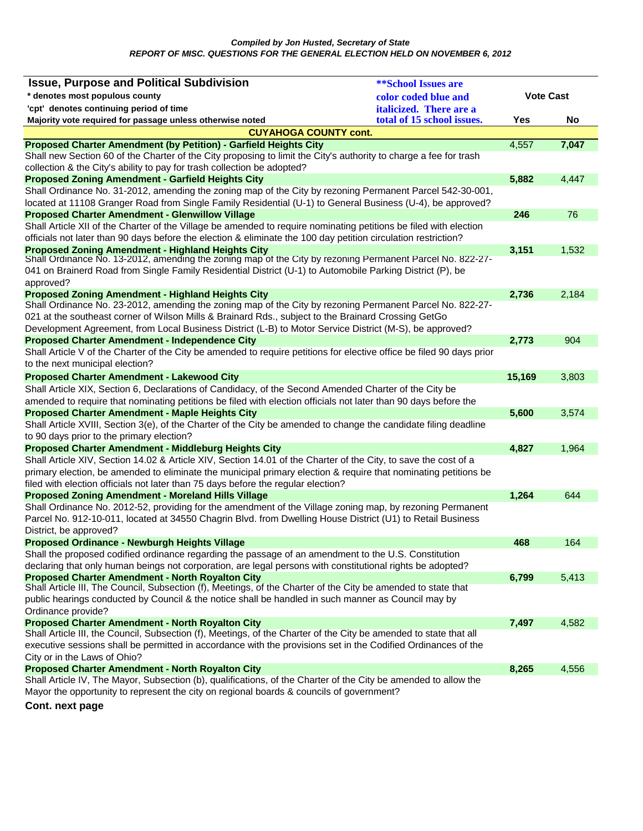| <b>Issue, Purpose and Political Subdivision</b>                                                                                                                                                                         | <b>**School Issues are</b>     |                  |       |
|-------------------------------------------------------------------------------------------------------------------------------------------------------------------------------------------------------------------------|--------------------------------|------------------|-------|
| * denotes most populous county                                                                                                                                                                                          | color coded blue and           | <b>Vote Cast</b> |       |
| 'cpt' denotes continuing period of time                                                                                                                                                                                 | <i>italicized.</i> There are a |                  |       |
| Majority vote required for passage unless otherwise noted                                                                                                                                                               | total of 15 school issues.     | Yes              | No    |
| <b>CUYAHOGA COUNTY cont.</b>                                                                                                                                                                                            |                                |                  |       |
| <b>Proposed Charter Amendment (by Petition) - Garfield Heights City</b>                                                                                                                                                 |                                | 4,557            | 7,047 |
| Shall new Section 60 of the Charter of the City proposing to limit the City's authority to charge a fee for trash                                                                                                       |                                |                  |       |
| collection & the City's ability to pay for trash collection be adopted?                                                                                                                                                 |                                |                  |       |
| <b>Proposed Zoning Amendment - Garfield Heights City</b>                                                                                                                                                                |                                | 5,882            | 4,447 |
| Shall Ordinance No. 31-2012, amending the zoning map of the City by rezoning Permanent Parcel 542-30-001,                                                                                                               |                                |                  |       |
| located at 11108 Granger Road from Single Family Residential (U-1) to General Business (U-4), be approved?                                                                                                              |                                |                  |       |
| <b>Proposed Charter Amendment - Glenwillow Village</b>                                                                                                                                                                  |                                | 246              | 76    |
| Shall Article XII of the Charter of the Village be amended to require nominating petitions be filed with election                                                                                                       |                                |                  |       |
| officials not later than 90 days before the election & eliminate the 100 day petition circulation restriction?                                                                                                          |                                |                  |       |
| <b>Proposed Zoning Amendment - Highland Heights City</b><br>Shall Ordinance No. 13-2012, amending the zoning map of the City by rezoning Permanent Parcel No. 822-27-                                                   |                                | 3,151            | 1,532 |
| 041 on Brainerd Road from Single Family Residential District (U-1) to Automobile Parking District (P), be                                                                                                               |                                |                  |       |
| approved?                                                                                                                                                                                                               |                                |                  |       |
| <b>Proposed Zoning Amendment - Highland Heights City</b>                                                                                                                                                                |                                | 2,736            | 2,184 |
| Shall Ordinance No. 23-2012, amending the zoning map of the City by rezoning Permanent Parcel No. 822-27-                                                                                                               |                                |                  |       |
| 021 at the southeast corner of Wilson Mills & Brainard Rds., subject to the Brainard Crossing GetGo                                                                                                                     |                                |                  |       |
| Development Agreement, from Local Business District (L-B) to Motor Service District (M-S), be approved?                                                                                                                 |                                |                  |       |
| <b>Proposed Charter Amendment - Independence City</b>                                                                                                                                                                   |                                | 2,773            | 904   |
| Shall Article V of the Charter of the City be amended to require petitions for elective office be filed 90 days prior                                                                                                   |                                |                  |       |
| to the next municipal election?                                                                                                                                                                                         |                                |                  |       |
| <b>Proposed Charter Amendment - Lakewood City</b>                                                                                                                                                                       |                                | 15,169           | 3,803 |
| Shall Article XIX, Section 6, Declarations of Candidacy, of the Second Amended Charter of the City be                                                                                                                   |                                |                  |       |
| amended to require that nominating petitions be filed with election officials not later than 90 days before the                                                                                                         |                                |                  |       |
| <b>Proposed Charter Amendment - Maple Heights City</b>                                                                                                                                                                  |                                | 5,600            | 3,574 |
| Shall Article XVIII, Section 3(e), of the Charter of the City be amended to change the candidate filing deadline                                                                                                        |                                |                  |       |
| to 90 days prior to the primary election?                                                                                                                                                                               |                                |                  |       |
| <b>Proposed Charter Amendment - Middleburg Heights City</b>                                                                                                                                                             |                                | 4,827            | 1,964 |
| Shall Article XIV, Section 14.02 & Article XIV, Section 14.01 of the Charter of the City, to save the cost of a                                                                                                         |                                |                  |       |
| primary election, be amended to eliminate the municipal primary election & require that nominating petitions be                                                                                                         |                                |                  |       |
| filed with election officials not later than 75 days before the regular election?                                                                                                                                       |                                |                  |       |
| <b>Proposed Zoning Amendment - Moreland Hills Village</b>                                                                                                                                                               |                                | 1,264            | 644   |
| Shall Ordinance No. 2012-52, providing for the amendment of the Village zoning map, by rezoning Permanent<br>Parcel No. 912-10-011, located at 34550 Chagrin Blvd. from Dwelling House District (U1) to Retail Business |                                |                  |       |
|                                                                                                                                                                                                                         |                                |                  |       |
| District, be approved?<br><b>Proposed Ordinance - Newburgh Heights Village</b>                                                                                                                                          |                                | 468              | 164   |
| Shall the proposed codified ordinance regarding the passage of an amendment to the U.S. Constitution                                                                                                                    |                                |                  |       |
| declaring that only human beings not corporation, are legal persons with constitutional rights be adopted?                                                                                                              |                                |                  |       |
| <b>Proposed Charter Amendment - North Royalton City</b>                                                                                                                                                                 |                                | 6,799            | 5,413 |
| Shall Article III, The Council, Subsection (f), Meetings, of the Charter of the City be amended to state that                                                                                                           |                                |                  |       |
| public hearings conducted by Council & the notice shall be handled in such manner as Council may by                                                                                                                     |                                |                  |       |
| Ordinance provide?                                                                                                                                                                                                      |                                |                  |       |
| <b>Proposed Charter Amendment - North Royalton City</b>                                                                                                                                                                 |                                | 7,497            | 4,582 |
| Shall Article III, the Council, Subsection (f), Meetings, of the Charter of the City be amended to state that all                                                                                                       |                                |                  |       |
| executive sessions shall be permitted in accordance with the provisions set in the Codified Ordinances of the                                                                                                           |                                |                  |       |
| City or in the Laws of Ohio?                                                                                                                                                                                            |                                |                  |       |
| <b>Proposed Charter Amendment - North Royalton City</b>                                                                                                                                                                 |                                | 8,265            | 4,556 |
| Shall Article IV, The Mayor, Subsection (b), qualifications, of the Charter of the City be amended to allow the                                                                                                         |                                |                  |       |
| Mayor the opportunity to represent the city on regional boards & councils of government?                                                                                                                                |                                |                  |       |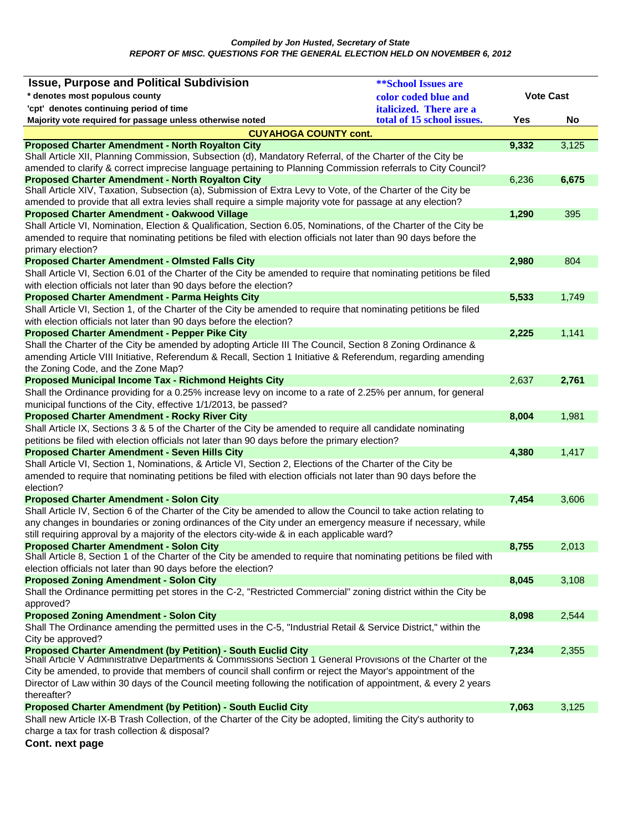## *Compiled by Jon Husted, Secretary of State REPORT OF MISC. QUESTIONS FOR THE GENERAL ELECTION HELD ON NOVEMBER 6, 2012*

| <b>Issue, Purpose and Political Subdivision</b>                                                                                                                  | <b>**School Issues are</b> |                  |       |
|------------------------------------------------------------------------------------------------------------------------------------------------------------------|----------------------------|------------------|-------|
| * denotes most populous county                                                                                                                                   | color coded blue and       | <b>Vote Cast</b> |       |
| 'cpt' denotes continuing period of time                                                                                                                          | italicized. There are a    |                  |       |
| Majority vote required for passage unless otherwise noted                                                                                                        | total of 15 school issues. | Yes              | No    |
| <b>CUYAHOGA COUNTY cont.</b>                                                                                                                                     |                            |                  |       |
| <b>Proposed Charter Amendment - North Royalton City</b>                                                                                                          |                            | 9,332            | 3,125 |
| Shall Article XII, Planning Commission, Subsection (d), Mandatory Referral, of the Charter of the City be                                                        |                            |                  |       |
| amended to clarify & correct imprecise language pertaining to Planning Commission referrals to City Council?                                                     |                            |                  |       |
| <b>Proposed Charter Amendment - North Royalton City</b>                                                                                                          |                            | 6,236            | 6,675 |
| Shall Article XIV, Taxation, Subsection (a), Submission of Extra Levy to Vote, of the Charter of the City be                                                     |                            |                  |       |
| amended to provide that all extra levies shall require a simple majority vote for passage at any election?                                                       |                            |                  | 395   |
| Proposed Charter Amendment - Oakwood Village<br>Shall Article VI, Nomination, Election & Qualification, Section 6.05, Nominations, of the Charter of the City be |                            | 1,290            |       |
| amended to require that nominating petitions be filed with election officials not later than 90 days before the                                                  |                            |                  |       |
| primary election?                                                                                                                                                |                            |                  |       |
| <b>Proposed Charter Amendment - Olmsted Falls City</b>                                                                                                           |                            | 2,980            | 804   |
| Shall Article VI, Section 6.01 of the Charter of the City be amended to require that nominating petitions be filed                                               |                            |                  |       |
| with election officials not later than 90 days before the election?                                                                                              |                            |                  |       |
| <b>Proposed Charter Amendment - Parma Heights City</b>                                                                                                           |                            | 5,533            | 1.749 |
| Shall Article VI, Section 1, of the Charter of the City be amended to require that nominating petitions be filed                                                 |                            |                  |       |
| with election officials not later than 90 days before the election?                                                                                              |                            |                  |       |
| <b>Proposed Charter Amendment - Pepper Pike City</b>                                                                                                             |                            | 2,225            | 1,141 |
| Shall the Charter of the City be amended by adopting Article III The Council, Section 8 Zoning Ordinance &                                                       |                            |                  |       |
| amending Article VIII Initiative, Referendum & Recall, Section 1 Initiative & Referendum, regarding amending                                                     |                            |                  |       |
| the Zoning Code, and the Zone Map?                                                                                                                               |                            |                  |       |
| <b>Proposed Municipal Income Tax - Richmond Heights City</b>                                                                                                     |                            | 2,637            | 2,761 |
| Shall the Ordinance providing for a 0.25% increase levy on income to a rate of 2.25% per annum, for general                                                      |                            |                  |       |
| municipal functions of the City, effective 1/1/2013, be passed?                                                                                                  |                            |                  |       |
| <b>Proposed Charter Amendment - Rocky River City</b>                                                                                                             |                            | 8,004            | 1,981 |
| Shall Article IX, Sections 3 & 5 of the Charter of the City be amended to require all candidate nominating                                                       |                            |                  |       |
| petitions be filed with election officials not later than 90 days before the primary election?                                                                   |                            |                  |       |
| <b>Proposed Charter Amendment - Seven Hills City</b>                                                                                                             |                            | 4,380            | 1,417 |
| Shall Article VI, Section 1, Nominations, & Article VI, Section 2, Elections of the Charter of the City be                                                       |                            |                  |       |
| amended to require that nominating petitions be filed with election officials not later than 90 days before the<br>election?                                     |                            |                  |       |
| <b>Proposed Charter Amendment - Solon City</b>                                                                                                                   |                            | 7,454            | 3,606 |
| Shall Article IV, Section 6 of the Charter of the City be amended to allow the Council to take action relating to                                                |                            |                  |       |
| any changes in boundaries or zoning ordinances of the City under an emergency measure if necessary, while                                                        |                            |                  |       |
| still requiring approval by a majority of the electors city-wide & in each applicable ward?                                                                      |                            |                  |       |
| Proposed Charter Amendment - Solon City                                                                                                                          |                            | 8,755            | 2,013 |
| Shall Article 8, Section 1 of the Charter of the City be amended to require that nominating petitions be filed with                                              |                            |                  |       |
| election officials not later than 90 days before the election?                                                                                                   |                            |                  |       |
| <b>Proposed Zoning Amendment - Solon City</b>                                                                                                                    |                            | 8,045            | 3,108 |
| Shall the Ordinance permitting pet stores in the C-2, "Restricted Commercial" zoning district within the City be                                                 |                            |                  |       |
| approved?                                                                                                                                                        |                            |                  |       |
| <b>Proposed Zoning Amendment - Solon City</b>                                                                                                                    |                            | 8,098            | 2,544 |
| Shall The Ordinance amending the permitted uses in the C-5, "Industrial Retail & Service District," within the<br>City be approved?                              |                            |                  |       |
| <b>Proposed Charter Amendment (by Petition) - South Euclid City</b>                                                                                              |                            | 7,234            | 2,355 |
| Shall Article V Administrative Departments & Commissions Section 1 General Provisions of the Charter of the                                                      |                            |                  |       |
| City be amended, to provide that members of council shall confirm or reject the Mayor's appointment of the                                                       |                            |                  |       |
| Director of Law within 30 days of the Council meeting following the notification of appointment, & every 2 years                                                 |                            |                  |       |
| thereafter?                                                                                                                                                      |                            |                  |       |
| <b>Proposed Charter Amendment (by Petition) - South Euclid City</b>                                                                                              |                            | 7,063            | 3,125 |
| Shall new Article IX-B Trash Collection, of the Charter of the City be adopted, limiting the City's authority to                                                 |                            |                  |       |
| charge a tax for trash collection & disposal?                                                                                                                    |                            |                  |       |
| Cont. next page                                                                                                                                                  |                            |                  |       |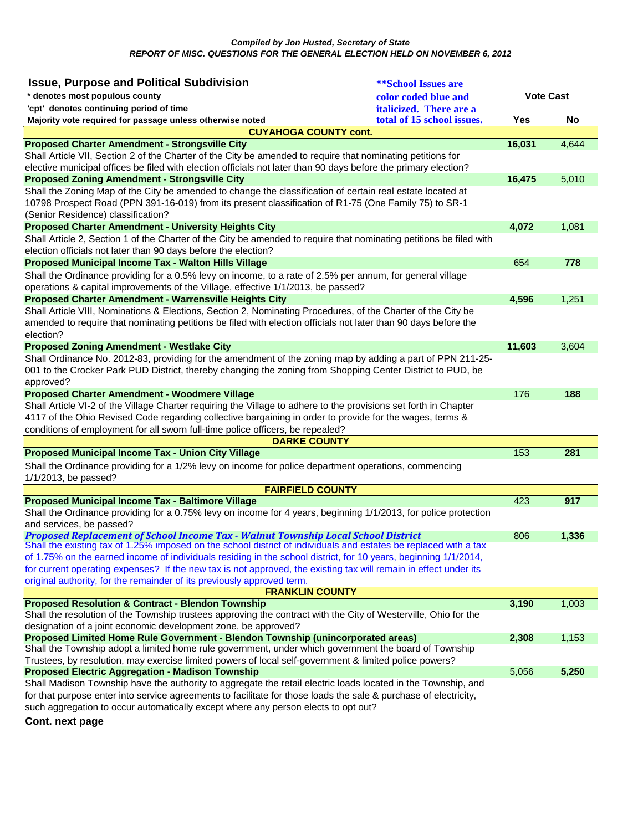| <b>Issue, Purpose and Political Subdivision</b>                                                                                                                                                       | <b>**School Issues are</b> |                  |       |
|-------------------------------------------------------------------------------------------------------------------------------------------------------------------------------------------------------|----------------------------|------------------|-------|
| * denotes most populous county                                                                                                                                                                        | color coded blue and       | <b>Vote Cast</b> |       |
| 'cpt' denotes continuing period of time                                                                                                                                                               | italicized. There are a    |                  |       |
| Majority vote required for passage unless otherwise noted                                                                                                                                             | total of 15 school issues. | Yes              | No    |
| <b>CUYAHOGA COUNTY cont.</b>                                                                                                                                                                          |                            |                  |       |
| <b>Proposed Charter Amendment - Strongsville City</b>                                                                                                                                                 |                            | 16,031           | 4,644 |
| Shall Article VII, Section 2 of the Charter of the City be amended to require that nominating petitions for                                                                                           |                            |                  |       |
| elective municipal offices be filed with election officials not later than 90 days before the primary election?                                                                                       |                            |                  |       |
| <b>Proposed Zoning Amendment - Strongsville City</b>                                                                                                                                                  |                            | 16,475           | 5,010 |
| Shall the Zoning Map of the City be amended to change the classification of certain real estate located at                                                                                            |                            |                  |       |
| 10798 Prospect Road (PPN 391-16-019) from its present classification of R1-75 (One Family 75) to SR-1<br>(Senior Residence) classification?                                                           |                            |                  |       |
| <b>Proposed Charter Amendment - University Heights City</b>                                                                                                                                           |                            | 4,072            | 1,081 |
| Shall Article 2, Section 1 of the Charter of the City be amended to require that nominating petitions be filed with                                                                                   |                            |                  |       |
| election officials not later than 90 days before the election?                                                                                                                                        |                            |                  |       |
| Proposed Municipal Income Tax - Walton Hills Village                                                                                                                                                  |                            | 654              | 778   |
| Shall the Ordinance providing for a 0.5% levy on income, to a rate of 2.5% per annum, for general village                                                                                             |                            |                  |       |
| operations & capital improvements of the Village, effective 1/1/2013, be passed?                                                                                                                      |                            |                  |       |
| <b>Proposed Charter Amendment - Warrensville Heights City</b>                                                                                                                                         |                            | 4,596            | 1,251 |
| Shall Article VIII, Nominations & Elections, Section 2, Nominating Procedures, of the Charter of the City be                                                                                          |                            |                  |       |
| amended to require that nominating petitions be filed with election officials not later than 90 days before the                                                                                       |                            |                  |       |
| election?                                                                                                                                                                                             |                            |                  |       |
| <b>Proposed Zoning Amendment - Westlake City</b>                                                                                                                                                      |                            | 11,603           | 3,604 |
| Shall Ordinance No. 2012-83, providing for the amendment of the zoning map by adding a part of PPN 211-25-                                                                                            |                            |                  |       |
| 001 to the Crocker Park PUD District, thereby changing the zoning from Shopping Center District to PUD, be                                                                                            |                            |                  |       |
| approved?                                                                                                                                                                                             |                            |                  |       |
| <b>Proposed Charter Amendment - Woodmere Village</b>                                                                                                                                                  |                            | 176              | 188   |
| Shall Article VI-2 of the Village Charter requiring the Village to adhere to the provisions set forth in Chapter                                                                                      |                            |                  |       |
| 4117 of the Ohio Revised Code regarding collective bargaining in order to provide for the wages, terms &<br>conditions of employment for all sworn full-time police officers, be repealed?            |                            |                  |       |
| <b>DARKE COUNTY</b>                                                                                                                                                                                   |                            |                  |       |
| <b>Proposed Municipal Income Tax - Union City Village</b>                                                                                                                                             |                            | 153              | 281   |
| Shall the Ordinance providing for a 1/2% levy on income for police department operations, commencing                                                                                                  |                            |                  |       |
| 1/1/2013, be passed?                                                                                                                                                                                  |                            |                  |       |
| <b>FAIRFIELD COUNTY</b>                                                                                                                                                                               |                            |                  |       |
| <b>Proposed Municipal Income Tax - Baltimore Village</b>                                                                                                                                              |                            | 423              | 917   |
| Shall the Ordinance providing for a 0.75% levy on income for 4 years, beginning 1/1/2013, for police protection                                                                                       |                            |                  |       |
| and services, be passed?                                                                                                                                                                              |                            |                  |       |
| Proposed Replacement of School Income Tax - Walnut Township Local School District<br>Shall the existing tax of 1.25% imposed on the school district of individuals and estates be replaced with a tax |                            | 806              | 1,336 |
| of 1.75% on the earned income of individuals residing in the school district, for 10 years, beginning 1/1/2014,                                                                                       |                            |                  |       |
| for current operating expenses? If the new tax is not approved, the existing tax will remain in effect under its                                                                                      |                            |                  |       |
| original authority, for the remainder of its previously approved term.                                                                                                                                |                            |                  |       |
| <b>FRANKLIN COUNTY</b>                                                                                                                                                                                |                            |                  |       |
| <b>Proposed Resolution &amp; Contract - Blendon Township</b>                                                                                                                                          |                            | 3,190            | 1,003 |
| Shall the resolution of the Township trustees approving the contract with the City of Westerville, Ohio for the                                                                                       |                            |                  |       |
| designation of a joint economic development zone, be approved?                                                                                                                                        |                            |                  |       |
| Proposed Limited Home Rule Government - Blendon Township (unincorporated areas)                                                                                                                       |                            | 2,308            | 1,153 |
| Shall the Township adopt a limited home rule government, under which government the board of Township                                                                                                 |                            |                  |       |
| Trustees, by resolution, may exercise limited powers of local self-government & limited police powers?<br><b>Proposed Electric Aggregation - Madison Township</b>                                     |                            | 5,056            | 5,250 |
| Shall Madison Township have the authority to aggregate the retail electric loads located in the Township, and                                                                                         |                            |                  |       |
| for that purpose enter into service agreements to facilitate for those loads the sale & purchase of electricity,                                                                                      |                            |                  |       |
| such aggregation to occur automatically except where any person elects to opt out?                                                                                                                    |                            |                  |       |
|                                                                                                                                                                                                       |                            |                  |       |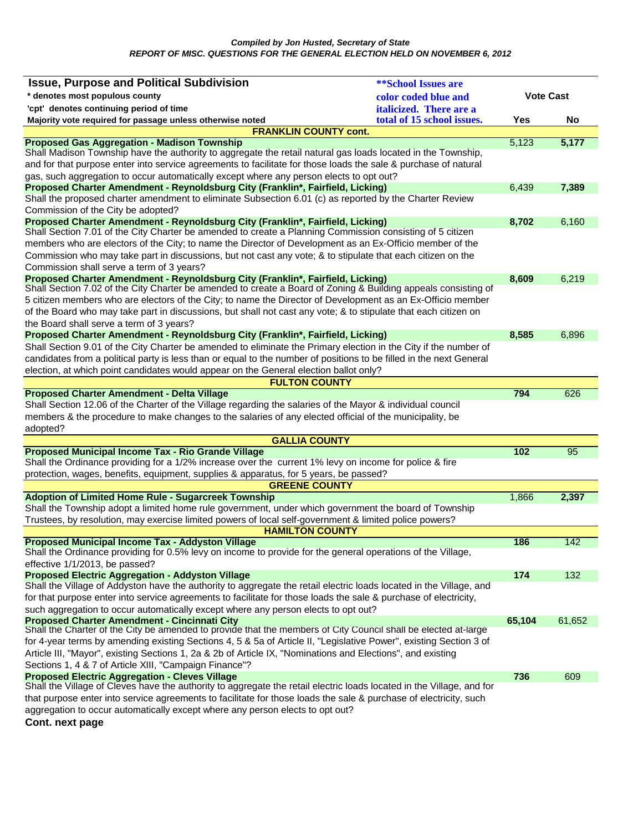| <b>Issue, Purpose and Political Subdivision</b>                                                                                                                     | <b>**School Issues are</b> |                  |        |
|---------------------------------------------------------------------------------------------------------------------------------------------------------------------|----------------------------|------------------|--------|
| * denotes most populous county                                                                                                                                      | color coded blue and       | <b>Vote Cast</b> |        |
| 'cpt' denotes continuing period of time                                                                                                                             | italicized. There are a    |                  |        |
| Majority vote required for passage unless otherwise noted                                                                                                           | total of 15 school issues. | Yes              | No     |
| <b>FRANKLIN COUNTY cont.</b>                                                                                                                                        |                            |                  |        |
| <b>Proposed Gas Aggregation - Madison Township</b>                                                                                                                  |                            | 5,123            | 5,177  |
| Shall Madison Township have the authority to aggregate the retail natural gas loads located in the Township,                                                        |                            |                  |        |
| and for that purpose enter into service agreements to facilitate for those loads the sale & purchase of natural                                                     |                            |                  |        |
| gas, such aggregation to occur automatically except where any person elects to opt out?                                                                             |                            |                  |        |
| Proposed Charter Amendment - Reynoldsburg City (Franklin*, Fairfield, Licking)                                                                                      |                            | 6,439            | 7,389  |
| Shall the proposed charter amendment to eliminate Subsection 6.01 (c) as reported by the Charter Review<br>Commission of the City be adopted?                       |                            |                  |        |
| Proposed Charter Amendment - Reynoldsburg City (Franklin*, Fairfield, Licking)                                                                                      |                            | 8,702            | 6,160  |
| Shall Section 7.01 of the City Charter be amended to create a Planning Commission consisting of 5 citizen                                                           |                            |                  |        |
| members who are electors of the City; to name the Director of Development as an Ex-Officio member of the                                                            |                            |                  |        |
| Commission who may take part in discussions, but not cast any vote; & to stipulate that each citizen on the                                                         |                            |                  |        |
| Commission shall serve a term of 3 years?                                                                                                                           |                            |                  |        |
| Proposed Charter Amendment - Reynoldsburg City (Franklin*, Fairfield, Licking)                                                                                      |                            | 8,609            | 6,219  |
| Shall Section 7.02 of the City Charter be amended to create a Board of Zoning & Building appeals consisting of                                                      |                            |                  |        |
| 5 citizen members who are electors of the City; to name the Director of Development as an Ex-Officio member                                                         |                            |                  |        |
| of the Board who may take part in discussions, but shall not cast any vote; & to stipulate that each citizen on                                                     |                            |                  |        |
| the Board shall serve a term of 3 years?                                                                                                                            |                            |                  |        |
| Proposed Charter Amendment - Reynoldsburg City (Franklin*, Fairfield, Licking)                                                                                      |                            | 8,585            | 6,896  |
| Shall Section 9.01 of the City Charter be amended to eliminate the Primary election in the City if the number of                                                    |                            |                  |        |
| candidates from a political party is less than or equal to the number of positions to be filled in the next General                                                 |                            |                  |        |
| election, at which point candidates would appear on the General election ballot only?<br><b>FULTON COUNTY</b>                                                       |                            |                  |        |
| <b>Proposed Charter Amendment - Delta Village</b>                                                                                                                   |                            | 794              | 626    |
| Shall Section 12.06 of the Charter of the Village regarding the salaries of the Mayor & individual council                                                          |                            |                  |        |
| members & the procedure to make changes to the salaries of any elected official of the municipality, be                                                             |                            |                  |        |
| adopted?                                                                                                                                                            |                            |                  |        |
| <b>GALLIA COUNTY</b>                                                                                                                                                |                            |                  |        |
| Proposed Municipal Income Tax - Rio Grande Village                                                                                                                  |                            | 102              | 95     |
| Shall the Ordinance providing for a 1/2% increase over the current 1% levy on income for police & fire                                                              |                            |                  |        |
| protection, wages, benefits, equipment, supplies & apparatus, for 5 years, be passed?                                                                               |                            |                  |        |
| <b>GREENE COUNTY</b>                                                                                                                                                |                            |                  |        |
| <b>Adoption of Limited Home Rule - Sugarcreek Township</b><br>Shall the Township adopt a limited home rule government, under which government the board of Township |                            | 1,866            | 2,397  |
| Trustees, by resolution, may exercise limited powers of local self-government & limited police powers?                                                              |                            |                  |        |
| <b>HAMILTON COUNTY</b>                                                                                                                                              |                            |                  |        |
| <b>Proposed Municipal Income Tax - Addyston Village</b>                                                                                                             |                            | 186              | 142    |
| Shall the Ordinance providing for 0.5% levy on income to provide for the general operations of the Village,                                                         |                            |                  |        |
| effective 1/1/2013, be passed?                                                                                                                                      |                            |                  |        |
| <b>Proposed Electric Aggregation - Addyston Village</b>                                                                                                             |                            | 174              | 132    |
| Shall the Village of Addyston have the authority to aggregate the retail electric loads located in the Village, and                                                 |                            |                  |        |
| for that purpose enter into service agreements to facilitate for those loads the sale & purchase of electricity,                                                    |                            |                  |        |
| such aggregation to occur automatically except where any person elects to opt out?                                                                                  |                            |                  |        |
| Proposed Charter Amendment - Cincinnati City<br>Shall the Charter of the City be amended to provide that the members of City Council shall be elected at-large      |                            | 65,104           | 61,652 |
| for 4-year terms by amending existing Sections 4, 5 & 5a of Article II, "Legislative Power", existing Section 3 of                                                  |                            |                  |        |
| Article III, "Mayor", existing Sections 1, 2a & 2b of Article IX, "Nominations and Elections", and existing                                                         |                            |                  |        |
| Sections 1, 4 & 7 of Article XIII, "Campaign Finance"?                                                                                                              |                            |                  |        |
| <b>Proposed Electric Aggregation - Cleves Village</b>                                                                                                               |                            | 736              | 609    |
| Shall the Village of Cleves have the authority to aggregate the retail electric loads located in the Village, and for                                               |                            |                  |        |
| that purpose enter into service agreements to facilitate for those loads the sale & purchase of electricity, such                                                   |                            |                  |        |
| aggregation to occur automatically except where any person elects to opt out?                                                                                       |                            |                  |        |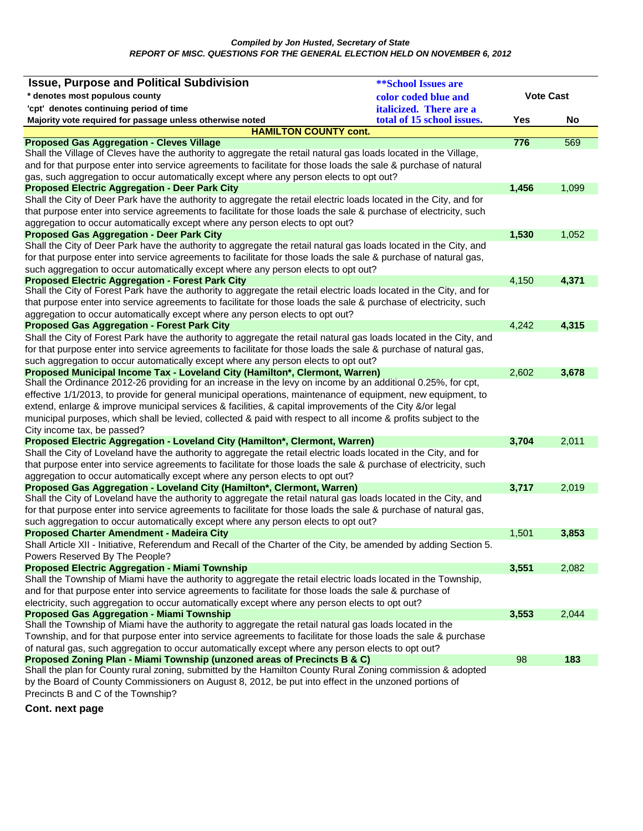| <b>Issue, Purpose and Political Subdivision</b>                                                                                                                                                                                       | <b>**School Issues are</b> |                  |       |
|---------------------------------------------------------------------------------------------------------------------------------------------------------------------------------------------------------------------------------------|----------------------------|------------------|-------|
| * denotes most populous county                                                                                                                                                                                                        | color coded blue and       | <b>Vote Cast</b> |       |
| 'cpt' denotes continuing period of time                                                                                                                                                                                               | italicized. There are a    |                  |       |
| Majority vote required for passage unless otherwise noted                                                                                                                                                                             | total of 15 school issues. | Yes              | No    |
| <b>HAMILTON COUNTY cont.</b>                                                                                                                                                                                                          |                            |                  |       |
| <b>Proposed Gas Aggregation - Cleves Village</b>                                                                                                                                                                                      |                            | 776              | 569   |
| Shall the Village of Cleves have the authority to aggregate the retail natural gas loads located in the Village,                                                                                                                      |                            |                  |       |
| and for that purpose enter into service agreements to facilitate for those loads the sale & purchase of natural                                                                                                                       |                            |                  |       |
| gas, such aggregation to occur automatically except where any person elects to opt out?                                                                                                                                               |                            |                  |       |
| <b>Proposed Electric Aggregation - Deer Park City</b>                                                                                                                                                                                 |                            | 1,456            | 1,099 |
| Shall the City of Deer Park have the authority to aggregate the retail electric loads located in the City, and for                                                                                                                    |                            |                  |       |
| that purpose enter into service agreements to facilitate for those loads the sale & purchase of electricity, such                                                                                                                     |                            |                  |       |
| aggregation to occur automatically except where any person elects to opt out?                                                                                                                                                         |                            |                  |       |
| <b>Proposed Gas Aggregation - Deer Park City</b>                                                                                                                                                                                      |                            | 1,530            | 1,052 |
| Shall the City of Deer Park have the authority to aggregate the retail natural gas loads located in the City, and<br>for that purpose enter into service agreements to facilitate for those loads the sale & purchase of natural gas, |                            |                  |       |
|                                                                                                                                                                                                                                       |                            |                  |       |
| such aggregation to occur automatically except where any person elects to opt out?<br><b>Proposed Electric Aggregation - Forest Park City</b>                                                                                         |                            | 4,150            | 4,371 |
| Shall the City of Forest Park have the authority to aggregate the retail electric loads located in the City, and for                                                                                                                  |                            |                  |       |
| that purpose enter into service agreements to facilitate for those loads the sale & purchase of electricity, such                                                                                                                     |                            |                  |       |
| aggregation to occur automatically except where any person elects to opt out?                                                                                                                                                         |                            |                  |       |
| <b>Proposed Gas Aggregation - Forest Park City</b>                                                                                                                                                                                    |                            | 4,242            | 4,315 |
| Shall the City of Forest Park have the authority to aggregate the retail natural gas loads located in the City, and                                                                                                                   |                            |                  |       |
| for that purpose enter into service agreements to facilitate for those loads the sale & purchase of natural gas,                                                                                                                      |                            |                  |       |
| such aggregation to occur automatically except where any person elects to opt out?                                                                                                                                                    |                            |                  |       |
| Proposed Municipal Income Tax - Loveland City (Hamilton*, Clermont, Warren)                                                                                                                                                           |                            | 2,602            | 3,678 |
| Shall the Ordinance 2012-26 providing for an increase in the levy on income by an additional 0.25%, for cpt,                                                                                                                          |                            |                  |       |
| effective 1/1/2013, to provide for general municipal operations, maintenance of equipment, new equipment, to                                                                                                                          |                            |                  |       |
| extend, enlarge & improve municipal services & facilities, & capital improvements of the City &/or legal                                                                                                                              |                            |                  |       |
| municipal purposes, which shall be levied, collected & paid with respect to all income & profits subject to the                                                                                                                       |                            |                  |       |
| City income tax, be passed?                                                                                                                                                                                                           |                            |                  |       |
| Proposed Electric Aggregation - Loveland City (Hamilton*, Clermont, Warren)                                                                                                                                                           |                            | 3,704            | 2,011 |
| Shall the City of Loveland have the authority to aggregate the retail electric loads located in the City, and for                                                                                                                     |                            |                  |       |
| that purpose enter into service agreements to facilitate for those loads the sale & purchase of electricity, such                                                                                                                     |                            |                  |       |
| aggregation to occur automatically except where any person elects to opt out?                                                                                                                                                         |                            |                  |       |
| Proposed Gas Aggregation - Loveland City (Hamilton*, Clermont, Warren)                                                                                                                                                                |                            | 3,717            | 2,019 |
| Shall the City of Loveland have the authority to aggregate the retail natural gas loads located in the City, and                                                                                                                      |                            |                  |       |
| for that purpose enter into service agreements to facilitate for those loads the sale & purchase of natural gas,                                                                                                                      |                            |                  |       |
| such aggregation to occur automatically except where any person elects to opt out?                                                                                                                                                    |                            |                  |       |
| <b>Proposed Charter Amendment - Madeira City</b>                                                                                                                                                                                      |                            | 1,501            | 3,853 |
| Shall Article XII - Initiative, Referendum and Recall of the Charter of the City, be amended by adding Section 5.                                                                                                                     |                            |                  |       |
| Powers Reserved By The People?<br><b>Proposed Electric Aggregation - Miami Township</b>                                                                                                                                               |                            |                  |       |
| Shall the Township of Miami have the authority to aggregate the retail electric loads located in the Township,                                                                                                                        |                            | 3,551            | 2,082 |
| and for that purpose enter into service agreements to facilitate for those loads the sale & purchase of                                                                                                                               |                            |                  |       |
| electricity, such aggregation to occur automatically except where any person elects to opt out?                                                                                                                                       |                            |                  |       |
| <b>Proposed Gas Aggregation - Miami Township</b>                                                                                                                                                                                      |                            | 3,553            | 2,044 |
| Shall the Township of Miami have the authority to aggregate the retail natural gas loads located in the                                                                                                                               |                            |                  |       |
| Township, and for that purpose enter into service agreements to facilitate for those loads the sale & purchase                                                                                                                        |                            |                  |       |
| of natural gas, such aggregation to occur automatically except where any person elects to opt out?                                                                                                                                    |                            |                  |       |
| Proposed Zoning Plan - Miami Township (unzoned areas of Precincts B & C)                                                                                                                                                              |                            | 98               | 183   |
| Shall the plan for County rural zoning, submitted by the Hamilton County Rural Zoning commission & adopted                                                                                                                            |                            |                  |       |
| by the Board of County Commissioners on August 8, 2012, be put into effect in the unzoned portions of                                                                                                                                 |                            |                  |       |
| Precincts B and C of the Township?                                                                                                                                                                                                    |                            |                  |       |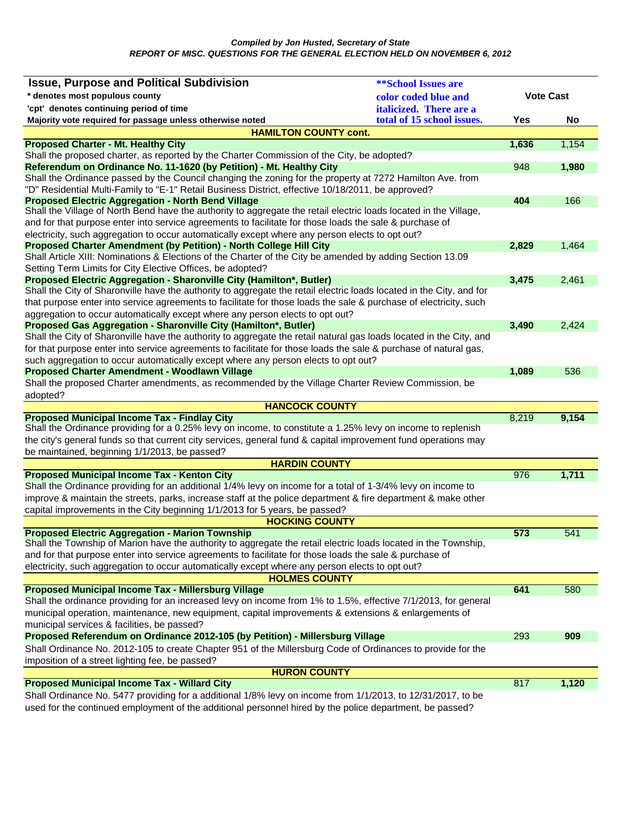*Compiled by Jon Husted, Secretary of State REPORT OF MISC. QUESTIONS FOR THE GENERAL ELECTION HELD ON NOVEMBER 6, 2012* 

| <b>Issue, Purpose and Political Subdivision</b>                                                                                                                                                                         | <b><i>**School Issues are</i></b> |                  |       |
|-------------------------------------------------------------------------------------------------------------------------------------------------------------------------------------------------------------------------|-----------------------------------|------------------|-------|
| * denotes most populous county                                                                                                                                                                                          | color coded blue and              | <b>Vote Cast</b> |       |
| 'cpt' denotes continuing period of time                                                                                                                                                                                 | <i>italicized.</i> There are a    |                  |       |
| Majority vote required for passage unless otherwise noted                                                                                                                                                               | total of 15 school issues.        | Yes              | No    |
| <b>HAMILTON COUNTY cont.</b>                                                                                                                                                                                            |                                   |                  |       |
| <b>Proposed Charter - Mt. Healthy City</b>                                                                                                                                                                              |                                   | 1,636            | 1,154 |
| Shall the proposed charter, as reported by the Charter Commission of the City, be adopted?                                                                                                                              |                                   |                  |       |
| Referendum on Ordinance No. 11-1620 (by Petition) - Mt. Healthy City                                                                                                                                                    |                                   | 948              | 1,980 |
| Shall the Ordinance passed by the Council changing the zoning for the property at 7272 Hamilton Ave. from                                                                                                               |                                   |                  |       |
| "D" Residential Multi-Family to "E-1" Retail Business District, effective 10/18/2011, be approved?                                                                                                                      |                                   |                  |       |
| <b>Proposed Electric Aggregation - North Bend Village</b><br>Shall the Village of North Bend have the authority to aggregate the retail electric loads located in the Village,                                          |                                   | 404              | 166   |
| and for that purpose enter into service agreements to facilitate for those loads the sale & purchase of                                                                                                                 |                                   |                  |       |
|                                                                                                                                                                                                                         |                                   |                  |       |
| electricity, such aggregation to occur automatically except where any person elects to opt out?<br>Proposed Charter Amendment (by Petition) - North College Hill City                                                   |                                   | 2,829            | 1,464 |
| Shall Article XIII: Nominations & Elections of the Charter of the City be amended by adding Section 13.09                                                                                                               |                                   |                  |       |
| Setting Term Limits for City Elective Offices, be adopted?                                                                                                                                                              |                                   |                  |       |
| Proposed Electric Aggregation - Sharonville City (Hamilton*, Butler)                                                                                                                                                    |                                   | 3,475            | 2,461 |
| Shall the City of Sharonville have the authority to aggregate the retail electric loads located in the City, and for                                                                                                    |                                   |                  |       |
| that purpose enter into service agreements to facilitate for those loads the sale & purchase of electricity, such                                                                                                       |                                   |                  |       |
| aggregation to occur automatically except where any person elects to opt out?                                                                                                                                           |                                   |                  |       |
| Proposed Gas Aggregation - Sharonville City (Hamilton*, Butler)                                                                                                                                                         |                                   | 3,490            | 2,424 |
| Shall the City of Sharonville have the authority to aggregate the retail natural gas loads located in the City, and                                                                                                     |                                   |                  |       |
| for that purpose enter into service agreements to facilitate for those loads the sale & purchase of natural gas,                                                                                                        |                                   |                  |       |
| such aggregation to occur automatically except where any person elects to opt out?                                                                                                                                      |                                   |                  |       |
| Proposed Charter Amendment - Woodlawn Village                                                                                                                                                                           |                                   | 1,089            | 536   |
| Shall the proposed Charter amendments, as recommended by the Village Charter Review Commission, be                                                                                                                      |                                   |                  |       |
| adopted?                                                                                                                                                                                                                |                                   |                  |       |
| <b>HANCOCK COUNTY</b>                                                                                                                                                                                                   |                                   |                  |       |
| <b>Proposed Municipal Income Tax - Findlay City</b><br>Shall the Ordinance providing for a 0.25% levy on income, to constitute a 1.25% levy on income to replenish                                                      |                                   | 8,219            | 9,154 |
| the city's general funds so that current city services, general fund & capital improvement fund operations may                                                                                                          |                                   |                  |       |
| be maintained, beginning 1/1/2013, be passed?                                                                                                                                                                           |                                   |                  |       |
| <b>HARDIN COUNTY</b>                                                                                                                                                                                                    |                                   |                  |       |
| <b>Proposed Municipal Income Tax - Kenton City</b>                                                                                                                                                                      |                                   | 976              | 1,711 |
| Shall the Ordinance providing for an additional 1/4% levy on income for a total of 1-3/4% levy on income to                                                                                                             |                                   |                  |       |
| improve & maintain the streets, parks, increase staff at the police department & fire department & make other                                                                                                           |                                   |                  |       |
| capital improvements in the City beginning 1/1/2013 for 5 years, be passed?                                                                                                                                             |                                   |                  |       |
| <b>HOCKING COUNTY</b>                                                                                                                                                                                                   |                                   |                  |       |
| <b>Proposed Electric Aggregation - Marion Township</b>                                                                                                                                                                  |                                   | 573              | 541   |
| Shall the Township of Marion have the authority to aggregate the retail electric loads located in the Township,                                                                                                         |                                   |                  |       |
| and for that purpose enter into service agreements to facilitate for those loads the sale & purchase of                                                                                                                 |                                   |                  |       |
| electricity, such aggregation to occur automatically except where any person elects to opt out?                                                                                                                         |                                   |                  |       |
| <b>HOLMES COUNTY</b>                                                                                                                                                                                                    |                                   |                  |       |
| <b>Proposed Municipal Income Tax - Millersburg Village</b>                                                                                                                                                              |                                   |                  | 580   |
|                                                                                                                                                                                                                         |                                   | 641              |       |
| Shall the ordinance providing for an increased levy on income from 1% to 1.5%, effective 7/1/2013, for general                                                                                                          |                                   |                  |       |
| municipal operation, maintenance, new equipment, capital improvements & extensions & enlargements of                                                                                                                    |                                   |                  |       |
| municipal services & facilities, be passed?                                                                                                                                                                             |                                   |                  |       |
| Proposed Referendum on Ordinance 2012-105 (by Petition) - Millersburg Village                                                                                                                                           |                                   | 293              | 909   |
| Shall Ordinance No. 2012-105 to create Chapter 951 of the Millersburg Code of Ordinances to provide for the                                                                                                             |                                   |                  |       |
| imposition of a street lighting fee, be passed?                                                                                                                                                                         |                                   |                  |       |
| <b>HURON COUNTY</b>                                                                                                                                                                                                     |                                   |                  |       |
| <b>Proposed Municipal Income Tax - Willard City</b>                                                                                                                                                                     |                                   | 817              | 1,120 |
| Shall Ordinance No. 5477 providing for a additional 1/8% levy on income from 1/1/2013, to 12/31/2017, to be<br>used for the continued employment of the additional personnel hired by the police department, be passed? |                                   |                  |       |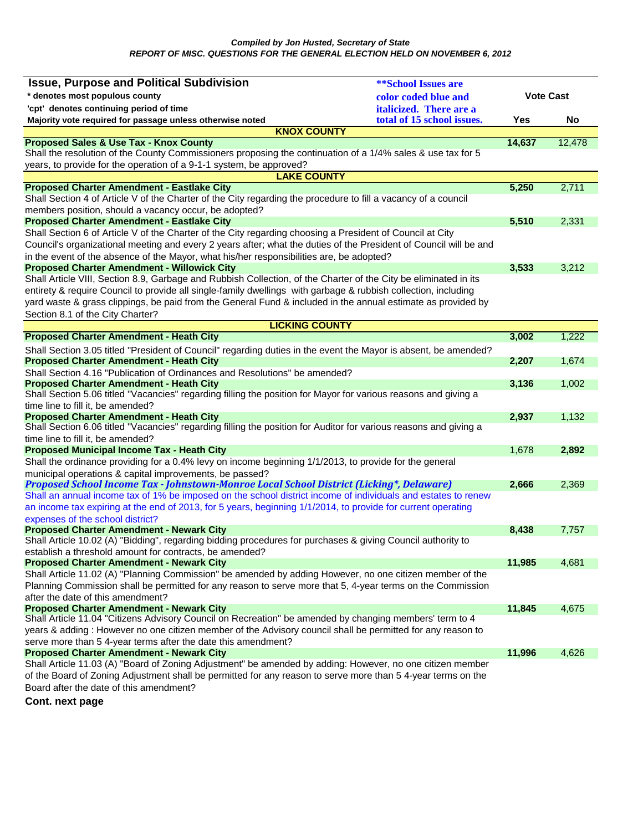| <b>Issue, Purpose and Political Subdivision</b>                                                                                                                        | <b>**School Issues are</b> |                  |        |
|------------------------------------------------------------------------------------------------------------------------------------------------------------------------|----------------------------|------------------|--------|
| * denotes most populous county                                                                                                                                         | color coded blue and       | <b>Vote Cast</b> |        |
| 'cpt' denotes continuing period of time                                                                                                                                | italicized. There are a    |                  |        |
| Majority vote required for passage unless otherwise noted                                                                                                              | total of 15 school issues. | Yes              | No     |
| <b>KNOX COUNTY</b>                                                                                                                                                     |                            |                  |        |
| <b>Proposed Sales &amp; Use Tax - Knox County</b>                                                                                                                      |                            | 14,637           | 12,478 |
| Shall the resolution of the County Commissioners proposing the continuation of a 1/4% sales & use tax for 5                                                            |                            |                  |        |
| years, to provide for the operation of a 9-1-1 system, be approved?                                                                                                    |                            |                  |        |
| <b>LAKE COUNTY</b>                                                                                                                                                     |                            |                  |        |
| <b>Proposed Charter Amendment - Eastlake City</b>                                                                                                                      |                            | 5,250            | 2,711  |
| Shall Section 4 of Article V of the Charter of the City regarding the procedure to fill a vacancy of a council                                                         |                            |                  |        |
| members position, should a vacancy occur, be adopted?                                                                                                                  |                            | 5,510            |        |
| <b>Proposed Charter Amendment - Eastlake City</b>                                                                                                                      |                            |                  | 2,331  |
| Shall Section 6 of Article V of the Charter of the City regarding choosing a President of Council at City                                                              |                            |                  |        |
| Council's organizational meeting and every 2 years after; what the duties of the President of Council will be and                                                      |                            |                  |        |
| in the event of the absence of the Mayor, what his/her responsibilities are, be adopted?                                                                               |                            |                  |        |
| <b>Proposed Charter Amendment - Willowick City</b><br>Shall Article VIII, Section 8.9, Garbage and Rubbish Collection, of the Charter of the City be eliminated in its |                            | 3,533            | 3,212  |
| entirety & require Council to provide all single-family dwellings with garbage & rubbish collection, including                                                         |                            |                  |        |
| yard waste & grass clippings, be paid from the General Fund & included in the annual estimate as provided by                                                           |                            |                  |        |
| Section 8.1 of the City Charter?                                                                                                                                       |                            |                  |        |
| <b>LICKING COUNTY</b>                                                                                                                                                  |                            |                  |        |
| <b>Proposed Charter Amendment - Heath City</b>                                                                                                                         |                            | 3,002            | 1,222  |
|                                                                                                                                                                        |                            |                  |        |
| Shall Section 3.05 titled "President of Council" regarding duties in the event the Mayor is absent, be amended?<br><b>Proposed Charter Amendment - Heath City</b>      |                            | 2,207            | 1,674  |
| Shall Section 4.16 "Publication of Ordinances and Resolutions" be amended?                                                                                             |                            |                  |        |
| <b>Proposed Charter Amendment - Heath City</b>                                                                                                                         |                            | 3,136            | 1,002  |
| Shall Section 5.06 titled "Vacancies" regarding filling the position for Mayor for various reasons and giving a                                                        |                            |                  |        |
| time line to fill it, be amended?                                                                                                                                      |                            |                  |        |
| <b>Proposed Charter Amendment - Heath City</b>                                                                                                                         |                            | 2,937            | 1,132  |
| Shall Section 6.06 titled "Vacancies" regarding filling the position for Auditor for various reasons and giving a                                                      |                            |                  |        |
| time line to fill it, be amended?                                                                                                                                      |                            |                  |        |
| <b>Proposed Municipal Income Tax - Heath City</b>                                                                                                                      |                            | 1,678            | 2,892  |
| Shall the ordinance providing for a 0.4% levy on income beginning 1/1/2013, to provide for the general                                                                 |                            |                  |        |
| municipal operations & capital improvements, be passed?                                                                                                                |                            |                  |        |
| Proposed School Income Tax - Johnstown-Monroe Local School District (Licking*, Delaware)                                                                               |                            | 2,666            | 2,369  |
| Shall an annual income tax of 1% be imposed on the school district income of individuals and estates to renew                                                          |                            |                  |        |
| an income tax expiring at the end of 2013, for 5 years, beginning 1/1/2014, to provide for current operating                                                           |                            |                  |        |
| expenses of the school district?                                                                                                                                       |                            |                  |        |
| <b>Proposed Charter Amendment - Newark City</b>                                                                                                                        |                            | 8,438            | 7,757  |
| Shall Article 10.02 (A) "Bidding", regarding bidding procedures for purchases & giving Council authority to                                                            |                            |                  |        |
| establish a threshold amount for contracts, be amended?                                                                                                                |                            |                  |        |
| <b>Proposed Charter Amendment - Newark City</b><br>Shall Article 11.02 (A) "Planning Commission" be amended by adding However, no one citizen member of the            |                            | 11,985           | 4,681  |
| Planning Commission shall be permitted for any reason to serve more that 5, 4-year terms on the Commission                                                             |                            |                  |        |
| after the date of this amendment?                                                                                                                                      |                            |                  |        |
| <b>Proposed Charter Amendment - Newark City</b>                                                                                                                        |                            | 11,845           | 4.675  |
| Shall Article 11.04 "Citizens Advisory Council on Recreation" be amended by changing members' term to 4                                                                |                            |                  |        |
| years & adding : However no one citizen member of the Advisory council shall be permitted for any reason to                                                            |                            |                  |        |
| serve more than 5 4-year terms after the date this amendment?                                                                                                          |                            |                  |        |
| <b>Proposed Charter Amendment - Newark City</b>                                                                                                                        |                            | 11,996           | 4,626  |
| Shall Article 11.03 (A) "Board of Zoning Adjustment" be amended by adding: However, no one citizen member                                                              |                            |                  |        |
| of the Board of Zoning Adjustment shall be permitted for any reason to serve more than 5 4-year terms on the                                                           |                            |                  |        |
| Board after the date of this amendment?                                                                                                                                |                            |                  |        |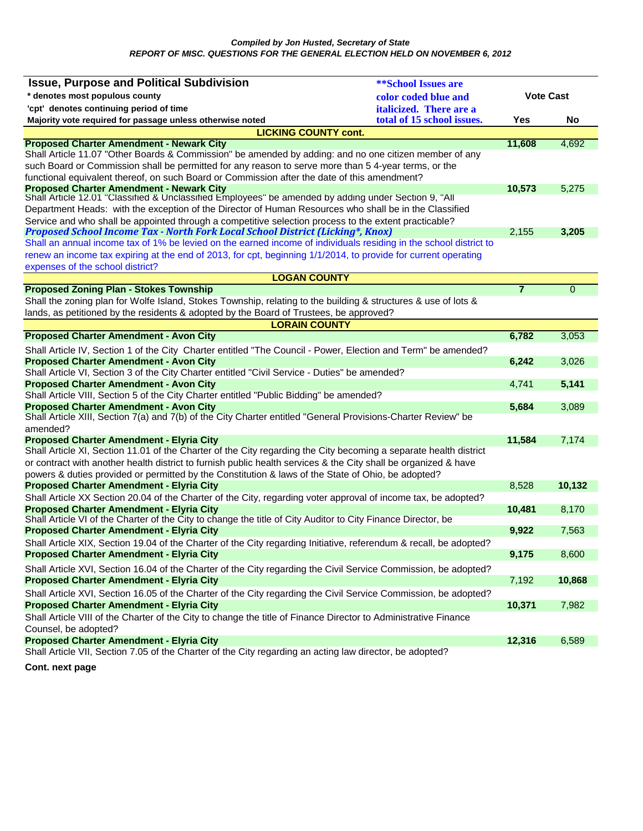| * denotes most populous county<br><b>Vote Cast</b><br>color coded blue and<br>'cpt' denotes continuing period of time<br>italicized. There are a<br>total of 15 school issues.<br>Majority vote required for passage unless otherwise noted<br>Yes<br>No<br><b>LICKING COUNTY cont.</b><br><b>Proposed Charter Amendment - Newark City</b><br>11,608<br>4,692<br>Shall Article 11.07 "Other Boards & Commission" be amended by adding: and no one citizen member of any<br>such Board or Commission shall be permitted for any reason to serve more than 5 4-year terms, or the<br>functional equivalent thereof, on such Board or Commission after the date of this amendment?<br><b>Proposed Charter Amendment - Newark City</b><br>10,573<br>5,275<br>Shall Article 12.01 "Classified & Unclassified Employees" be amended by adding under Section 9, "All<br>Department Heads: with the exception of the Director of Human Resources who shall be in the Classified<br>Service and who shall be appointed through a competitive selection process to the extent practicable?<br>Proposed School Income Tax - North Fork Local School District (Licking*, Knox)<br>2,155<br>3,205<br>Shall an annual income tax of 1% be levied on the earned income of individuals residing in the school district to<br>renew an income tax expiring at the end of 2013, for cpt, beginning 1/1/2014, to provide for current operating<br>expenses of the school district?<br><b>LOGAN COUNTY</b><br>$\overline{7}$<br><b>Proposed Zoning Plan - Stokes Township</b><br>$\Omega$<br>Shall the zoning plan for Wolfe Island, Stokes Township, relating to the building & structures & use of lots &<br>lands, as petitioned by the residents & adopted by the Board of Trustees, be approved?<br><b>LORAIN COUNTY</b><br>6,782<br>3,053<br><b>Proposed Charter Amendment - Avon City</b><br>Shall Article IV, Section 1 of the City Charter entitled "The Council - Power, Election and Term" be amended?<br><b>Proposed Charter Amendment - Avon City</b><br>3,026<br>6,242<br>Shall Article VI, Section 3 of the City Charter entitled "Civil Service - Duties" be amended?<br><b>Proposed Charter Amendment - Avon City</b><br>5,141<br>4,741<br>Shall Article VIII, Section 5 of the City Charter entitled "Public Bidding" be amended?<br>5,684<br><b>Proposed Charter Amendment - Avon City</b><br>3,089<br>Shall Article XIII, Section 7(a) and 7(b) of the City Charter entitled "General Provisions-Charter Review" be<br>11,584<br>7,174<br>Shall Article XI, Section 11.01 of the Charter of the City regarding the City becoming a separate health district<br>or contract with another health district to furnish public health services & the City shall be organized & have<br>powers & duties provided or permitted by the Constitution & laws of the State of Ohio, be adopted?<br><b>Proposed Charter Amendment - Elyria City</b><br>10,132<br>8,528<br>Shall Article XX Section 20.04 of the Charter of the City, regarding voter approval of income tax, be adopted?<br><b>Proposed Charter Amendment - Elyria City</b><br>10,481<br>8,170<br>Shall Article VI of the Charter of the City to change the title of City Auditor to City Finance Director, be<br>9,922<br><b>Proposed Charter Amendment - Elyria City</b><br>7,563<br>Shall Article XIX, Section 19.04 of the Charter of the City regarding Initiative, referendum & recall, be adopted?<br><b>Proposed Charter Amendment - Elyria City</b><br>9,175<br>8,600<br>Shall Article XVI, Section 16.04 of the Charter of the City regarding the Civil Service Commission, be adopted?<br><b>Proposed Charter Amendment - Elyria City</b><br>10,868<br>7,192<br>Shall Article XVI, Section 16.05 of the Charter of the City regarding the Civil Service Commission, be adopted?<br><b>Proposed Charter Amendment - Elyria City</b><br>10,371<br>7,982<br>Shall Article VIII of the Charter of the City to change the title of Finance Director to Administrative Finance<br>Counsel, be adopted?<br><b>Proposed Charter Amendment - Elyria City</b><br>12,316<br>6,589<br>Shall Article VII, Section 7.05 of the Charter of the City regarding an acting law director, be adopted? | <b>Issue, Purpose and Political Subdivision</b> | <b><i>**School Issues are</i></b> |  |  |
|---------------------------------------------------------------------------------------------------------------------------------------------------------------------------------------------------------------------------------------------------------------------------------------------------------------------------------------------------------------------------------------------------------------------------------------------------------------------------------------------------------------------------------------------------------------------------------------------------------------------------------------------------------------------------------------------------------------------------------------------------------------------------------------------------------------------------------------------------------------------------------------------------------------------------------------------------------------------------------------------------------------------------------------------------------------------------------------------------------------------------------------------------------------------------------------------------------------------------------------------------------------------------------------------------------------------------------------------------------------------------------------------------------------------------------------------------------------------------------------------------------------------------------------------------------------------------------------------------------------------------------------------------------------------------------------------------------------------------------------------------------------------------------------------------------------------------------------------------------------------------------------------------------------------------------------------------------------------------------------------------------------------------------------------------------------------------------------------------------------------------------------------------------------------------------------------------------------------------------------------------------------------------------------------------------------------------------------------------------------------------------------------------------------------------------------------------------------------------------------------------------------------------------------------------------------------------------------------------------------------------------------------------------------------------------------------------------------------------------------------------------------------------------------------------------------------------------------------------------------------------------------------------------------------------------------------------------------------------------------------------------------------------------------------------------------------------------------------------------------------------------------------------------------------------------------------------------------------------------------------------------------------------------------------------------------------------------------------------------------------------------------------------------------------------------------------------------------------------------------------------------------------------------------------------------------------------------------------------------------------------------------------------------------------------------------------------------------------------------------------------------------------------------------------------------------------------------------------------------------------------------------------------------------------------------------------------------------------------------------------------------------------------------------------------------------------------------------------------------------------------------------------------------------------------------------------------------------------------------------------------|-------------------------------------------------|-----------------------------------|--|--|
|                                                                                                                                                                                                                                                                                                                                                                                                                                                                                                                                                                                                                                                                                                                                                                                                                                                                                                                                                                                                                                                                                                                                                                                                                                                                                                                                                                                                                                                                                                                                                                                                                                                                                                                                                                                                                                                                                                                                                                                                                                                                                                                                                                                                                                                                                                                                                                                                                                                                                                                                                                                                                                                                                                                                                                                                                                                                                                                                                                                                                                                                                                                                                                                                                                                                                                                                                                                                                                                                                                                                                                                                                                                                                                                                                                                                                                                                                                                                                                                                                                                                                                                                                                                                                                                   |                                                 |                                   |  |  |
|                                                                                                                                                                                                                                                                                                                                                                                                                                                                                                                                                                                                                                                                                                                                                                                                                                                                                                                                                                                                                                                                                                                                                                                                                                                                                                                                                                                                                                                                                                                                                                                                                                                                                                                                                                                                                                                                                                                                                                                                                                                                                                                                                                                                                                                                                                                                                                                                                                                                                                                                                                                                                                                                                                                                                                                                                                                                                                                                                                                                                                                                                                                                                                                                                                                                                                                                                                                                                                                                                                                                                                                                                                                                                                                                                                                                                                                                                                                                                                                                                                                                                                                                                                                                                                                   |                                                 |                                   |  |  |
|                                                                                                                                                                                                                                                                                                                                                                                                                                                                                                                                                                                                                                                                                                                                                                                                                                                                                                                                                                                                                                                                                                                                                                                                                                                                                                                                                                                                                                                                                                                                                                                                                                                                                                                                                                                                                                                                                                                                                                                                                                                                                                                                                                                                                                                                                                                                                                                                                                                                                                                                                                                                                                                                                                                                                                                                                                                                                                                                                                                                                                                                                                                                                                                                                                                                                                                                                                                                                                                                                                                                                                                                                                                                                                                                                                                                                                                                                                                                                                                                                                                                                                                                                                                                                                                   |                                                 |                                   |  |  |
|                                                                                                                                                                                                                                                                                                                                                                                                                                                                                                                                                                                                                                                                                                                                                                                                                                                                                                                                                                                                                                                                                                                                                                                                                                                                                                                                                                                                                                                                                                                                                                                                                                                                                                                                                                                                                                                                                                                                                                                                                                                                                                                                                                                                                                                                                                                                                                                                                                                                                                                                                                                                                                                                                                                                                                                                                                                                                                                                                                                                                                                                                                                                                                                                                                                                                                                                                                                                                                                                                                                                                                                                                                                                                                                                                                                                                                                                                                                                                                                                                                                                                                                                                                                                                                                   |                                                 |                                   |  |  |
|                                                                                                                                                                                                                                                                                                                                                                                                                                                                                                                                                                                                                                                                                                                                                                                                                                                                                                                                                                                                                                                                                                                                                                                                                                                                                                                                                                                                                                                                                                                                                                                                                                                                                                                                                                                                                                                                                                                                                                                                                                                                                                                                                                                                                                                                                                                                                                                                                                                                                                                                                                                                                                                                                                                                                                                                                                                                                                                                                                                                                                                                                                                                                                                                                                                                                                                                                                                                                                                                                                                                                                                                                                                                                                                                                                                                                                                                                                                                                                                                                                                                                                                                                                                                                                                   |                                                 |                                   |  |  |
|                                                                                                                                                                                                                                                                                                                                                                                                                                                                                                                                                                                                                                                                                                                                                                                                                                                                                                                                                                                                                                                                                                                                                                                                                                                                                                                                                                                                                                                                                                                                                                                                                                                                                                                                                                                                                                                                                                                                                                                                                                                                                                                                                                                                                                                                                                                                                                                                                                                                                                                                                                                                                                                                                                                                                                                                                                                                                                                                                                                                                                                                                                                                                                                                                                                                                                                                                                                                                                                                                                                                                                                                                                                                                                                                                                                                                                                                                                                                                                                                                                                                                                                                                                                                                                                   |                                                 |                                   |  |  |
|                                                                                                                                                                                                                                                                                                                                                                                                                                                                                                                                                                                                                                                                                                                                                                                                                                                                                                                                                                                                                                                                                                                                                                                                                                                                                                                                                                                                                                                                                                                                                                                                                                                                                                                                                                                                                                                                                                                                                                                                                                                                                                                                                                                                                                                                                                                                                                                                                                                                                                                                                                                                                                                                                                                                                                                                                                                                                                                                                                                                                                                                                                                                                                                                                                                                                                                                                                                                                                                                                                                                                                                                                                                                                                                                                                                                                                                                                                                                                                                                                                                                                                                                                                                                                                                   |                                                 |                                   |  |  |
|                                                                                                                                                                                                                                                                                                                                                                                                                                                                                                                                                                                                                                                                                                                                                                                                                                                                                                                                                                                                                                                                                                                                                                                                                                                                                                                                                                                                                                                                                                                                                                                                                                                                                                                                                                                                                                                                                                                                                                                                                                                                                                                                                                                                                                                                                                                                                                                                                                                                                                                                                                                                                                                                                                                                                                                                                                                                                                                                                                                                                                                                                                                                                                                                                                                                                                                                                                                                                                                                                                                                                                                                                                                                                                                                                                                                                                                                                                                                                                                                                                                                                                                                                                                                                                                   |                                                 |                                   |  |  |
|                                                                                                                                                                                                                                                                                                                                                                                                                                                                                                                                                                                                                                                                                                                                                                                                                                                                                                                                                                                                                                                                                                                                                                                                                                                                                                                                                                                                                                                                                                                                                                                                                                                                                                                                                                                                                                                                                                                                                                                                                                                                                                                                                                                                                                                                                                                                                                                                                                                                                                                                                                                                                                                                                                                                                                                                                                                                                                                                                                                                                                                                                                                                                                                                                                                                                                                                                                                                                                                                                                                                                                                                                                                                                                                                                                                                                                                                                                                                                                                                                                                                                                                                                                                                                                                   |                                                 |                                   |  |  |
|                                                                                                                                                                                                                                                                                                                                                                                                                                                                                                                                                                                                                                                                                                                                                                                                                                                                                                                                                                                                                                                                                                                                                                                                                                                                                                                                                                                                                                                                                                                                                                                                                                                                                                                                                                                                                                                                                                                                                                                                                                                                                                                                                                                                                                                                                                                                                                                                                                                                                                                                                                                                                                                                                                                                                                                                                                                                                                                                                                                                                                                                                                                                                                                                                                                                                                                                                                                                                                                                                                                                                                                                                                                                                                                                                                                                                                                                                                                                                                                                                                                                                                                                                                                                                                                   |                                                 |                                   |  |  |
|                                                                                                                                                                                                                                                                                                                                                                                                                                                                                                                                                                                                                                                                                                                                                                                                                                                                                                                                                                                                                                                                                                                                                                                                                                                                                                                                                                                                                                                                                                                                                                                                                                                                                                                                                                                                                                                                                                                                                                                                                                                                                                                                                                                                                                                                                                                                                                                                                                                                                                                                                                                                                                                                                                                                                                                                                                                                                                                                                                                                                                                                                                                                                                                                                                                                                                                                                                                                                                                                                                                                                                                                                                                                                                                                                                                                                                                                                                                                                                                                                                                                                                                                                                                                                                                   |                                                 |                                   |  |  |
|                                                                                                                                                                                                                                                                                                                                                                                                                                                                                                                                                                                                                                                                                                                                                                                                                                                                                                                                                                                                                                                                                                                                                                                                                                                                                                                                                                                                                                                                                                                                                                                                                                                                                                                                                                                                                                                                                                                                                                                                                                                                                                                                                                                                                                                                                                                                                                                                                                                                                                                                                                                                                                                                                                                                                                                                                                                                                                                                                                                                                                                                                                                                                                                                                                                                                                                                                                                                                                                                                                                                                                                                                                                                                                                                                                                                                                                                                                                                                                                                                                                                                                                                                                                                                                                   |                                                 |                                   |  |  |
|                                                                                                                                                                                                                                                                                                                                                                                                                                                                                                                                                                                                                                                                                                                                                                                                                                                                                                                                                                                                                                                                                                                                                                                                                                                                                                                                                                                                                                                                                                                                                                                                                                                                                                                                                                                                                                                                                                                                                                                                                                                                                                                                                                                                                                                                                                                                                                                                                                                                                                                                                                                                                                                                                                                                                                                                                                                                                                                                                                                                                                                                                                                                                                                                                                                                                                                                                                                                                                                                                                                                                                                                                                                                                                                                                                                                                                                                                                                                                                                                                                                                                                                                                                                                                                                   |                                                 |                                   |  |  |
|                                                                                                                                                                                                                                                                                                                                                                                                                                                                                                                                                                                                                                                                                                                                                                                                                                                                                                                                                                                                                                                                                                                                                                                                                                                                                                                                                                                                                                                                                                                                                                                                                                                                                                                                                                                                                                                                                                                                                                                                                                                                                                                                                                                                                                                                                                                                                                                                                                                                                                                                                                                                                                                                                                                                                                                                                                                                                                                                                                                                                                                                                                                                                                                                                                                                                                                                                                                                                                                                                                                                                                                                                                                                                                                                                                                                                                                                                                                                                                                                                                                                                                                                                                                                                                                   |                                                 |                                   |  |  |
|                                                                                                                                                                                                                                                                                                                                                                                                                                                                                                                                                                                                                                                                                                                                                                                                                                                                                                                                                                                                                                                                                                                                                                                                                                                                                                                                                                                                                                                                                                                                                                                                                                                                                                                                                                                                                                                                                                                                                                                                                                                                                                                                                                                                                                                                                                                                                                                                                                                                                                                                                                                                                                                                                                                                                                                                                                                                                                                                                                                                                                                                                                                                                                                                                                                                                                                                                                                                                                                                                                                                                                                                                                                                                                                                                                                                                                                                                                                                                                                                                                                                                                                                                                                                                                                   |                                                 |                                   |  |  |
|                                                                                                                                                                                                                                                                                                                                                                                                                                                                                                                                                                                                                                                                                                                                                                                                                                                                                                                                                                                                                                                                                                                                                                                                                                                                                                                                                                                                                                                                                                                                                                                                                                                                                                                                                                                                                                                                                                                                                                                                                                                                                                                                                                                                                                                                                                                                                                                                                                                                                                                                                                                                                                                                                                                                                                                                                                                                                                                                                                                                                                                                                                                                                                                                                                                                                                                                                                                                                                                                                                                                                                                                                                                                                                                                                                                                                                                                                                                                                                                                                                                                                                                                                                                                                                                   |                                                 |                                   |  |  |
|                                                                                                                                                                                                                                                                                                                                                                                                                                                                                                                                                                                                                                                                                                                                                                                                                                                                                                                                                                                                                                                                                                                                                                                                                                                                                                                                                                                                                                                                                                                                                                                                                                                                                                                                                                                                                                                                                                                                                                                                                                                                                                                                                                                                                                                                                                                                                                                                                                                                                                                                                                                                                                                                                                                                                                                                                                                                                                                                                                                                                                                                                                                                                                                                                                                                                                                                                                                                                                                                                                                                                                                                                                                                                                                                                                                                                                                                                                                                                                                                                                                                                                                                                                                                                                                   |                                                 |                                   |  |  |
|                                                                                                                                                                                                                                                                                                                                                                                                                                                                                                                                                                                                                                                                                                                                                                                                                                                                                                                                                                                                                                                                                                                                                                                                                                                                                                                                                                                                                                                                                                                                                                                                                                                                                                                                                                                                                                                                                                                                                                                                                                                                                                                                                                                                                                                                                                                                                                                                                                                                                                                                                                                                                                                                                                                                                                                                                                                                                                                                                                                                                                                                                                                                                                                                                                                                                                                                                                                                                                                                                                                                                                                                                                                                                                                                                                                                                                                                                                                                                                                                                                                                                                                                                                                                                                                   |                                                 |                                   |  |  |
|                                                                                                                                                                                                                                                                                                                                                                                                                                                                                                                                                                                                                                                                                                                                                                                                                                                                                                                                                                                                                                                                                                                                                                                                                                                                                                                                                                                                                                                                                                                                                                                                                                                                                                                                                                                                                                                                                                                                                                                                                                                                                                                                                                                                                                                                                                                                                                                                                                                                                                                                                                                                                                                                                                                                                                                                                                                                                                                                                                                                                                                                                                                                                                                                                                                                                                                                                                                                                                                                                                                                                                                                                                                                                                                                                                                                                                                                                                                                                                                                                                                                                                                                                                                                                                                   |                                                 |                                   |  |  |
|                                                                                                                                                                                                                                                                                                                                                                                                                                                                                                                                                                                                                                                                                                                                                                                                                                                                                                                                                                                                                                                                                                                                                                                                                                                                                                                                                                                                                                                                                                                                                                                                                                                                                                                                                                                                                                                                                                                                                                                                                                                                                                                                                                                                                                                                                                                                                                                                                                                                                                                                                                                                                                                                                                                                                                                                                                                                                                                                                                                                                                                                                                                                                                                                                                                                                                                                                                                                                                                                                                                                                                                                                                                                                                                                                                                                                                                                                                                                                                                                                                                                                                                                                                                                                                                   |                                                 |                                   |  |  |
|                                                                                                                                                                                                                                                                                                                                                                                                                                                                                                                                                                                                                                                                                                                                                                                                                                                                                                                                                                                                                                                                                                                                                                                                                                                                                                                                                                                                                                                                                                                                                                                                                                                                                                                                                                                                                                                                                                                                                                                                                                                                                                                                                                                                                                                                                                                                                                                                                                                                                                                                                                                                                                                                                                                                                                                                                                                                                                                                                                                                                                                                                                                                                                                                                                                                                                                                                                                                                                                                                                                                                                                                                                                                                                                                                                                                                                                                                                                                                                                                                                                                                                                                                                                                                                                   |                                                 |                                   |  |  |
|                                                                                                                                                                                                                                                                                                                                                                                                                                                                                                                                                                                                                                                                                                                                                                                                                                                                                                                                                                                                                                                                                                                                                                                                                                                                                                                                                                                                                                                                                                                                                                                                                                                                                                                                                                                                                                                                                                                                                                                                                                                                                                                                                                                                                                                                                                                                                                                                                                                                                                                                                                                                                                                                                                                                                                                                                                                                                                                                                                                                                                                                                                                                                                                                                                                                                                                                                                                                                                                                                                                                                                                                                                                                                                                                                                                                                                                                                                                                                                                                                                                                                                                                                                                                                                                   |                                                 |                                   |  |  |
|                                                                                                                                                                                                                                                                                                                                                                                                                                                                                                                                                                                                                                                                                                                                                                                                                                                                                                                                                                                                                                                                                                                                                                                                                                                                                                                                                                                                                                                                                                                                                                                                                                                                                                                                                                                                                                                                                                                                                                                                                                                                                                                                                                                                                                                                                                                                                                                                                                                                                                                                                                                                                                                                                                                                                                                                                                                                                                                                                                                                                                                                                                                                                                                                                                                                                                                                                                                                                                                                                                                                                                                                                                                                                                                                                                                                                                                                                                                                                                                                                                                                                                                                                                                                                                                   |                                                 |                                   |  |  |
|                                                                                                                                                                                                                                                                                                                                                                                                                                                                                                                                                                                                                                                                                                                                                                                                                                                                                                                                                                                                                                                                                                                                                                                                                                                                                                                                                                                                                                                                                                                                                                                                                                                                                                                                                                                                                                                                                                                                                                                                                                                                                                                                                                                                                                                                                                                                                                                                                                                                                                                                                                                                                                                                                                                                                                                                                                                                                                                                                                                                                                                                                                                                                                                                                                                                                                                                                                                                                                                                                                                                                                                                                                                                                                                                                                                                                                                                                                                                                                                                                                                                                                                                                                                                                                                   |                                                 |                                   |  |  |
|                                                                                                                                                                                                                                                                                                                                                                                                                                                                                                                                                                                                                                                                                                                                                                                                                                                                                                                                                                                                                                                                                                                                                                                                                                                                                                                                                                                                                                                                                                                                                                                                                                                                                                                                                                                                                                                                                                                                                                                                                                                                                                                                                                                                                                                                                                                                                                                                                                                                                                                                                                                                                                                                                                                                                                                                                                                                                                                                                                                                                                                                                                                                                                                                                                                                                                                                                                                                                                                                                                                                                                                                                                                                                                                                                                                                                                                                                                                                                                                                                                                                                                                                                                                                                                                   |                                                 |                                   |  |  |
|                                                                                                                                                                                                                                                                                                                                                                                                                                                                                                                                                                                                                                                                                                                                                                                                                                                                                                                                                                                                                                                                                                                                                                                                                                                                                                                                                                                                                                                                                                                                                                                                                                                                                                                                                                                                                                                                                                                                                                                                                                                                                                                                                                                                                                                                                                                                                                                                                                                                                                                                                                                                                                                                                                                                                                                                                                                                                                                                                                                                                                                                                                                                                                                                                                                                                                                                                                                                                                                                                                                                                                                                                                                                                                                                                                                                                                                                                                                                                                                                                                                                                                                                                                                                                                                   |                                                 |                                   |  |  |
|                                                                                                                                                                                                                                                                                                                                                                                                                                                                                                                                                                                                                                                                                                                                                                                                                                                                                                                                                                                                                                                                                                                                                                                                                                                                                                                                                                                                                                                                                                                                                                                                                                                                                                                                                                                                                                                                                                                                                                                                                                                                                                                                                                                                                                                                                                                                                                                                                                                                                                                                                                                                                                                                                                                                                                                                                                                                                                                                                                                                                                                                                                                                                                                                                                                                                                                                                                                                                                                                                                                                                                                                                                                                                                                                                                                                                                                                                                                                                                                                                                                                                                                                                                                                                                                   |                                                 |                                   |  |  |
|                                                                                                                                                                                                                                                                                                                                                                                                                                                                                                                                                                                                                                                                                                                                                                                                                                                                                                                                                                                                                                                                                                                                                                                                                                                                                                                                                                                                                                                                                                                                                                                                                                                                                                                                                                                                                                                                                                                                                                                                                                                                                                                                                                                                                                                                                                                                                                                                                                                                                                                                                                                                                                                                                                                                                                                                                                                                                                                                                                                                                                                                                                                                                                                                                                                                                                                                                                                                                                                                                                                                                                                                                                                                                                                                                                                                                                                                                                                                                                                                                                                                                                                                                                                                                                                   | amended?                                        |                                   |  |  |
|                                                                                                                                                                                                                                                                                                                                                                                                                                                                                                                                                                                                                                                                                                                                                                                                                                                                                                                                                                                                                                                                                                                                                                                                                                                                                                                                                                                                                                                                                                                                                                                                                                                                                                                                                                                                                                                                                                                                                                                                                                                                                                                                                                                                                                                                                                                                                                                                                                                                                                                                                                                                                                                                                                                                                                                                                                                                                                                                                                                                                                                                                                                                                                                                                                                                                                                                                                                                                                                                                                                                                                                                                                                                                                                                                                                                                                                                                                                                                                                                                                                                                                                                                                                                                                                   | <b>Proposed Charter Amendment - Elyria City</b> |                                   |  |  |
|                                                                                                                                                                                                                                                                                                                                                                                                                                                                                                                                                                                                                                                                                                                                                                                                                                                                                                                                                                                                                                                                                                                                                                                                                                                                                                                                                                                                                                                                                                                                                                                                                                                                                                                                                                                                                                                                                                                                                                                                                                                                                                                                                                                                                                                                                                                                                                                                                                                                                                                                                                                                                                                                                                                                                                                                                                                                                                                                                                                                                                                                                                                                                                                                                                                                                                                                                                                                                                                                                                                                                                                                                                                                                                                                                                                                                                                                                                                                                                                                                                                                                                                                                                                                                                                   |                                                 |                                   |  |  |
|                                                                                                                                                                                                                                                                                                                                                                                                                                                                                                                                                                                                                                                                                                                                                                                                                                                                                                                                                                                                                                                                                                                                                                                                                                                                                                                                                                                                                                                                                                                                                                                                                                                                                                                                                                                                                                                                                                                                                                                                                                                                                                                                                                                                                                                                                                                                                                                                                                                                                                                                                                                                                                                                                                                                                                                                                                                                                                                                                                                                                                                                                                                                                                                                                                                                                                                                                                                                                                                                                                                                                                                                                                                                                                                                                                                                                                                                                                                                                                                                                                                                                                                                                                                                                                                   |                                                 |                                   |  |  |
|                                                                                                                                                                                                                                                                                                                                                                                                                                                                                                                                                                                                                                                                                                                                                                                                                                                                                                                                                                                                                                                                                                                                                                                                                                                                                                                                                                                                                                                                                                                                                                                                                                                                                                                                                                                                                                                                                                                                                                                                                                                                                                                                                                                                                                                                                                                                                                                                                                                                                                                                                                                                                                                                                                                                                                                                                                                                                                                                                                                                                                                                                                                                                                                                                                                                                                                                                                                                                                                                                                                                                                                                                                                                                                                                                                                                                                                                                                                                                                                                                                                                                                                                                                                                                                                   |                                                 |                                   |  |  |
|                                                                                                                                                                                                                                                                                                                                                                                                                                                                                                                                                                                                                                                                                                                                                                                                                                                                                                                                                                                                                                                                                                                                                                                                                                                                                                                                                                                                                                                                                                                                                                                                                                                                                                                                                                                                                                                                                                                                                                                                                                                                                                                                                                                                                                                                                                                                                                                                                                                                                                                                                                                                                                                                                                                                                                                                                                                                                                                                                                                                                                                                                                                                                                                                                                                                                                                                                                                                                                                                                                                                                                                                                                                                                                                                                                                                                                                                                                                                                                                                                                                                                                                                                                                                                                                   |                                                 |                                   |  |  |
|                                                                                                                                                                                                                                                                                                                                                                                                                                                                                                                                                                                                                                                                                                                                                                                                                                                                                                                                                                                                                                                                                                                                                                                                                                                                                                                                                                                                                                                                                                                                                                                                                                                                                                                                                                                                                                                                                                                                                                                                                                                                                                                                                                                                                                                                                                                                                                                                                                                                                                                                                                                                                                                                                                                                                                                                                                                                                                                                                                                                                                                                                                                                                                                                                                                                                                                                                                                                                                                                                                                                                                                                                                                                                                                                                                                                                                                                                                                                                                                                                                                                                                                                                                                                                                                   |                                                 |                                   |  |  |
|                                                                                                                                                                                                                                                                                                                                                                                                                                                                                                                                                                                                                                                                                                                                                                                                                                                                                                                                                                                                                                                                                                                                                                                                                                                                                                                                                                                                                                                                                                                                                                                                                                                                                                                                                                                                                                                                                                                                                                                                                                                                                                                                                                                                                                                                                                                                                                                                                                                                                                                                                                                                                                                                                                                                                                                                                                                                                                                                                                                                                                                                                                                                                                                                                                                                                                                                                                                                                                                                                                                                                                                                                                                                                                                                                                                                                                                                                                                                                                                                                                                                                                                                                                                                                                                   |                                                 |                                   |  |  |
|                                                                                                                                                                                                                                                                                                                                                                                                                                                                                                                                                                                                                                                                                                                                                                                                                                                                                                                                                                                                                                                                                                                                                                                                                                                                                                                                                                                                                                                                                                                                                                                                                                                                                                                                                                                                                                                                                                                                                                                                                                                                                                                                                                                                                                                                                                                                                                                                                                                                                                                                                                                                                                                                                                                                                                                                                                                                                                                                                                                                                                                                                                                                                                                                                                                                                                                                                                                                                                                                                                                                                                                                                                                                                                                                                                                                                                                                                                                                                                                                                                                                                                                                                                                                                                                   |                                                 |                                   |  |  |
|                                                                                                                                                                                                                                                                                                                                                                                                                                                                                                                                                                                                                                                                                                                                                                                                                                                                                                                                                                                                                                                                                                                                                                                                                                                                                                                                                                                                                                                                                                                                                                                                                                                                                                                                                                                                                                                                                                                                                                                                                                                                                                                                                                                                                                                                                                                                                                                                                                                                                                                                                                                                                                                                                                                                                                                                                                                                                                                                                                                                                                                                                                                                                                                                                                                                                                                                                                                                                                                                                                                                                                                                                                                                                                                                                                                                                                                                                                                                                                                                                                                                                                                                                                                                                                                   |                                                 |                                   |  |  |
|                                                                                                                                                                                                                                                                                                                                                                                                                                                                                                                                                                                                                                                                                                                                                                                                                                                                                                                                                                                                                                                                                                                                                                                                                                                                                                                                                                                                                                                                                                                                                                                                                                                                                                                                                                                                                                                                                                                                                                                                                                                                                                                                                                                                                                                                                                                                                                                                                                                                                                                                                                                                                                                                                                                                                                                                                                                                                                                                                                                                                                                                                                                                                                                                                                                                                                                                                                                                                                                                                                                                                                                                                                                                                                                                                                                                                                                                                                                                                                                                                                                                                                                                                                                                                                                   |                                                 |                                   |  |  |
|                                                                                                                                                                                                                                                                                                                                                                                                                                                                                                                                                                                                                                                                                                                                                                                                                                                                                                                                                                                                                                                                                                                                                                                                                                                                                                                                                                                                                                                                                                                                                                                                                                                                                                                                                                                                                                                                                                                                                                                                                                                                                                                                                                                                                                                                                                                                                                                                                                                                                                                                                                                                                                                                                                                                                                                                                                                                                                                                                                                                                                                                                                                                                                                                                                                                                                                                                                                                                                                                                                                                                                                                                                                                                                                                                                                                                                                                                                                                                                                                                                                                                                                                                                                                                                                   |                                                 |                                   |  |  |
|                                                                                                                                                                                                                                                                                                                                                                                                                                                                                                                                                                                                                                                                                                                                                                                                                                                                                                                                                                                                                                                                                                                                                                                                                                                                                                                                                                                                                                                                                                                                                                                                                                                                                                                                                                                                                                                                                                                                                                                                                                                                                                                                                                                                                                                                                                                                                                                                                                                                                                                                                                                                                                                                                                                                                                                                                                                                                                                                                                                                                                                                                                                                                                                                                                                                                                                                                                                                                                                                                                                                                                                                                                                                                                                                                                                                                                                                                                                                                                                                                                                                                                                                                                                                                                                   |                                                 |                                   |  |  |
|                                                                                                                                                                                                                                                                                                                                                                                                                                                                                                                                                                                                                                                                                                                                                                                                                                                                                                                                                                                                                                                                                                                                                                                                                                                                                                                                                                                                                                                                                                                                                                                                                                                                                                                                                                                                                                                                                                                                                                                                                                                                                                                                                                                                                                                                                                                                                                                                                                                                                                                                                                                                                                                                                                                                                                                                                                                                                                                                                                                                                                                                                                                                                                                                                                                                                                                                                                                                                                                                                                                                                                                                                                                                                                                                                                                                                                                                                                                                                                                                                                                                                                                                                                                                                                                   |                                                 |                                   |  |  |
|                                                                                                                                                                                                                                                                                                                                                                                                                                                                                                                                                                                                                                                                                                                                                                                                                                                                                                                                                                                                                                                                                                                                                                                                                                                                                                                                                                                                                                                                                                                                                                                                                                                                                                                                                                                                                                                                                                                                                                                                                                                                                                                                                                                                                                                                                                                                                                                                                                                                                                                                                                                                                                                                                                                                                                                                                                                                                                                                                                                                                                                                                                                                                                                                                                                                                                                                                                                                                                                                                                                                                                                                                                                                                                                                                                                                                                                                                                                                                                                                                                                                                                                                                                                                                                                   |                                                 |                                   |  |  |
|                                                                                                                                                                                                                                                                                                                                                                                                                                                                                                                                                                                                                                                                                                                                                                                                                                                                                                                                                                                                                                                                                                                                                                                                                                                                                                                                                                                                                                                                                                                                                                                                                                                                                                                                                                                                                                                                                                                                                                                                                                                                                                                                                                                                                                                                                                                                                                                                                                                                                                                                                                                                                                                                                                                                                                                                                                                                                                                                                                                                                                                                                                                                                                                                                                                                                                                                                                                                                                                                                                                                                                                                                                                                                                                                                                                                                                                                                                                                                                                                                                                                                                                                                                                                                                                   |                                                 |                                   |  |  |
|                                                                                                                                                                                                                                                                                                                                                                                                                                                                                                                                                                                                                                                                                                                                                                                                                                                                                                                                                                                                                                                                                                                                                                                                                                                                                                                                                                                                                                                                                                                                                                                                                                                                                                                                                                                                                                                                                                                                                                                                                                                                                                                                                                                                                                                                                                                                                                                                                                                                                                                                                                                                                                                                                                                                                                                                                                                                                                                                                                                                                                                                                                                                                                                                                                                                                                                                                                                                                                                                                                                                                                                                                                                                                                                                                                                                                                                                                                                                                                                                                                                                                                                                                                                                                                                   |                                                 |                                   |  |  |
|                                                                                                                                                                                                                                                                                                                                                                                                                                                                                                                                                                                                                                                                                                                                                                                                                                                                                                                                                                                                                                                                                                                                                                                                                                                                                                                                                                                                                                                                                                                                                                                                                                                                                                                                                                                                                                                                                                                                                                                                                                                                                                                                                                                                                                                                                                                                                                                                                                                                                                                                                                                                                                                                                                                                                                                                                                                                                                                                                                                                                                                                                                                                                                                                                                                                                                                                                                                                                                                                                                                                                                                                                                                                                                                                                                                                                                                                                                                                                                                                                                                                                                                                                                                                                                                   |                                                 |                                   |  |  |
|                                                                                                                                                                                                                                                                                                                                                                                                                                                                                                                                                                                                                                                                                                                                                                                                                                                                                                                                                                                                                                                                                                                                                                                                                                                                                                                                                                                                                                                                                                                                                                                                                                                                                                                                                                                                                                                                                                                                                                                                                                                                                                                                                                                                                                                                                                                                                                                                                                                                                                                                                                                                                                                                                                                                                                                                                                                                                                                                                                                                                                                                                                                                                                                                                                                                                                                                                                                                                                                                                                                                                                                                                                                                                                                                                                                                                                                                                                                                                                                                                                                                                                                                                                                                                                                   |                                                 |                                   |  |  |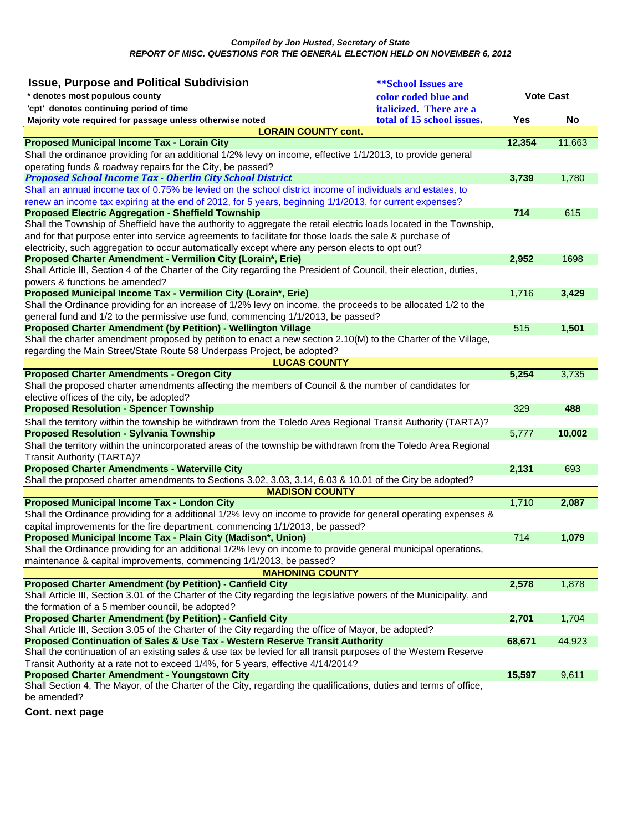*Compiled by Jon Husted, Secretary of State REPORT OF MISC. QUESTIONS FOR THE GENERAL ELECTION HELD ON NOVEMBER 6, 2012* 

| <b>Issue, Purpose and Political Subdivision</b>                                                                                                                                 | <b>**School Issues are</b> |                  |        |
|---------------------------------------------------------------------------------------------------------------------------------------------------------------------------------|----------------------------|------------------|--------|
| * denotes most populous county                                                                                                                                                  | color coded blue and       | <b>Vote Cast</b> |        |
| 'cpt' denotes continuing period of time                                                                                                                                         | italicized. There are a    |                  |        |
| Majority vote required for passage unless otherwise noted                                                                                                                       | total of 15 school issues. | Yes              | No     |
| <b>LORAIN COUNTY cont.</b>                                                                                                                                                      |                            |                  |        |
| <b>Proposed Municipal Income Tax - Lorain City</b>                                                                                                                              |                            | 12,354           | 11,663 |
| Shall the ordinance providing for an additional 1/2% levy on income, effective 1/1/2013, to provide general                                                                     |                            |                  |        |
| operating funds & roadway repairs for the City, be passed?                                                                                                                      |                            |                  |        |
| <b>Proposed School Income Tax - Oberlin City School District</b>                                                                                                                |                            | 3,739            | 1,780  |
| Shall an annual income tax of 0.75% be levied on the school district income of individuals and estates, to                                                                      |                            |                  |        |
| renew an income tax expiring at the end of 2012, for 5 years, beginning 1/1/2013, for current expenses?                                                                         |                            |                  |        |
| <b>Proposed Electric Aggregation - Sheffield Township</b><br>Shall the Township of Sheffield have the authority to aggregate the retail electric loads located in the Township, |                            | 714              | 615    |
| and for that purpose enter into service agreements to facilitate for those loads the sale & purchase of                                                                         |                            |                  |        |
| electricity, such aggregation to occur automatically except where any person elects to opt out?                                                                                 |                            |                  |        |
| Proposed Charter Amendment - Vermilion City (Lorain*, Erie)                                                                                                                     |                            | 2,952            | 1698   |
| Shall Article III, Section 4 of the Charter of the City regarding the President of Council, their election, duties,                                                             |                            |                  |        |
| powers & functions be amended?                                                                                                                                                  |                            |                  |        |
| Proposed Municipal Income Tax - Vermilion City (Lorain*, Erie)                                                                                                                  |                            | 1,716            | 3,429  |
| Shall the Ordinance providing for an increase of 1/2% levy on income, the proceeds to be allocated 1/2 to the                                                                   |                            |                  |        |
| general fund and 1/2 to the permissive use fund, commencing 1/1/2013, be passed?                                                                                                |                            |                  |        |
| Proposed Charter Amendment (by Petition) - Wellington Village                                                                                                                   |                            | 515              | 1,501  |
| Shall the charter amendment proposed by petition to enact a new section 2.10(M) to the Charter of the Village,                                                                  |                            |                  |        |
| regarding the Main Street/State Route 58 Underpass Project, be adopted?                                                                                                         |                            |                  |        |
| <b>LUCAS COUNTY</b>                                                                                                                                                             |                            |                  |        |
| <b>Proposed Charter Amendments - Oregon City</b>                                                                                                                                |                            | 5,254            | 3,735  |
| Shall the proposed charter amendments affecting the members of Council & the number of candidates for                                                                           |                            |                  |        |
| elective offices of the city, be adopted?<br><b>Proposed Resolution - Spencer Township</b>                                                                                      |                            | 329              | 488    |
| Shall the territory within the township be withdrawn from the Toledo Area Regional Transit Authority (TARTA)?                                                                   |                            |                  |        |
| <b>Proposed Resolution - Sylvania Township</b>                                                                                                                                  |                            | 5,777            | 10,002 |
| Shall the territory within the unincorporated areas of the township be withdrawn from the Toledo Area Regional                                                                  |                            |                  |        |
| <b>Transit Authority (TARTA)?</b>                                                                                                                                               |                            |                  |        |
| <b>Proposed Charter Amendments - Waterville City</b>                                                                                                                            |                            | 2,131            | 693    |
| Shall the proposed charter amendments to Sections 3.02, 3.03, 3.14, 6.03 & 10.01 of the City be adopted?                                                                        |                            |                  |        |
| <b>MADISON COUNTY</b>                                                                                                                                                           |                            |                  |        |
| <b>Proposed Municipal Income Tax - London City</b>                                                                                                                              |                            | 1,710            | 2,087  |
| Shall the Ordinance providing for a additional 1/2% levy on income to provide for general operating expenses &                                                                  |                            |                  |        |
| capital improvements for the fire department, commencing 1/1/2013, be passed?                                                                                                   |                            |                  |        |
| Proposed Municipal Income Tax - Plain City (Madison*, Union)                                                                                                                    |                            | 714              | 1,079  |
| Shall the Ordinance providing for an additional 1/2% levy on income to provide general municipal operations,                                                                    |                            |                  |        |
| maintenance & capital improvements, commencing 1/1/2013, be passed?                                                                                                             |                            |                  |        |
| <b>MAHONING COUNTY</b>                                                                                                                                                          |                            |                  |        |
| <b>Proposed Charter Amendment (by Petition) - Canfield City</b>                                                                                                                 |                            | 2,578            | 1,878  |
| Shall Article III, Section 3.01 of the Charter of the City regarding the legislative powers of the Municipality, and<br>the formation of a 5 member council, be adopted?        |                            |                  |        |
| <b>Proposed Charter Amendment (by Petition) - Canfield City</b>                                                                                                                 |                            | 2,701            | 1,704  |
| Shall Article III, Section 3.05 of the Charter of the City regarding the office of Mayor, be adopted?                                                                           |                            |                  |        |
| Proposed Continuation of Sales & Use Tax - Western Reserve Transit Authority                                                                                                    |                            | 68,671           | 44,923 |
| Shall the continuation of an existing sales & use tax be levied for all transit purposes of the Western Reserve                                                                 |                            |                  |        |
| Transit Authority at a rate not to exceed 1/4%, for 5 years, effective 4/14/2014?                                                                                               |                            |                  |        |
| <b>Proposed Charter Amendment - Youngstown City</b>                                                                                                                             |                            | 15,597           | 9,611  |
| Shall Section 4, The Mayor, of the Charter of the City, regarding the qualifications, duties and terms of office,                                                               |                            |                  |        |
| be amended?                                                                                                                                                                     |                            |                  |        |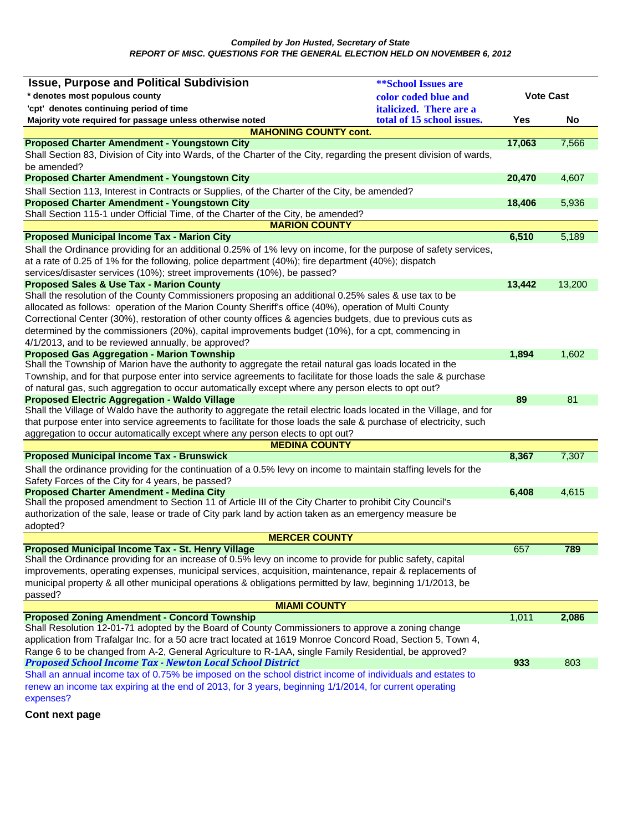| <b>Issue, Purpose and Political Subdivision</b>                                                                                                                                                                            | <b>**School Issues are</b> |                  |        |
|----------------------------------------------------------------------------------------------------------------------------------------------------------------------------------------------------------------------------|----------------------------|------------------|--------|
| * denotes most populous county                                                                                                                                                                                             | color coded blue and       | <b>Vote Cast</b> |        |
| 'cpt' denotes continuing period of time                                                                                                                                                                                    | italicized. There are a    |                  |        |
| Majority vote required for passage unless otherwise noted                                                                                                                                                                  | total of 15 school issues. | Yes              | No     |
| <b>MAHONING COUNTY cont.</b>                                                                                                                                                                                               |                            |                  |        |
| <b>Proposed Charter Amendment - Youngstown City</b>                                                                                                                                                                        |                            | 17,063           | 7,566  |
| Shall Section 83, Division of City into Wards, of the Charter of the City, regarding the present division of wards,                                                                                                        |                            |                  |        |
| be amended?                                                                                                                                                                                                                |                            |                  |        |
| <b>Proposed Charter Amendment - Youngstown City</b>                                                                                                                                                                        |                            | 20,470           | 4,607  |
| Shall Section 113, Interest in Contracts or Supplies, of the Charter of the City, be amended?                                                                                                                              |                            |                  |        |
| <b>Proposed Charter Amendment - Youngstown City</b>                                                                                                                                                                        |                            | 18,406           | 5,936  |
| Shall Section 115-1 under Official Time, of the Charter of the City, be amended?                                                                                                                                           |                            |                  |        |
| <b>MARION COUNTY</b>                                                                                                                                                                                                       |                            |                  |        |
| <b>Proposed Municipal Income Tax - Marion City</b>                                                                                                                                                                         |                            | 6,510            | 5,189  |
| Shall the Ordinance providing for an additional 0.25% of 1% levy on income, for the purpose of safety services,                                                                                                            |                            |                  |        |
| at a rate of 0.25 of 1% for the following, police department (40%); fire department (40%); dispatch                                                                                                                        |                            |                  |        |
| services/disaster services (10%); street improvements (10%), be passed?                                                                                                                                                    |                            |                  |        |
| <b>Proposed Sales &amp; Use Tax - Marion County</b>                                                                                                                                                                        |                            | 13,442           | 13,200 |
| Shall the resolution of the County Commissioners proposing an additional 0.25% sales & use tax to be                                                                                                                       |                            |                  |        |
| allocated as follows: operation of the Marion County Sheriff's office (40%), operation of Multi County                                                                                                                     |                            |                  |        |
| Correctional Center (30%), restoration of other county offices & agencies budgets, due to previous cuts as                                                                                                                 |                            |                  |        |
| determined by the commissioners (20%), capital improvements budget (10%), for a cpt, commencing in                                                                                                                         |                            |                  |        |
| 4/1/2013, and to be reviewed annually, be approved?                                                                                                                                                                        |                            |                  |        |
| <b>Proposed Gas Aggregation - Marion Township</b>                                                                                                                                                                          |                            | 1,894            | 1,602  |
| Shall the Township of Marion have the authority to aggregate the retail natural gas loads located in the<br>Township, and for that purpose enter into service agreements to facilitate for those loads the sale & purchase |                            |                  |        |
| of natural gas, such aggregation to occur automatically except where any person elects to opt out?                                                                                                                         |                            |                  |        |
| <b>Proposed Electric Aggregation - Waldo Village</b>                                                                                                                                                                       |                            | 89               | 81     |
| Shall the Village of Waldo have the authority to aggregate the retail electric loads located in the Village, and for                                                                                                       |                            |                  |        |
| that purpose enter into service agreements to facilitate for those loads the sale & purchase of electricity, such                                                                                                          |                            |                  |        |
| aggregation to occur automatically except where any person elects to opt out?                                                                                                                                              |                            |                  |        |
| <b>MEDINA COUNTY</b>                                                                                                                                                                                                       |                            |                  |        |
| <b>Proposed Municipal Income Tax - Brunswick</b>                                                                                                                                                                           |                            | 8,367            | 7,307  |
| Shall the ordinance providing for the continuation of a 0.5% levy on income to maintain staffing levels for the                                                                                                            |                            |                  |        |
| Safety Forces of the City for 4 years, be passed?                                                                                                                                                                          |                            |                  |        |
| <b>Proposed Charter Amendment - Medina City</b>                                                                                                                                                                            |                            | 6,408            | 4,615  |
| Shall the proposed amendment to Section 11 of Article III of the City Charter to prohibit City Council's                                                                                                                   |                            |                  |        |
| authorization of the sale, lease or trade of City park land by action taken as an emergency measure be                                                                                                                     |                            |                  |        |
| adopted?                                                                                                                                                                                                                   |                            |                  |        |
| <b>MERCER COUNTY</b>                                                                                                                                                                                                       |                            |                  |        |
| Proposed Municipal Income Tax - St. Henry Village                                                                                                                                                                          |                            | 657              | 789    |
| Shall the Ordinance providing for an increase of 0.5% levy on income to provide for public safety, capital<br>improvements, operating expenses, municipal services, acquisition, maintenance, repair & replacements of     |                            |                  |        |
| municipal property & all other municipal operations & obligations permitted by law, beginning 1/1/2013, be                                                                                                                 |                            |                  |        |
| passed?                                                                                                                                                                                                                    |                            |                  |        |
| <b>MIAMI COUNTY</b>                                                                                                                                                                                                        |                            |                  |        |
| <b>Proposed Zoning Amendment - Concord Township</b>                                                                                                                                                                        |                            | 1,011            | 2,086  |
| Shall Resolution 12-01-71 adopted by the Board of County Commissioners to approve a zoning change                                                                                                                          |                            |                  |        |
| application from Trafalgar Inc. for a 50 acre tract located at 1619 Monroe Concord Road, Section 5, Town 4,                                                                                                                |                            |                  |        |
| Range 6 to be changed from A-2, General Agriculture to R-1AA, single Family Residential, be approved?                                                                                                                      |                            |                  |        |
| <b>Proposed School Income Tax - Newton Local School District</b>                                                                                                                                                           |                            | 933              | 803    |
| Shall an annual income tax of 0.75% be imposed on the school district income of individuals and estates to                                                                                                                 |                            |                  |        |
| renew an income tax expiring at the end of 2013, for 3 years, beginning 1/1/2014, for current operating                                                                                                                    |                            |                  |        |
| expenses?                                                                                                                                                                                                                  |                            |                  |        |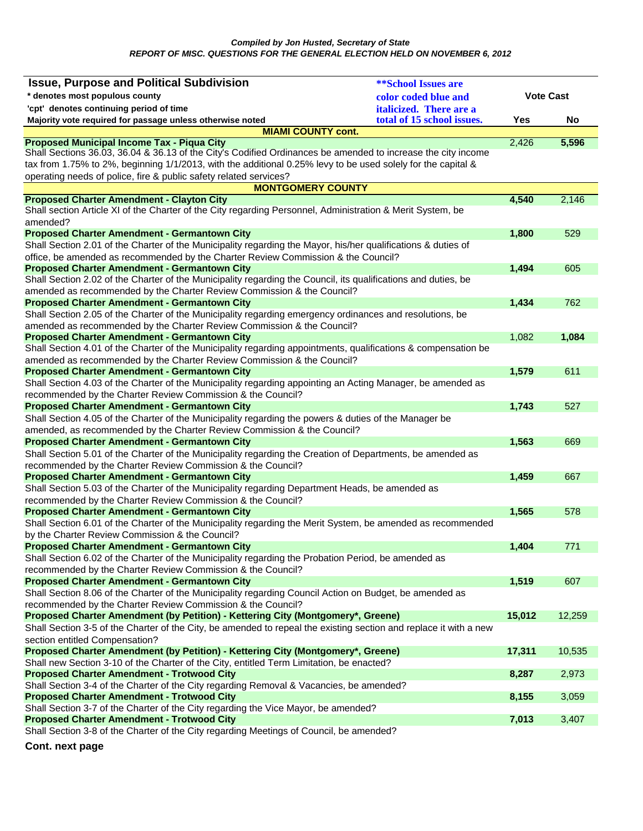| <b>Issue, Purpose and Political Subdivision</b>                                                                                                                    | <b>**School Issues are</b>     |                  |        |
|--------------------------------------------------------------------------------------------------------------------------------------------------------------------|--------------------------------|------------------|--------|
| * denotes most populous county                                                                                                                                     | color coded blue and           | <b>Vote Cast</b> |        |
| 'cpt' denotes continuing period of time                                                                                                                            | <i>italicized.</i> There are a |                  |        |
| Majority vote required for passage unless otherwise noted                                                                                                          | total of 15 school issues.     | Yes              | No     |
| <b>MIAMI COUNTY cont.</b>                                                                                                                                          |                                |                  |        |
| <b>Proposed Municipal Income Tax - Piqua City</b>                                                                                                                  |                                | 2,426            | 5,596  |
| Shall Sections 36.03, 36.04 & 36.13 of the City's Codified Ordinances be amended to increase the city income                                                       |                                |                  |        |
| tax from 1.75% to 2%, beginning 1/1/2013, with the additional 0.25% levy to be used solely for the capital &                                                       |                                |                  |        |
| operating needs of police, fire & public safety related services?                                                                                                  |                                |                  |        |
| <b>MONTGOMERY COUNTY</b><br><b>Proposed Charter Amendment - Clayton City</b>                                                                                       |                                | 4,540            | 2,146  |
| Shall section Article XI of the Charter of the City regarding Personnel, Administration & Merit System, be                                                         |                                |                  |        |
| amended?                                                                                                                                                           |                                |                  |        |
| <b>Proposed Charter Amendment - Germantown City</b>                                                                                                                |                                | 1,800            | 529    |
| Shall Section 2.01 of the Charter of the Municipality regarding the Mayor, his/her qualifications & duties of                                                      |                                |                  |        |
| office, be amended as recommended by the Charter Review Commission & the Council?                                                                                  |                                |                  |        |
| <b>Proposed Charter Amendment - Germantown City</b>                                                                                                                |                                | 1,494            | 605    |
| Shall Section 2.02 of the Charter of the Municipality regarding the Council, its qualifications and duties, be                                                     |                                |                  |        |
| amended as recommended by the Charter Review Commission & the Council?                                                                                             |                                |                  |        |
| <b>Proposed Charter Amendment - Germantown City</b>                                                                                                                |                                | 1,434            | 762    |
| Shall Section 2.05 of the Charter of the Municipality regarding emergency ordinances and resolutions, be                                                           |                                |                  |        |
| amended as recommended by the Charter Review Commission & the Council?                                                                                             |                                |                  |        |
| <b>Proposed Charter Amendment - Germantown City</b>                                                                                                                |                                | 1,082            | 1,084  |
| Shall Section 4.01 of the Charter of the Municipality regarding appointments, qualifications & compensation be                                                     |                                |                  |        |
| amended as recommended by the Charter Review Commission & the Council?<br><b>Proposed Charter Amendment - Germantown City</b>                                      |                                | 1,579            | 611    |
| Shall Section 4.03 of the Charter of the Municipality regarding appointing an Acting Manager, be amended as                                                        |                                |                  |        |
| recommended by the Charter Review Commission & the Council?                                                                                                        |                                |                  |        |
| <b>Proposed Charter Amendment - Germantown City</b>                                                                                                                |                                | 1,743            | 527    |
| Shall Section 4.05 of the Charter of the Municipality regarding the powers & duties of the Manager be                                                              |                                |                  |        |
| amended, as recommended by the Charter Review Commission & the Council?                                                                                            |                                |                  |        |
| <b>Proposed Charter Amendment - Germantown City</b>                                                                                                                |                                | 1,563            | 669    |
| Shall Section 5.01 of the Charter of the Municipality regarding the Creation of Departments, be amended as                                                         |                                |                  |        |
| recommended by the Charter Review Commission & the Council?                                                                                                        |                                |                  |        |
| <b>Proposed Charter Amendment - Germantown City</b>                                                                                                                |                                | 1,459            | 667    |
| Shall Section 5.03 of the Charter of the Municipality regarding Department Heads, be amended as                                                                    |                                |                  |        |
| recommended by the Charter Review Commission & the Council?                                                                                                        |                                |                  |        |
| <b>Proposed Charter Amendment - Germantown City</b>                                                                                                                |                                | 1,565            | 578    |
| Shall Section 6.01 of the Charter of the Municipality regarding the Merit System, be amended as recommended                                                        |                                |                  |        |
| by the Charter Review Commission & the Council?                                                                                                                    |                                |                  |        |
| <b>Proposed Charter Amendment - Germantown City</b>                                                                                                                |                                | 1,404            | 771    |
| Shall Section 6.02 of the Charter of the Municipality regarding the Probation Period, be amended as<br>recommended by the Charter Review Commission & the Council? |                                |                  |        |
| <b>Proposed Charter Amendment - Germantown City</b>                                                                                                                |                                | 1,519            | 607    |
| Shall Section 8.06 of the Charter of the Municipality regarding Council Action on Budget, be amended as                                                            |                                |                  |        |
| recommended by the Charter Review Commission & the Council?                                                                                                        |                                |                  |        |
| Proposed Charter Amendment (by Petition) - Kettering City (Montgomery*, Greene)                                                                                    |                                | 15,012           | 12,259 |
| Shall Section 3-5 of the Charter of the City, be amended to repeal the existing section and replace it with a new                                                  |                                |                  |        |
| section entitled Compensation?                                                                                                                                     |                                |                  |        |
| Proposed Charter Amendment (by Petition) - Kettering City (Montgomery*, Greene)                                                                                    |                                | 17,311           | 10,535 |
| Shall new Section 3-10 of the Charter of the City, entitled Term Limitation, be enacted?                                                                           |                                |                  |        |
| <b>Proposed Charter Amendment - Trotwood City</b>                                                                                                                  |                                | 8,287            | 2,973  |
| Shall Section 3-4 of the Charter of the City regarding Removal & Vacancies, be amended?                                                                            |                                |                  |        |
| <b>Proposed Charter Amendment - Trotwood City</b>                                                                                                                  |                                | 8,155            | 3,059  |
| Shall Section 3-7 of the Charter of the City regarding the Vice Mayor, be amended?                                                                                 |                                |                  |        |
| <b>Proposed Charter Amendment - Trotwood City</b>                                                                                                                  |                                | 7,013            | 3,407  |
| Shall Section 3-8 of the Charter of the City regarding Meetings of Council, be amended?                                                                            |                                |                  |        |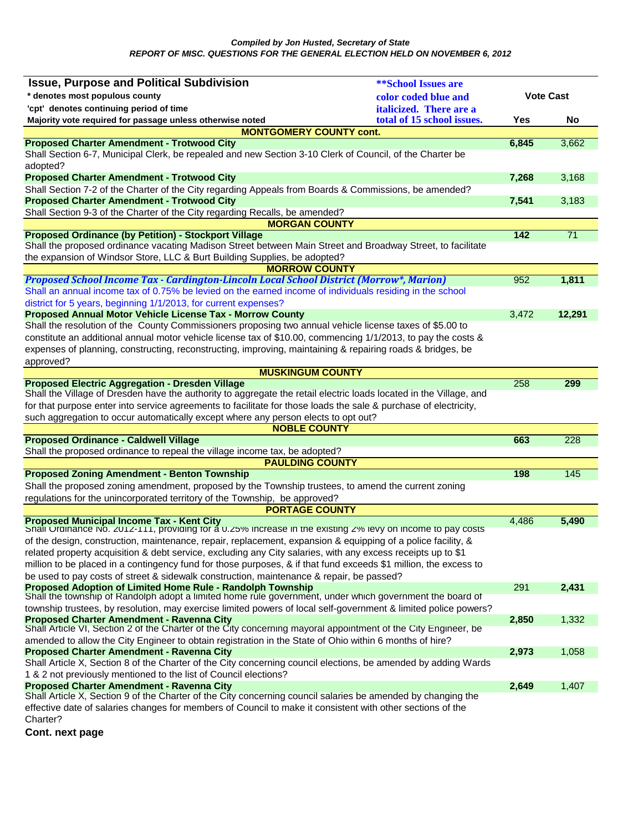| <b>Issue, Purpose and Political Subdivision</b>                                                                                                                                                                            | <b>**School Issues are</b>     |                  |                  |
|----------------------------------------------------------------------------------------------------------------------------------------------------------------------------------------------------------------------------|--------------------------------|------------------|------------------|
| * denotes most populous county                                                                                                                                                                                             | color coded blue and           | <b>Vote Cast</b> |                  |
| 'cpt' denotes continuing period of time                                                                                                                                                                                    | <i>italicized.</i> There are a |                  |                  |
| Majority vote required for passage unless otherwise noted                                                                                                                                                                  | total of 15 school issues.     | Yes              | No               |
| <b>MONTGOMERY COUNTY cont.</b>                                                                                                                                                                                             |                                |                  |                  |
| <b>Proposed Charter Amendment - Trotwood City</b>                                                                                                                                                                          |                                | 6,845            | 3,662            |
| Shall Section 6-7, Municipal Clerk, be repealed and new Section 3-10 Clerk of Council, of the Charter be<br>adopted?                                                                                                       |                                |                  |                  |
| <b>Proposed Charter Amendment - Trotwood City</b>                                                                                                                                                                          |                                | 7,268            | 3,168            |
| Shall Section 7-2 of the Charter of the City regarding Appeals from Boards & Commissions, be amended?                                                                                                                      |                                |                  |                  |
| <b>Proposed Charter Amendment - Trotwood City</b>                                                                                                                                                                          |                                | 7,541            | 3,183            |
| Shall Section 9-3 of the Charter of the City regarding Recalls, be amended?                                                                                                                                                |                                |                  |                  |
| <b>MORGAN COUNTY</b>                                                                                                                                                                                                       |                                |                  |                  |
| <b>Proposed Ordinance (by Petition) - Stockport Village</b><br>Shall the proposed ordinance vacating Madison Street between Main Street and Broadway Street, to facilitate                                                 |                                | $142$            | 71               |
| the expansion of Windsor Store, LLC & Burt Building Supplies, be adopted?                                                                                                                                                  |                                |                  |                  |
| <b>MORROW COUNTY</b>                                                                                                                                                                                                       |                                |                  |                  |
| Proposed School Income Tax - Cardington-Lincoln Local School District (Morrow*, Marion)                                                                                                                                    |                                | 952              | 1,811            |
| Shall an annual income tax of 0.75% be levied on the earned income of individuals residing in the school                                                                                                                   |                                |                  |                  |
| district for 5 years, beginning 1/1/2013, for current expenses?                                                                                                                                                            |                                |                  |                  |
| Proposed Annual Motor Vehicle License Tax - Morrow County                                                                                                                                                                  |                                | 3,472            | 12,291           |
| Shall the resolution of the County Commissioners proposing two annual vehicle license taxes of \$5.00 to                                                                                                                   |                                |                  |                  |
| constitute an additional annual motor vehicle license tax of \$10.00, commencing 1/1/2013, to pay the costs &                                                                                                              |                                |                  |                  |
| expenses of planning, constructing, reconstructing, improving, maintaining & repairing roads & bridges, be                                                                                                                 |                                |                  |                  |
| approved?                                                                                                                                                                                                                  |                                |                  |                  |
| <b>MUSKINGUM COUNTY</b>                                                                                                                                                                                                    |                                |                  |                  |
| <b>Proposed Electric Aggregation - Dresden Village</b><br>Shall the Village of Dresden have the authority to aggregate the retail electric loads located in the Village, and                                               |                                | 258              | 299              |
| for that purpose enter into service agreements to facilitate for those loads the sale & purchase of electricity,                                                                                                           |                                |                  |                  |
| such aggregation to occur automatically except where any person elects to opt out?                                                                                                                                         |                                |                  |                  |
| <b>NOBLE COUNTY</b>                                                                                                                                                                                                        |                                |                  |                  |
| <b>Proposed Ordinance - Caldwell Village</b>                                                                                                                                                                               |                                | 663              | 228              |
| Shall the proposed ordinance to repeal the village income tax, be adopted?                                                                                                                                                 |                                |                  |                  |
| <b>PAULDING COUNTY</b>                                                                                                                                                                                                     |                                |                  |                  |
| <b>Proposed Zoning Amendment - Benton Township</b>                                                                                                                                                                         |                                | 198              | $\overline{145}$ |
| Shall the proposed zoning amendment, proposed by the Township trustees, to amend the current zoning                                                                                                                        |                                |                  |                  |
| regulations for the unincorporated territory of the Township, be approved?                                                                                                                                                 |                                |                  |                  |
| <b>PORTAGE COUNTY</b>                                                                                                                                                                                                      |                                |                  |                  |
| Proposed Municipal Income Tax - Kent City<br>Shall Ordinance No. 2012-111, providing for a 0.25% increase in the existing 2% levy on income to pay costs                                                                   |                                | 4,486            | 5,490            |
| of the design, construction, maintenance, repair, replacement, expansion & equipping of a police facility, &                                                                                                               |                                |                  |                  |
| related property acquisition & debt service, excluding any City salaries, with any excess receipts up to \$1                                                                                                               |                                |                  |                  |
| million to be placed in a contingency fund for those purposes, & if that fund exceeds \$1 million, the excess to                                                                                                           |                                |                  |                  |
| be used to pay costs of street & sidewalk construction, maintenance & repair, be passed?                                                                                                                                   |                                |                  |                  |
| Proposed Adoption of Limited Home Rule - Randolph Township<br>Shall the township of Randolph adopt a limited home rule government, under which government the board of                                                     |                                | 291              | 2,431            |
| township trustees, by resolution, may exercise limited powers of local self-government & limited police powers?                                                                                                            |                                |                  |                  |
| <b>Proposed Charter Amendment - Ravenna City</b>                                                                                                                                                                           |                                | 2,850            | 1,332            |
| Shall Article VI, Section 2 of the Charter of the City concerning mayoral appointment of the City Engineer, be<br>amended to allow the City Engineer to obtain registration in the State of Ohio within 6 months of hire?  |                                |                  |                  |
| <b>Proposed Charter Amendment - Ravenna City</b>                                                                                                                                                                           |                                | 2,973            | 1,058            |
| Shall Article X, Section 8 of the Charter of the City concerning council elections, be amended by adding Wards                                                                                                             |                                |                  |                  |
| 1 & 2 not previously mentioned to the list of Council elections?                                                                                                                                                           |                                |                  |                  |
| <b>Proposed Charter Amendment - Ravenna City</b>                                                                                                                                                                           |                                | 2,649            | 1,407            |
| Shall Article X, Section 9 of the Charter of the City concerning council salaries be amended by changing the<br>effective date of salaries changes for members of Council to make it consistent with other sections of the |                                |                  |                  |
|                                                                                                                                                                                                                            |                                |                  |                  |

Charter?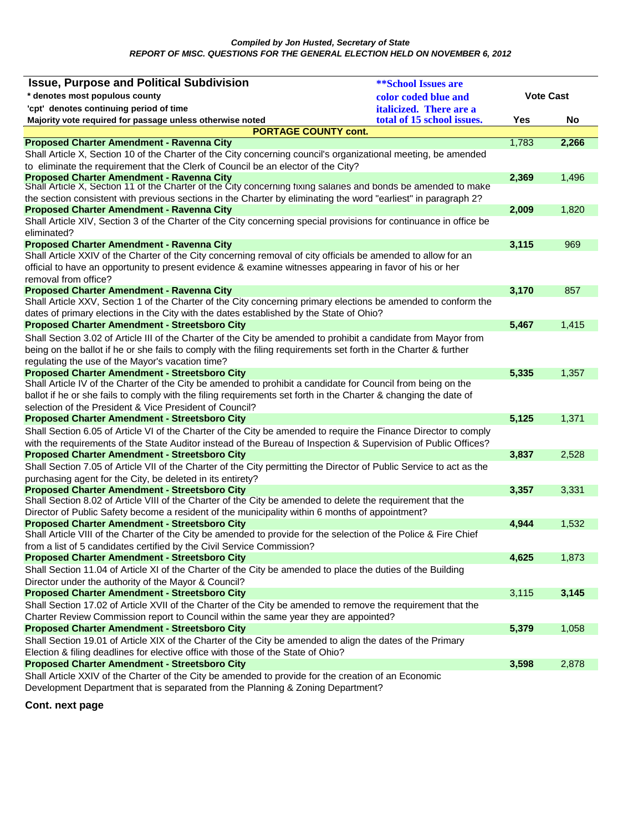| <b>Issue, Purpose and Political Subdivision</b>                                                                                                                                                                                   | <b><i>**School Issues are</i></b> |                  |       |
|-----------------------------------------------------------------------------------------------------------------------------------------------------------------------------------------------------------------------------------|-----------------------------------|------------------|-------|
| * denotes most populous county<br>color coded blue and                                                                                                                                                                            |                                   | <b>Vote Cast</b> |       |
| 'cpt' denotes continuing period of time                                                                                                                                                                                           | italicized. There are a           |                  |       |
| Majority vote required for passage unless otherwise noted                                                                                                                                                                         | total of 15 school issues.        | Yes              | No    |
| <b>PORTAGE COUNTY cont.</b>                                                                                                                                                                                                       |                                   |                  |       |
| <b>Proposed Charter Amendment - Ravenna City</b>                                                                                                                                                                                  |                                   | 1,783            | 2,266 |
| Shall Article X, Section 10 of the Charter of the City concerning council's organizational meeting, be amended                                                                                                                    |                                   |                  |       |
| to eliminate the requirement that the Clerk of Council be an elector of the City?                                                                                                                                                 |                                   |                  |       |
| <b>Proposed Charter Amendment - Ravenna City</b>                                                                                                                                                                                  |                                   | 2,369            | 1,496 |
| Shall Article X, Section 11 of the Charter of the City concerning fixing salaries and bonds be amended to make<br>the section consistent with previous sections in the Charter by eliminating the word "earliest" in paragraph 2? |                                   |                  |       |
| <b>Proposed Charter Amendment - Ravenna City</b>                                                                                                                                                                                  |                                   | 2,009            | 1,820 |
| Shall Article XIV, Section 3 of the Charter of the City concerning special provisions for continuance in office be                                                                                                                |                                   |                  |       |
| eliminated?                                                                                                                                                                                                                       |                                   |                  |       |
| <b>Proposed Charter Amendment - Ravenna City</b>                                                                                                                                                                                  |                                   | 3,115            | 969   |
| Shall Article XXIV of the Charter of the City concerning removal of city officials be amended to allow for an                                                                                                                     |                                   |                  |       |
| official to have an opportunity to present evidence & examine witnesses appearing in favor of his or her                                                                                                                          |                                   |                  |       |
| removal from office?                                                                                                                                                                                                              |                                   |                  |       |
| <b>Proposed Charter Amendment - Ravenna City</b>                                                                                                                                                                                  |                                   | 3,170            | 857   |
| Shall Article XXV, Section 1 of the Charter of the City concerning primary elections be amended to conform the                                                                                                                    |                                   |                  |       |
| dates of primary elections in the City with the dates established by the State of Ohio?                                                                                                                                           |                                   |                  |       |
| <b>Proposed Charter Amendment - Streetsboro City</b>                                                                                                                                                                              |                                   | 5,467            | 1,415 |
| Shall Section 3.02 of Article III of the Charter of the City be amended to prohibit a candidate from Mayor from                                                                                                                   |                                   |                  |       |
| being on the ballot if he or she fails to comply with the filing requirements set forth in the Charter & further                                                                                                                  |                                   |                  |       |
| regulating the use of the Mayor's vacation time?                                                                                                                                                                                  |                                   |                  |       |
| <b>Proposed Charter Amendment - Streetsboro City</b>                                                                                                                                                                              |                                   | 5,335            | 1,357 |
| Shall Article IV of the Charter of the City be amended to prohibit a candidate for Council from being on the                                                                                                                      |                                   |                  |       |
| ballot if he or she fails to comply with the filing requirements set forth in the Charter & changing the date of                                                                                                                  |                                   |                  |       |
| selection of the President & Vice President of Council?                                                                                                                                                                           |                                   |                  |       |
| <b>Proposed Charter Amendment - Streetsboro City</b>                                                                                                                                                                              |                                   | 5,125            | 1,371 |
| Shall Section 6.05 of Article VI of the Charter of the City be amended to require the Finance Director to comply                                                                                                                  |                                   |                  |       |
| with the requirements of the State Auditor instead of the Bureau of Inspection & Supervision of Public Offices?                                                                                                                   |                                   |                  |       |
| <b>Proposed Charter Amendment - Streetsboro City</b>                                                                                                                                                                              |                                   | 3,837            | 2,528 |
| Shall Section 7.05 of Article VII of the Charter of the City permitting the Director of Public Service to act as the<br>purchasing agent for the City, be deleted in its entirety?                                                |                                   |                  |       |
| <b>Proposed Charter Amendment - Streetsboro City</b>                                                                                                                                                                              |                                   | 3,357            | 3,331 |
| Shall Section 8.02 of Article VIII of the Charter of the City be amended to delete the requirement that the                                                                                                                       |                                   |                  |       |
| Director of Public Safety become a resident of the municipality within 6 months of appointment?                                                                                                                                   |                                   |                  |       |
| <b>Proposed Charter Amendment - Streetsboro City</b>                                                                                                                                                                              |                                   | 4,944            | 1,532 |
| Shall Article VIII of the Charter of the City be amended to provide for the selection of the Police & Fire Chief                                                                                                                  |                                   |                  |       |
| from a list of 5 candidates certified by the Civil Service Commission?                                                                                                                                                            |                                   |                  |       |
| <b>Proposed Charter Amendment - Streetsboro City</b>                                                                                                                                                                              |                                   | 4,625            | 1,873 |
| Shall Section 11.04 of Article XI of the Charter of the City be amended to place the duties of the Building                                                                                                                       |                                   |                  |       |
| Director under the authority of the Mayor & Council?                                                                                                                                                                              |                                   |                  |       |
| <b>Proposed Charter Amendment - Streetsboro City</b>                                                                                                                                                                              |                                   | 3,115            | 3,145 |
| Shall Section 17.02 of Article XVII of the Charter of the City be amended to remove the requirement that the                                                                                                                      |                                   |                  |       |
| Charter Review Commission report to Council within the same year they are appointed?                                                                                                                                              |                                   |                  |       |
| <b>Proposed Charter Amendment - Streetsboro City</b>                                                                                                                                                                              |                                   | 5,379            | 1,058 |
| Shall Section 19.01 of Article XIX of the Charter of the City be amended to align the dates of the Primary                                                                                                                        |                                   |                  |       |
| Election & filing deadlines for elective office with those of the State of Ohio?                                                                                                                                                  |                                   |                  |       |
| <b>Proposed Charter Amendment - Streetsboro City</b>                                                                                                                                                                              |                                   | 3,598            | 2,878 |
| Shall Article XXIV of the Charter of the City be amended to provide for the creation of an Economic<br>Dovelopment Department that is concreted from the Planning & Zening Department?                                            |                                   |                  |       |

Development Department that is separated from the Planning & Zoning Department?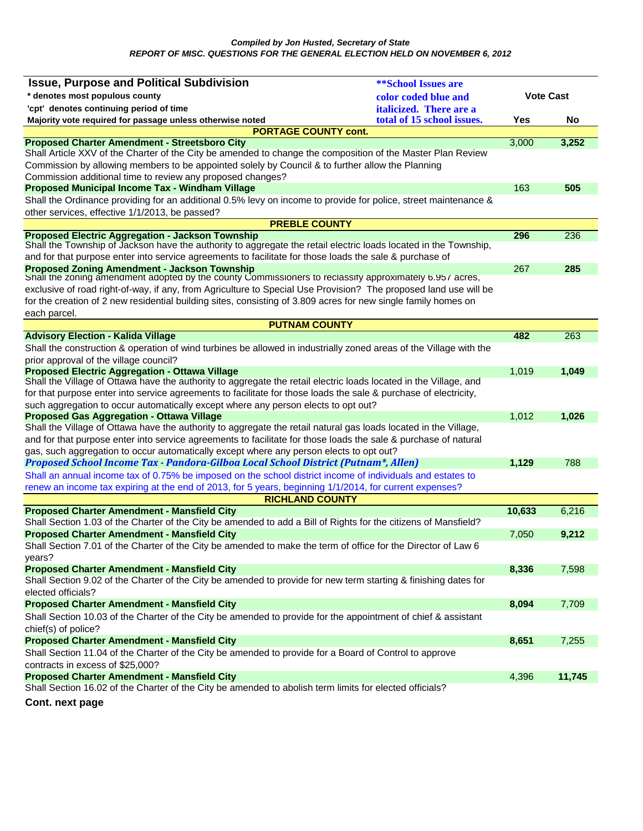| <b>Issue, Purpose and Political Subdivision</b>                                                                                                                                                                             | <b>**School Issues are</b> |                  |        |
|-----------------------------------------------------------------------------------------------------------------------------------------------------------------------------------------------------------------------------|----------------------------|------------------|--------|
| * denotes most populous county                                                                                                                                                                                              | color coded blue and       | <b>Vote Cast</b> |        |
| 'cpt' denotes continuing period of time                                                                                                                                                                                     | italicized. There are a    |                  |        |
| Majority vote required for passage unless otherwise noted                                                                                                                                                                   | total of 15 school issues. | Yes              | No     |
| <b>PORTAGE COUNTY cont.</b>                                                                                                                                                                                                 |                            |                  |        |
| <b>Proposed Charter Amendment - Streetsboro City</b>                                                                                                                                                                        |                            | 3,000            | 3,252  |
| Shall Article XXV of the Charter of the City be amended to change the composition of the Master Plan Review                                                                                                                 |                            |                  |        |
| Commission by allowing members to be appointed solely by Council & to further allow the Planning                                                                                                                            |                            |                  |        |
| Commission additional time to review any proposed changes?                                                                                                                                                                  |                            |                  |        |
| Proposed Municipal Income Tax - Windham Village                                                                                                                                                                             |                            | 163              | 505    |
| Shall the Ordinance providing for an additional 0.5% levy on income to provide for police, street maintenance &                                                                                                             |                            |                  |        |
| other services, effective 1/1/2013, be passed?                                                                                                                                                                              |                            |                  |        |
| <b>PREBLE COUNTY</b>                                                                                                                                                                                                        |                            |                  |        |
| <b>Proposed Electric Aggregation - Jackson Township</b>                                                                                                                                                                     |                            | 296              | 236    |
| Shall the Township of Jackson have the authority to aggregate the retail electric loads located in the Township,<br>and for that purpose enter into service agreements to facilitate for those loads the sale & purchase of |                            |                  |        |
|                                                                                                                                                                                                                             |                            | 267              | 285    |
| <b>Proposed Zoning Amendment - Jackson Township</b><br>Shall the zoning amendment adopted by the county Commissioners to reclassify approximately 6.957 acres,                                                              |                            |                  |        |
| exclusive of road right-of-way, if any, from Agriculture to Special Use Provision? The proposed land use will be                                                                                                            |                            |                  |        |
| for the creation of 2 new residential building sites, consisting of 3.809 acres for new single family homes on                                                                                                              |                            |                  |        |
| each parcel.                                                                                                                                                                                                                |                            |                  |        |
| <b>PUTNAM COUNTY</b>                                                                                                                                                                                                        |                            |                  |        |
| <b>Advisory Election - Kalida Village</b>                                                                                                                                                                                   |                            | 482              | 263    |
| Shall the construction & operation of wind turbines be allowed in industrially zoned areas of the Village with the                                                                                                          |                            |                  |        |
| prior approval of the village council?                                                                                                                                                                                      |                            |                  |        |
| <b>Proposed Electric Aggregation - Ottawa Village</b>                                                                                                                                                                       |                            | 1,019            | 1,049  |
| Shall the Village of Ottawa have the authority to aggregate the retail electric loads located in the Village, and                                                                                                           |                            |                  |        |
| for that purpose enter into service agreements to facilitate for those loads the sale & purchase of electricity,                                                                                                            |                            |                  |        |
| such aggregation to occur automatically except where any person elects to opt out?                                                                                                                                          |                            |                  |        |
| <b>Proposed Gas Aggregation - Ottawa Village</b>                                                                                                                                                                            |                            | 1,012            | 1,026  |
| Shall the Village of Ottawa have the authority to aggregate the retail natural gas loads located in the Village,                                                                                                            |                            |                  |        |
| and for that purpose enter into service agreements to facilitate for those loads the sale & purchase of natural                                                                                                             |                            |                  |        |
| gas, such aggregation to occur automatically except where any person elects to opt out?                                                                                                                                     |                            |                  |        |
| Proposed School Income Tax - Pandora-Gilboa Local School District (Putnam*, Allen)                                                                                                                                          |                            | 1,129            | 788    |
| Shall an annual income tax of 0.75% be imposed on the school district income of individuals and estates to                                                                                                                  |                            |                  |        |
| renew an income tax expiring at the end of 2013, for 5 years, beginning 1/1/2014, for current expenses?                                                                                                                     |                            |                  |        |
| <b>RICHLAND COUNTY</b>                                                                                                                                                                                                      |                            |                  |        |
| <b>Proposed Charter Amendment - Mansfield City</b>                                                                                                                                                                          |                            | 10,633           | 6,216  |
| Shall Section 1.03 of the Charter of the City be amended to add a Bill of Rights for the citizens of Mansfield?                                                                                                             |                            |                  |        |
| <b>Proposed Charter Amendment - Mansfield City</b>                                                                                                                                                                          |                            | 7,050            | 9,212  |
| Shall Section 7.01 of the Charter of the City be amended to make the term of office for the Director of Law 6                                                                                                               |                            |                  |        |
| years?                                                                                                                                                                                                                      |                            |                  |        |
| <b>Proposed Charter Amendment - Mansfield City</b><br>Shall Section 9.02 of the Charter of the City be amended to provide for new term starting & finishing dates for                                                       |                            | 8,336            | 7,598  |
| elected officials?                                                                                                                                                                                                          |                            |                  |        |
|                                                                                                                                                                                                                             |                            | 8,094            | 7,709  |
| <b>Proposed Charter Amendment - Mansfield City</b>                                                                                                                                                                          |                            |                  |        |
| Shall Section 10.03 of the Charter of the City be amended to provide for the appointment of chief & assistant<br>chief(s) of police?                                                                                        |                            |                  |        |
| <b>Proposed Charter Amendment - Mansfield City</b>                                                                                                                                                                          |                            | 8,651            | 7,255  |
| Shall Section 11.04 of the Charter of the City be amended to provide for a Board of Control to approve                                                                                                                      |                            |                  |        |
| contracts in excess of \$25,000?                                                                                                                                                                                            |                            |                  |        |
| <b>Proposed Charter Amendment - Mansfield City</b>                                                                                                                                                                          |                            | 4,396            | 11,745 |
| Shall Section 16.02 of the Charter of the City be amended to abolish term limits for elected officials?                                                                                                                     |                            |                  |        |
|                                                                                                                                                                                                                             |                            |                  |        |
| Cont. next page                                                                                                                                                                                                             |                            |                  |        |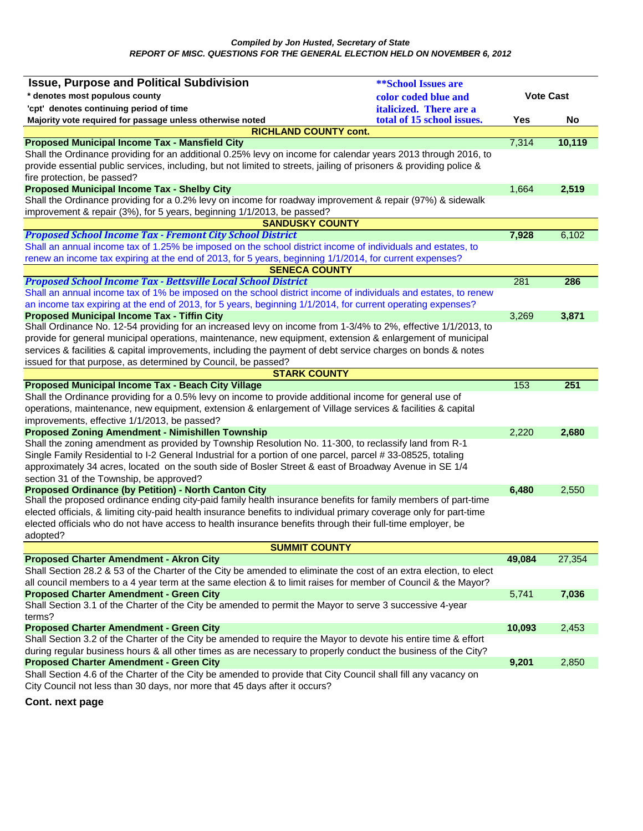| <b>Issue, Purpose and Political Subdivision</b>                                                                                                                   | <b>**School Issues are</b> |                  |        |
|-------------------------------------------------------------------------------------------------------------------------------------------------------------------|----------------------------|------------------|--------|
| * denotes most populous county<br>color coded blue and                                                                                                            |                            | <b>Vote Cast</b> |        |
| 'cpt' denotes continuing period of time                                                                                                                           | italicized. There are a    |                  |        |
| Majority vote required for passage unless otherwise noted                                                                                                         | total of 15 school issues. | Yes              | No     |
| <b>RICHLAND COUNTY cont.</b>                                                                                                                                      |                            |                  |        |
| <b>Proposed Municipal Income Tax - Mansfield City</b>                                                                                                             |                            | 7,314            | 10,119 |
| Shall the Ordinance providing for an additional 0.25% levy on income for calendar years 2013 through 2016, to                                                     |                            |                  |        |
| provide essential public services, including, but not limited to streets, jailing of prisoners & providing police &                                               |                            |                  |        |
| fire protection, be passed?                                                                                                                                       |                            |                  |        |
| <b>Proposed Municipal Income Tax - Shelby City</b>                                                                                                                |                            | 1,664            | 2,519  |
| Shall the Ordinance providing for a 0.2% levy on income for roadway improvement & repair (97%) & sidewalk                                                         |                            |                  |        |
| improvement & repair (3%), for 5 years, beginning 1/1/2013, be passed?                                                                                            |                            |                  |        |
| <b>SANDUSKY COUNTY</b>                                                                                                                                            |                            |                  |        |
| <b>Proposed School Income Tax - Fremont City School District</b>                                                                                                  |                            | 7,928            | 6,102  |
| Shall an annual income tax of 1.25% be imposed on the school district income of individuals and estates, to                                                       |                            |                  |        |
| renew an income tax expiring at the end of 2013, for 5 years, beginning 1/1/2014, for current expenses?                                                           |                            |                  |        |
| <b>SENECA COUNTY</b>                                                                                                                                              |                            |                  |        |
| <b>Proposed School Income Tax - Bettsville Local School District</b>                                                                                              |                            | 281              | 286    |
| Shall an annual income tax of 1% be imposed on the school district income of individuals and estates, to renew                                                    |                            |                  |        |
| an income tax expiring at the end of 2013, for 5 years, beginning 1/1/2014, for current operating expenses?<br><b>Proposed Municipal Income Tax - Tiffin City</b> |                            | 3,269            | 3,871  |
| Shall Ordinance No. 12-54 providing for an increased levy on income from 1-3/4% to 2%, effective 1/1/2013, to                                                     |                            |                  |        |
| provide for general municipal operations, maintenance, new equipment, extension & enlargement of municipal                                                        |                            |                  |        |
| services & facilities & capital improvements, including the payment of debt service charges on bonds & notes                                                      |                            |                  |        |
| issued for that purpose, as determined by Council, be passed?                                                                                                     |                            |                  |        |
| <b>STARK COUNTY</b>                                                                                                                                               |                            |                  |        |
| <b>Proposed Municipal Income Tax - Beach City Village</b>                                                                                                         |                            | 153              | 251    |
| Shall the Ordinance providing for a 0.5% levy on income to provide additional income for general use of                                                           |                            |                  |        |
| operations, maintenance, new equipment, extension & enlargement of Village services & facilities & capital                                                        |                            |                  |        |
| improvements, effective 1/1/2013, be passed?                                                                                                                      |                            |                  |        |
| <b>Proposed Zoning Amendment - Nimishillen Township</b>                                                                                                           |                            | 2,220            | 2,680  |
| Shall the zoning amendment as provided by Township Resolution No. 11-300, to reclassify land from R-1                                                             |                            |                  |        |
| Single Family Residential to I-2 General Industrial for a portion of one parcel, parcel #33-08525, totaling                                                       |                            |                  |        |
| approximately 34 acres, located on the south side of Bosler Street & east of Broadway Avenue in SE 1/4                                                            |                            |                  |        |
| section 31 of the Township, be approved?                                                                                                                          |                            |                  |        |
| <b>Proposed Ordinance (by Petition) - North Canton City</b>                                                                                                       |                            | 6,480            | 2,550  |
| Shall the proposed ordinance ending city-paid family health insurance benefits for family members of part-time                                                    |                            |                  |        |
| elected officials, & limiting city-paid health insurance benefits to individual primary coverage only for part-time                                               |                            |                  |        |
| elected officials who do not have access to health insurance benefits through their full-time employer, be                                                        |                            |                  |        |
| adopted?                                                                                                                                                          |                            |                  |        |
| <b>SUMMIT COUNTY</b>                                                                                                                                              |                            |                  |        |
| <b>Proposed Charter Amendment - Akron City</b>                                                                                                                    |                            | 49,084           | 27,354 |
| Shall Section 28.2 & 53 of the Charter of the City be amended to eliminate the cost of an extra election, to elect                                                |                            |                  |        |
| all council members to a 4 year term at the same election & to limit raises for member of Council & the Mayor?                                                    |                            |                  |        |
| <b>Proposed Charter Amendment - Green City</b>                                                                                                                    |                            | 5,741            | 7,036  |
| Shall Section 3.1 of the Charter of the City be amended to permit the Mayor to serve 3 successive 4-year                                                          |                            |                  |        |
| terms?                                                                                                                                                            |                            |                  |        |
| <b>Proposed Charter Amendment - Green City</b>                                                                                                                    |                            | 10,093           | 2,453  |
| Shall Section 3.2 of the Charter of the City be amended to require the Mayor to devote his entire time & effort                                                   |                            |                  |        |
| during regular business hours & all other times as are necessary to properly conduct the business of the City?                                                    |                            |                  |        |
| <b>Proposed Charter Amendment - Green City</b>                                                                                                                    |                            | 9,201            | 2,850  |
| Shall Section 4.6 of the Charter of the City be amended to provide that City Council shall fill any vacancy on                                                    |                            |                  |        |
| City Council not less than 30 days, nor more that 45 days after it occurs?                                                                                        |                            |                  |        |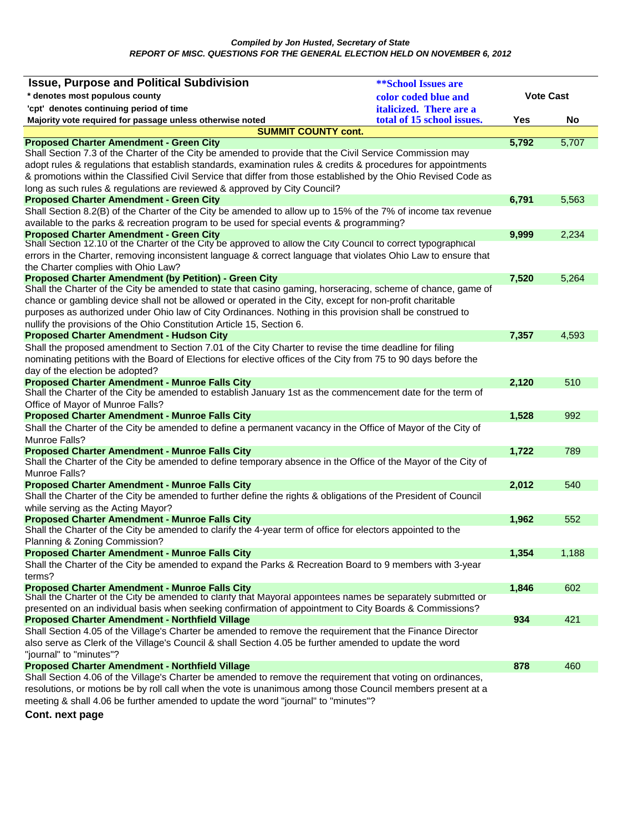| <b>Issue, Purpose and Political Subdivision</b>                                                                                                                          | <b><i>**School Issues are</i></b> |                  |       |
|--------------------------------------------------------------------------------------------------------------------------------------------------------------------------|-----------------------------------|------------------|-------|
| * denotes most populous county                                                                                                                                           | color coded blue and              | <b>Vote Cast</b> |       |
| 'cpt' denotes continuing period of time                                                                                                                                  | italicized. There are a           |                  |       |
| Majority vote required for passage unless otherwise noted                                                                                                                | total of 15 school issues.        | Yes              | No    |
| <b>SUMMIT COUNTY cont.</b>                                                                                                                                               |                                   |                  |       |
| <b>Proposed Charter Amendment - Green City</b>                                                                                                                           |                                   | 5,792            | 5,707 |
| Shall Section 7.3 of the Charter of the City be amended to provide that the Civil Service Commission may                                                                 |                                   |                  |       |
| adopt rules & regulations that establish standards, examination rules & credits & procedures for appointments                                                            |                                   |                  |       |
| & promotions within the Classified Civil Service that differ from those established by the Ohio Revised Code as                                                          |                                   |                  |       |
| long as such rules & regulations are reviewed & approved by City Council?                                                                                                |                                   |                  |       |
| <b>Proposed Charter Amendment - Green City</b>                                                                                                                           |                                   | 6,791            | 5,563 |
| Shall Section 8.2(B) of the Charter of the City be amended to allow up to 15% of the 7% of income tax revenue                                                            |                                   |                  |       |
| available to the parks & recreation program to be used for special events & programming?                                                                                 |                                   |                  |       |
| <b>Proposed Charter Amendment - Green City</b><br>Shall Section 12.10 of the Charter of the City be approved to allow the City Council to correct typographical          |                                   | 9,999            | 2,234 |
| errors in the Charter, removing inconsistent language & correct language that violates Ohio Law to ensure that                                                           |                                   |                  |       |
| the Charter complies with Ohio Law?                                                                                                                                      |                                   |                  |       |
| <b>Proposed Charter Amendment (by Petition) - Green City</b>                                                                                                             |                                   | 7,520            | 5,264 |
| Shall the Charter of the City be amended to state that casino gaming, horseracing, scheme of chance, game of                                                             |                                   |                  |       |
| chance or gambling device shall not be allowed or operated in the City, except for non-profit charitable                                                                 |                                   |                  |       |
| purposes as authorized under Ohio law of City Ordinances. Nothing in this provision shall be construed to                                                                |                                   |                  |       |
| nullify the provisions of the Ohio Constitution Article 15, Section 6.                                                                                                   |                                   |                  |       |
| <b>Proposed Charter Amendment - Hudson City</b>                                                                                                                          |                                   | 7,357            | 4,593 |
| Shall the proposed amendment to Section 7.01 of the City Charter to revise the time deadline for filing                                                                  |                                   |                  |       |
| nominating petitions with the Board of Elections for elective offices of the City from 75 to 90 days before the                                                          |                                   |                  |       |
| day of the election be adopted?                                                                                                                                          |                                   |                  |       |
| <b>Proposed Charter Amendment - Munroe Falls City</b>                                                                                                                    |                                   | 2,120            | 510   |
| Shall the Charter of the City be amended to establish January 1st as the commencement date for the term of                                                               |                                   |                  |       |
| Office of Mayor of Munroe Falls?                                                                                                                                         |                                   |                  |       |
| <b>Proposed Charter Amendment - Munroe Falls City</b>                                                                                                                    |                                   | 1,528            | 992   |
| Shall the Charter of the City be amended to define a permanent vacancy in the Office of Mayor of the City of                                                             |                                   |                  |       |
| Munroe Falls?                                                                                                                                                            |                                   |                  |       |
| <b>Proposed Charter Amendment - Munroe Falls City</b>                                                                                                                    |                                   | 1,722            | 789   |
| Shall the Charter of the City be amended to define temporary absence in the Office of the Mayor of the City of<br>Munroe Falls?                                          |                                   |                  |       |
|                                                                                                                                                                          |                                   |                  | 540   |
| <b>Proposed Charter Amendment - Munroe Falls City</b><br>Shall the Charter of the City be amended to further define the rights & obligations of the President of Council |                                   | 2,012            |       |
| while serving as the Acting Mayor?                                                                                                                                       |                                   |                  |       |
| <b>Proposed Charter Amendment - Munroe Falls City</b>                                                                                                                    |                                   | 1,962            | 552   |
| Shall the Charter of the City be amended to clarify the 4-year term of office for electors appointed to the                                                              |                                   |                  |       |
| Planning & Zoning Commission?                                                                                                                                            |                                   |                  |       |
| <b>Proposed Charter Amendment - Munroe Falls City</b>                                                                                                                    |                                   | 1,354            | 1,188 |
| Shall the Charter of the City be amended to expand the Parks & Recreation Board to 9 members with 3-year                                                                 |                                   |                  |       |
| terms?                                                                                                                                                                   |                                   |                  |       |
| <b>Proposed Charter Amendment - Munroe Falls City</b>                                                                                                                    |                                   | 1,846            | 602   |
| Shall the Charter of the City be amended to clarify that Mayoral appointees names be separately submitted or                                                             |                                   |                  |       |
| presented on an individual basis when seeking confirmation of appointment to City Boards & Commissions?                                                                  |                                   |                  |       |
| <b>Proposed Charter Amendment - Northfield Village</b>                                                                                                                   |                                   | 934              | 421   |
| Shall Section 4.05 of the Village's Charter be amended to remove the requirement that the Finance Director                                                               |                                   |                  |       |
| also serve as Clerk of the Village's Council & shall Section 4.05 be further amended to update the word                                                                  |                                   |                  |       |
| "journal" to "minutes"?<br><b>Proposed Charter Amendment - Northfield Village</b>                                                                                        |                                   | 878              | 460   |
| Shall Section 4.06 of the Village's Charter be amended to remove the requirement that voting on ordinances,                                                              |                                   |                  |       |
| resolutions, or motions be by roll call when the vote is unanimous among those Council members present at a                                                              |                                   |                  |       |
| meeting & shall 4.06 be further amended to update the word "journal" to "minutes"?                                                                                       |                                   |                  |       |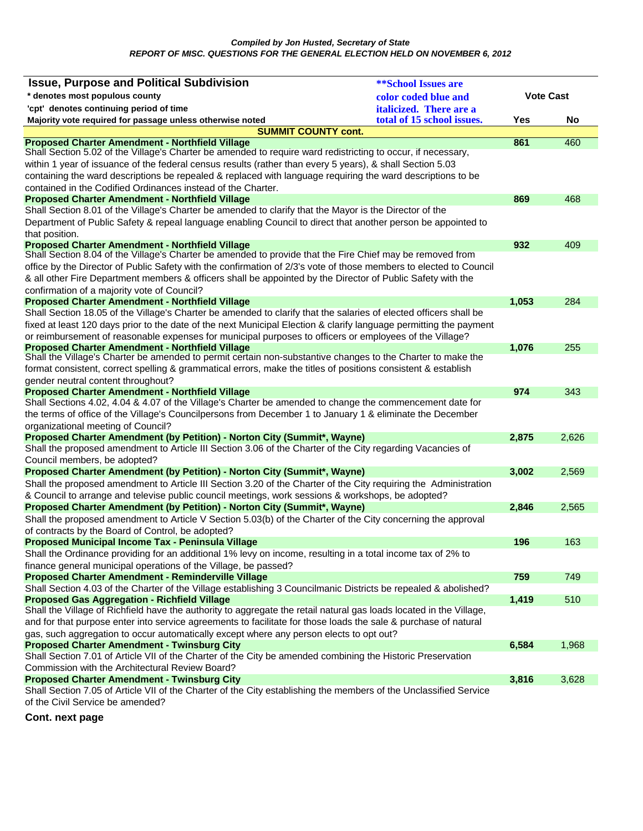| <b>Issue, Purpose and Political Subdivision</b>                                                                                                                       | <b><i>**School Issues are</i></b> |                  |       |
|-----------------------------------------------------------------------------------------------------------------------------------------------------------------------|-----------------------------------|------------------|-------|
| * denotes most populous county                                                                                                                                        | color coded blue and              | <b>Vote Cast</b> |       |
| 'cpt' denotes continuing period of time                                                                                                                               | italicized. There are a           |                  |       |
| Majority vote required for passage unless otherwise noted                                                                                                             | total of 15 school issues.        | Yes              | No    |
| <b>SUMMIT COUNTY cont.</b>                                                                                                                                            |                                   |                  |       |
| <b>Proposed Charter Amendment - Northfield Village</b>                                                                                                                |                                   | 861              | 460   |
| Shall Section 5.02 of the Village's Charter be amended to require ward redistricting to occur, if necessary,                                                          |                                   |                  |       |
| within 1 year of issuance of the federal census results (rather than every 5 years), & shall Section 5.03                                                             |                                   |                  |       |
| containing the ward descriptions be repealed & replaced with language requiring the ward descriptions to be                                                           |                                   |                  |       |
| contained in the Codified Ordinances instead of the Charter.                                                                                                          |                                   |                  |       |
| <b>Proposed Charter Amendment - Northfield Village</b><br>Shall Section 8.01 of the Village's Charter be amended to clarify that the Mayor is the Director of the     |                                   | 869              | 468   |
| Department of Public Safety & repeal language enabling Council to direct that another person be appointed to                                                          |                                   |                  |       |
| that position.                                                                                                                                                        |                                   |                  |       |
| <b>Proposed Charter Amendment - Northfield Village</b>                                                                                                                |                                   | 932              | 409   |
| Shall Section 8.04 of the Village's Charter be amended to provide that the Fire Chief may be removed from                                                             |                                   |                  |       |
| office by the Director of Public Safety with the confirmation of 2/3's vote of those members to elected to Council                                                    |                                   |                  |       |
| & all other Fire Department members & officers shall be appointed by the Director of Public Safety with the                                                           |                                   |                  |       |
| confirmation of a majority vote of Council?                                                                                                                           |                                   |                  |       |
| <b>Proposed Charter Amendment - Northfield Village</b>                                                                                                                |                                   | 1,053            | 284   |
| Shall Section 18.05 of the Village's Charter be amended to clarify that the salaries of elected officers shall be                                                     |                                   |                  |       |
| fixed at least 120 days prior to the date of the next Municipal Election & clarify language permitting the payment                                                    |                                   |                  |       |
| or reimbursement of reasonable expenses for municipal purposes to officers or employees of the Village?                                                               |                                   |                  |       |
| <b>Proposed Charter Amendment - Northfield Village</b><br>Shall the Village's Charter be amended to permit certain non-substantive changes to the Charter to make the |                                   | 1,076            | 255   |
| format consistent, correct spelling & grammatical errors, make the titles of positions consistent & establish                                                         |                                   |                  |       |
| gender neutral content throughout?                                                                                                                                    |                                   |                  |       |
| <b>Proposed Charter Amendment - Northfield Village</b>                                                                                                                |                                   | 974              | 343   |
| Shall Sections 4.02, 4.04 & 4.07 of the Village's Charter be amended to change the commencement date for                                                              |                                   |                  |       |
| the terms of office of the Village's Councilpersons from December 1 to January 1 & eliminate the December                                                             |                                   |                  |       |
| organizational meeting of Council?                                                                                                                                    |                                   |                  |       |
| Proposed Charter Amendment (by Petition) - Norton City (Summit*, Wayne)                                                                                               |                                   | 2,875            | 2,626 |
| Shall the proposed amendment to Article III Section 3.06 of the Charter of the City regarding Vacancies of                                                            |                                   |                  |       |
| Council members, be adopted?                                                                                                                                          |                                   |                  |       |
| <b>Proposed Charter Amendment (by Petition) - Norton City (Summit*, Wayne)</b>                                                                                        |                                   | 3,002            | 2,569 |
| Shall the proposed amendment to Article III Section 3.20 of the Charter of the City requiring the Administration                                                      |                                   |                  |       |
| & Council to arrange and televise public council meetings, work sessions & workshops, be adopted?                                                                     |                                   |                  |       |
| Proposed Charter Amendment (by Petition) - Norton City (Summit*, Wayne)                                                                                               |                                   | 2,846            | 2,565 |
| Shall the proposed amendment to Article V Section 5.03(b) of the Charter of the City concerning the approval                                                          |                                   |                  |       |
| of contracts by the Board of Control, be adopted?                                                                                                                     |                                   |                  |       |
| Proposed Municipal Income Tax - Peninsula Village<br>Shall the Ordinance providing for an additional 1% levy on income, resulting in a total income tax of 2% to      |                                   | 196              | 163   |
| finance general municipal operations of the Village, be passed?                                                                                                       |                                   |                  |       |
| Proposed Charter Amendment - Reminderville Village                                                                                                                    |                                   | 759              | 749   |
| Shall Section 4.03 of the Charter of the Village establishing 3 Councilmanic Districts be repealed & abolished?                                                       |                                   |                  |       |
| <b>Proposed Gas Aggregation - Richfield Village</b>                                                                                                                   |                                   | 1,419            | 510   |
| Shall the Village of Richfield have the authority to aggregate the retail natural gas loads located in the Village,                                                   |                                   |                  |       |
| and for that purpose enter into service agreements to facilitate for those loads the sale & purchase of natural                                                       |                                   |                  |       |
| gas, such aggregation to occur automatically except where any person elects to opt out?                                                                               |                                   |                  |       |
| <b>Proposed Charter Amendment - Twinsburg City</b>                                                                                                                    |                                   | 6,584            | 1,968 |
| Shall Section 7.01 of Article VII of the Charter of the City be amended combining the Historic Preservation                                                           |                                   |                  |       |
| Commission with the Architectural Review Board?                                                                                                                       |                                   |                  |       |
| <b>Proposed Charter Amendment - Twinsburg City</b>                                                                                                                    |                                   | 3,816            | 3,628 |
| Shall Section 7.05 of Article VII of the Charter of the City establishing the members of the Unclassified Service<br>of the Civil Service be amended?                 |                                   |                  |       |
|                                                                                                                                                                       |                                   |                  |       |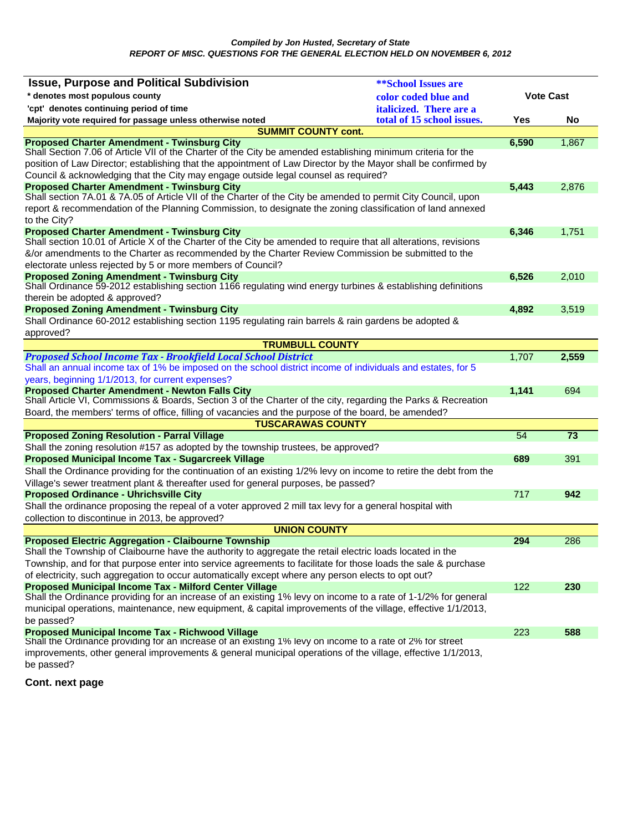| <b>Issue, Purpose and Political Subdivision</b>                                                                                                               | <b>**School Issues are</b> |                  |                 |
|---------------------------------------------------------------------------------------------------------------------------------------------------------------|----------------------------|------------------|-----------------|
| * denotes most populous county<br>color coded blue and                                                                                                        |                            | <b>Vote Cast</b> |                 |
| 'cpt' denotes continuing period of time                                                                                                                       | italicized. There are a    |                  |                 |
| Majority vote required for passage unless otherwise noted                                                                                                     | total of 15 school issues. | Yes              | No              |
| <b>SUMMIT COUNTY cont.</b>                                                                                                                                    |                            |                  |                 |
| <b>Proposed Charter Amendment - Twinsburg City</b>                                                                                                            |                            | 6,590            | 1,867           |
| Shall Section 7.06 of Article VII of the Charter of the City be amended establishing minimum criteria for the                                                 |                            |                  |                 |
| position of Law Director; establishing that the appointment of Law Director by the Mayor shall be confirmed by                                                |                            |                  |                 |
| Council & acknowledging that the City may engage outside legal counsel as required?<br><b>Proposed Charter Amendment - Twinsburg City</b>                     |                            | 5,443            | 2,876           |
| Shall section 7A.01 & 7A.05 of Article VII of the Charter of the City be amended to permit City Council, upon                                                 |                            |                  |                 |
| report & recommendation of the Planning Commission, to designate the zoning classification of land annexed                                                    |                            |                  |                 |
| to the City?                                                                                                                                                  |                            |                  |                 |
| <b>Proposed Charter Amendment - Twinsburg City</b>                                                                                                            |                            | 6,346            | 1,751           |
| Shall section 10.01 of Article X of the Charter of the City be amended to require that all alterations, revisions                                             |                            |                  |                 |
| &/or amendments to the Charter as recommended by the Charter Review Commission be submitted to the                                                            |                            |                  |                 |
| electorate unless rejected by 5 or more members of Council?                                                                                                   |                            |                  |                 |
| <b>Proposed Zoning Amendment - Twinsburg City</b>                                                                                                             |                            | 6,526            | 2,010           |
| Shall Ordinance 59-2012 establishing section 1166 regulating wind energy turbines & establishing definitions                                                  |                            |                  |                 |
| therein be adopted & approved?<br><b>Proposed Zoning Amendment - Twinsburg City</b>                                                                           |                            | 4,892            |                 |
| Shall Ordinance 60-2012 establishing section 1195 regulating rain barrels & rain gardens be adopted &                                                         |                            |                  | 3,519           |
| approved?                                                                                                                                                     |                            |                  |                 |
| <b>TRUMBULL COUNTY</b>                                                                                                                                        |                            |                  |                 |
| <b>Proposed School Income Tax - Brookfield Local School District</b>                                                                                          |                            | 1,707            | 2,559           |
| Shall an annual income tax of 1% be imposed on the school district income of individuals and estates, for 5                                                   |                            |                  |                 |
| years, beginning 1/1/2013, for current expenses?                                                                                                              |                            |                  |                 |
| <b>Proposed Charter Amendment - Newton Falls City</b>                                                                                                         |                            | 1,141            | 694             |
| Shall Article VI, Commissions & Boards, Section 3 of the Charter of the city, regarding the Parks & Recreation                                                |                            |                  |                 |
| Board, the members' terms of office, filling of vacancies and the purpose of the board, be amended?                                                           |                            |                  |                 |
| <b>TUSCARAWAS COUNTY</b>                                                                                                                                      |                            |                  |                 |
| <b>Proposed Zoning Resolution - Parral Village</b>                                                                                                            |                            | 54               | $\overline{73}$ |
| Shall the zoning resolution #157 as adopted by the township trustees, be approved?                                                                            |                            |                  |                 |
| Proposed Municipal Income Tax - Sugarcreek Village                                                                                                            |                            | 689              | 391             |
| Shall the Ordinance providing for the continuation of an existing 1/2% levy on income to retire the debt from the                                             |                            |                  |                 |
| Village's sewer treatment plant & thereafter used for general purposes, be passed?<br><b>Proposed Ordinance - Uhrichsville City</b>                           |                            | 717              | 942             |
| Shall the ordinance proposing the repeal of a voter approved 2 mill tax levy for a general hospital with                                                      |                            |                  |                 |
| collection to discontinue in 2013, be approved?                                                                                                               |                            |                  |                 |
| <b>UNION COUNTY</b>                                                                                                                                           |                            |                  |                 |
| <b>Proposed Electric Aggregation - Claibourne Township</b>                                                                                                    |                            | 294              | 286             |
| Shall the Township of Claibourne have the authority to aggregate the retail electric loads located in the                                                     |                            |                  |                 |
| Township, and for that purpose enter into service agreements to facilitate for those loads the sale & purchase                                                |                            |                  |                 |
| of electricity, such aggregation to occur automatically except where any person elects to opt out?                                                            |                            |                  |                 |
| <b>Proposed Municipal Income Tax - Milford Center Village</b>                                                                                                 |                            | 122              | 230             |
| Shall the Ordinance providing for an increase of an existing 1% levy on income to a rate of 1-1/2% for general                                                |                            |                  |                 |
| municipal operations, maintenance, new equipment, & capital improvements of the village, effective 1/1/2013,                                                  |                            |                  |                 |
| be passed?                                                                                                                                                    |                            |                  |                 |
| Proposed Municipal Income Tax - Richwood Village<br>Shall the Ordinance providing for an increase of an existing 1% levy on income to a rate of 2% for street |                            | 223              | 588             |
| improvements, other general improvements & general municipal operations of the village, effective 1/1/2013,                                                   |                            |                  |                 |
| be passed?                                                                                                                                                    |                            |                  |                 |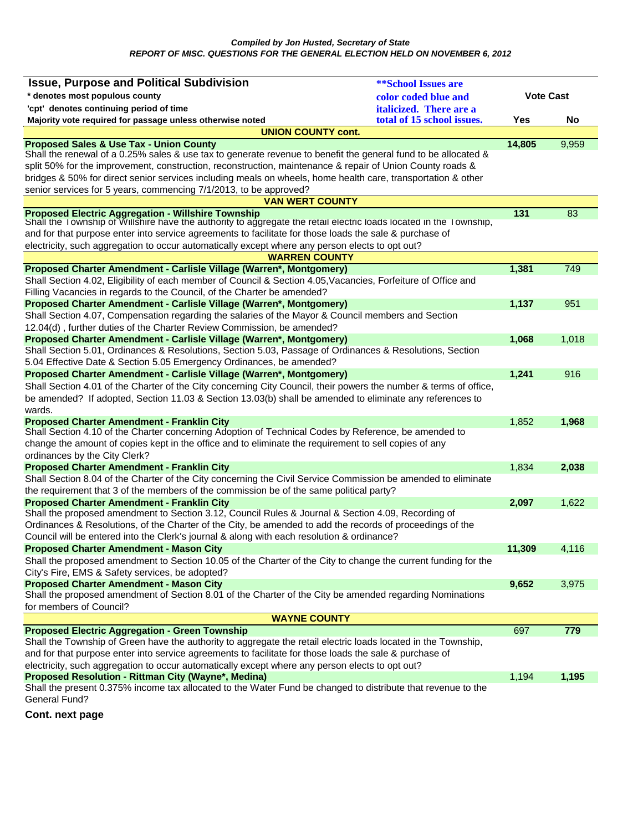| <b>Issue, Purpose and Political Subdivision</b><br><b>**School Issues are</b><br><b>Vote Cast</b><br>* denotes most populous county<br>color coded blue and<br>'cpt' denotes continuing period of time<br>italicized. There are a<br>total of 15 school issues.<br>Majority vote required for passage unless otherwise noted<br>Yes<br>No |  |
|-------------------------------------------------------------------------------------------------------------------------------------------------------------------------------------------------------------------------------------------------------------------------------------------------------------------------------------------|--|
|                                                                                                                                                                                                                                                                                                                                           |  |
|                                                                                                                                                                                                                                                                                                                                           |  |
|                                                                                                                                                                                                                                                                                                                                           |  |
| <b>UNION COUNTY cont.</b>                                                                                                                                                                                                                                                                                                                 |  |
| <b>Proposed Sales &amp; Use Tax - Union County</b><br>14,805<br>9,959                                                                                                                                                                                                                                                                     |  |
| Shall the renewal of a 0.25% sales & use tax to generate revenue to benefit the general fund to be allocated &                                                                                                                                                                                                                            |  |
| split 50% for the improvement, construction, reconstruction, maintenance & repair of Union County roads &                                                                                                                                                                                                                                 |  |
| bridges & 50% for direct senior services including meals on wheels, home health care, transportation & other                                                                                                                                                                                                                              |  |
| senior services for 5 years, commencing 7/1/2013, to be approved?                                                                                                                                                                                                                                                                         |  |
| <b>VAN WERT COUNTY</b>                                                                                                                                                                                                                                                                                                                    |  |
| <b>Proposed Electric Aggregation - Willshire Township</b><br>131<br>83                                                                                                                                                                                                                                                                    |  |
| Shall the Township of Willshire have the authority to aggregate the retail electric loads located in the Township,                                                                                                                                                                                                                        |  |
| and for that purpose enter into service agreements to facilitate for those loads the sale & purchase of                                                                                                                                                                                                                                   |  |
| electricity, such aggregation to occur automatically except where any person elects to opt out?                                                                                                                                                                                                                                           |  |
| <b>WARREN COUNTY</b>                                                                                                                                                                                                                                                                                                                      |  |
| Proposed Charter Amendment - Carlisle Village (Warren*, Montgomery)<br>1,381<br>749                                                                                                                                                                                                                                                       |  |
| Shall Section 4.02, Eligibility of each member of Council & Section 4.05, Vacancies, Forfeiture of Office and                                                                                                                                                                                                                             |  |
| Filling Vacancies in regards to the Council, of the Charter be amended?                                                                                                                                                                                                                                                                   |  |
| Proposed Charter Amendment - Carlisle Village (Warren*, Montgomery)<br>1,137<br>951                                                                                                                                                                                                                                                       |  |
| Shall Section 4.07, Compensation regarding the salaries of the Mayor & Council members and Section                                                                                                                                                                                                                                        |  |
| 12.04(d), further duties of the Charter Review Commission, be amended?                                                                                                                                                                                                                                                                    |  |
| Proposed Charter Amendment - Carlisle Village (Warren*, Montgomery)<br>1,068<br>1,018                                                                                                                                                                                                                                                     |  |
| Shall Section 5.01, Ordinances & Resolutions, Section 5.03, Passage of Ordinances & Resolutions, Section<br>5.04 Effective Date & Section 5.05 Emergency Ordinances, be amended?                                                                                                                                                          |  |
| Proposed Charter Amendment - Carlisle Village (Warren*, Montgomery)<br>1,241<br>916                                                                                                                                                                                                                                                       |  |
| Shall Section 4.01 of the Charter of the City concerning City Council, their powers the number & terms of office,                                                                                                                                                                                                                         |  |
| be amended? If adopted, Section 11.03 & Section 13.03(b) shall be amended to eliminate any references to                                                                                                                                                                                                                                  |  |
| wards.                                                                                                                                                                                                                                                                                                                                    |  |
| <b>Proposed Charter Amendment - Franklin City</b><br>1,852<br>1,968                                                                                                                                                                                                                                                                       |  |
| Shall Section 4.10 of the Charter concerning Adoption of Technical Codes by Reference, be amended to                                                                                                                                                                                                                                      |  |
| change the amount of copies kept in the office and to eliminate the requirement to sell copies of any                                                                                                                                                                                                                                     |  |
| ordinances by the City Clerk?                                                                                                                                                                                                                                                                                                             |  |
| <b>Proposed Charter Amendment - Franklin City</b><br>1,834<br>2,038                                                                                                                                                                                                                                                                       |  |
| Shall Section 8.04 of the Charter of the City concerning the Civil Service Commission be amended to eliminate                                                                                                                                                                                                                             |  |
| the requirement that 3 of the members of the commission be of the same political party?                                                                                                                                                                                                                                                   |  |
| <b>Proposed Charter Amendment - Franklin City</b><br>2,097<br>1,622                                                                                                                                                                                                                                                                       |  |
| Shall the proposed amendment to Section 3.12, Council Rules & Journal & Section 4.09, Recording of                                                                                                                                                                                                                                        |  |
| Ordinances & Resolutions, of the Charter of the City, be amended to add the records of proceedings of the                                                                                                                                                                                                                                 |  |
| Council will be entered into the Clerk's journal & along with each resolution & ordinance?                                                                                                                                                                                                                                                |  |
| 11,309<br><b>Proposed Charter Amendment - Mason City</b><br>4,116                                                                                                                                                                                                                                                                         |  |
| Shall the proposed amendment to Section 10.05 of the Charter of the City to change the current funding for the                                                                                                                                                                                                                            |  |
| City's Fire, EMS & Safety services, be adopted?                                                                                                                                                                                                                                                                                           |  |
| <b>Proposed Charter Amendment - Mason City</b><br>9,652<br>3,975                                                                                                                                                                                                                                                                          |  |
| Shall the proposed amendment of Section 8.01 of the Charter of the City be amended regarding Nominations                                                                                                                                                                                                                                  |  |
| for members of Council?                                                                                                                                                                                                                                                                                                                   |  |
| <b>WAYNE COUNTY</b>                                                                                                                                                                                                                                                                                                                       |  |
| <b>Proposed Electric Aggregation - Green Township</b><br>697<br>779                                                                                                                                                                                                                                                                       |  |
| Shall the Township of Green have the authority to aggregate the retail electric loads located in the Township,                                                                                                                                                                                                                            |  |
| and for that purpose enter into service agreements to facilitate for those loads the sale & purchase of                                                                                                                                                                                                                                   |  |
| electricity, such aggregation to occur automatically except where any person elects to opt out?                                                                                                                                                                                                                                           |  |
| Proposed Resolution - Rittman City (Wayne*, Medina)<br>1,195<br>1,194<br>Shall the present 0.375% income tax allocated to the Water Fund be changed to distribute that revenue to the                                                                                                                                                     |  |
| General Fund?                                                                                                                                                                                                                                                                                                                             |  |